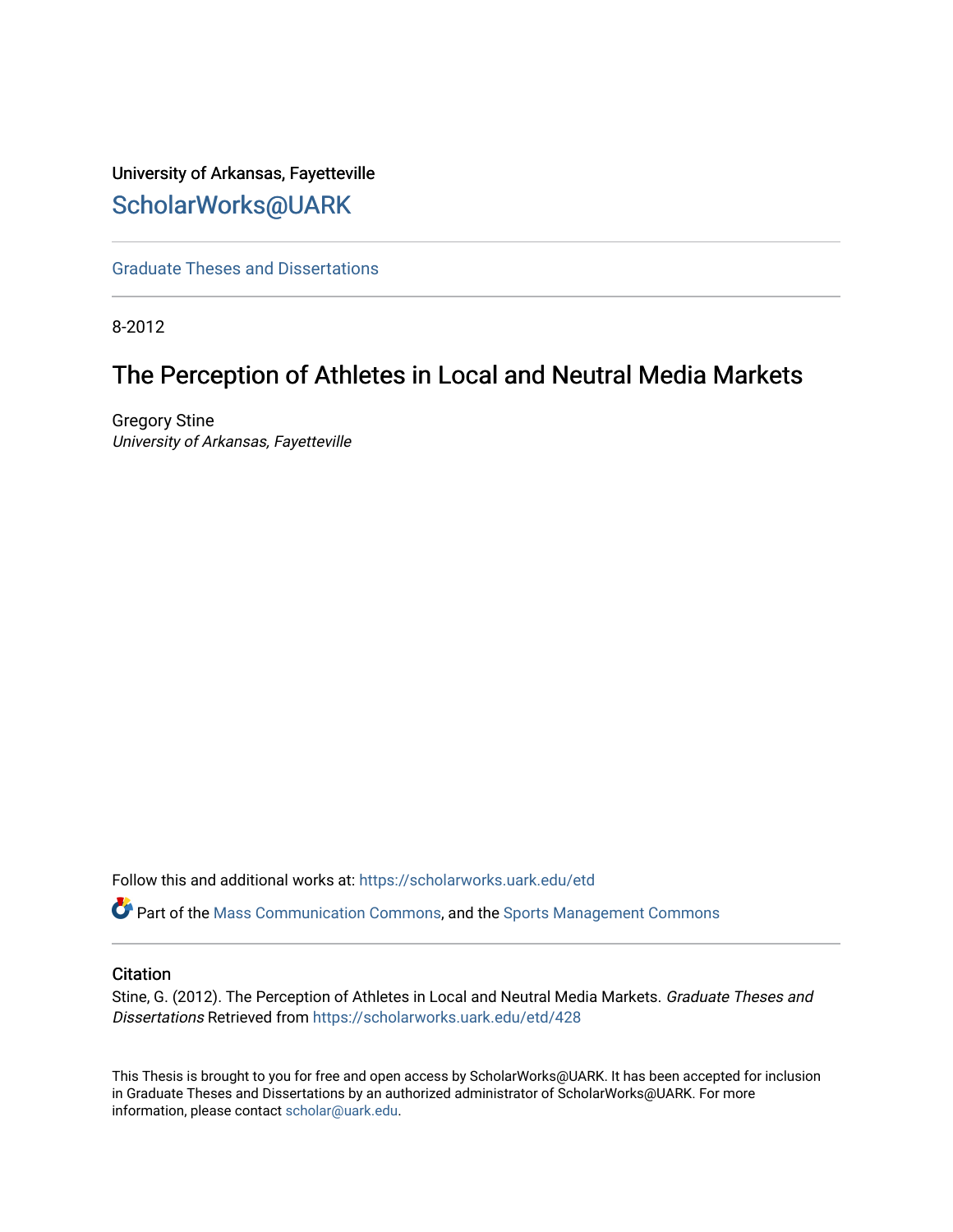# University of Arkansas, Fayetteville [ScholarWorks@UARK](https://scholarworks.uark.edu/)

[Graduate Theses and Dissertations](https://scholarworks.uark.edu/etd) 

8-2012

# The Perception of Athletes in Local and Neutral Media Markets

Gregory Stine University of Arkansas, Fayetteville

Follow this and additional works at: [https://scholarworks.uark.edu/etd](https://scholarworks.uark.edu/etd?utm_source=scholarworks.uark.edu%2Fetd%2F428&utm_medium=PDF&utm_campaign=PDFCoverPages)

Part of the [Mass Communication Commons,](http://network.bepress.com/hgg/discipline/334?utm_source=scholarworks.uark.edu%2Fetd%2F428&utm_medium=PDF&utm_campaign=PDFCoverPages) and the [Sports Management Commons](http://network.bepress.com/hgg/discipline/1193?utm_source=scholarworks.uark.edu%2Fetd%2F428&utm_medium=PDF&utm_campaign=PDFCoverPages) 

### **Citation**

Stine, G. (2012). The Perception of Athletes in Local and Neutral Media Markets. Graduate Theses and Dissertations Retrieved from [https://scholarworks.uark.edu/etd/428](https://scholarworks.uark.edu/etd/428?utm_source=scholarworks.uark.edu%2Fetd%2F428&utm_medium=PDF&utm_campaign=PDFCoverPages) 

This Thesis is brought to you for free and open access by ScholarWorks@UARK. It has been accepted for inclusion in Graduate Theses and Dissertations by an authorized administrator of ScholarWorks@UARK. For more information, please contact [scholar@uark.edu.](mailto:scholar@uark.edu)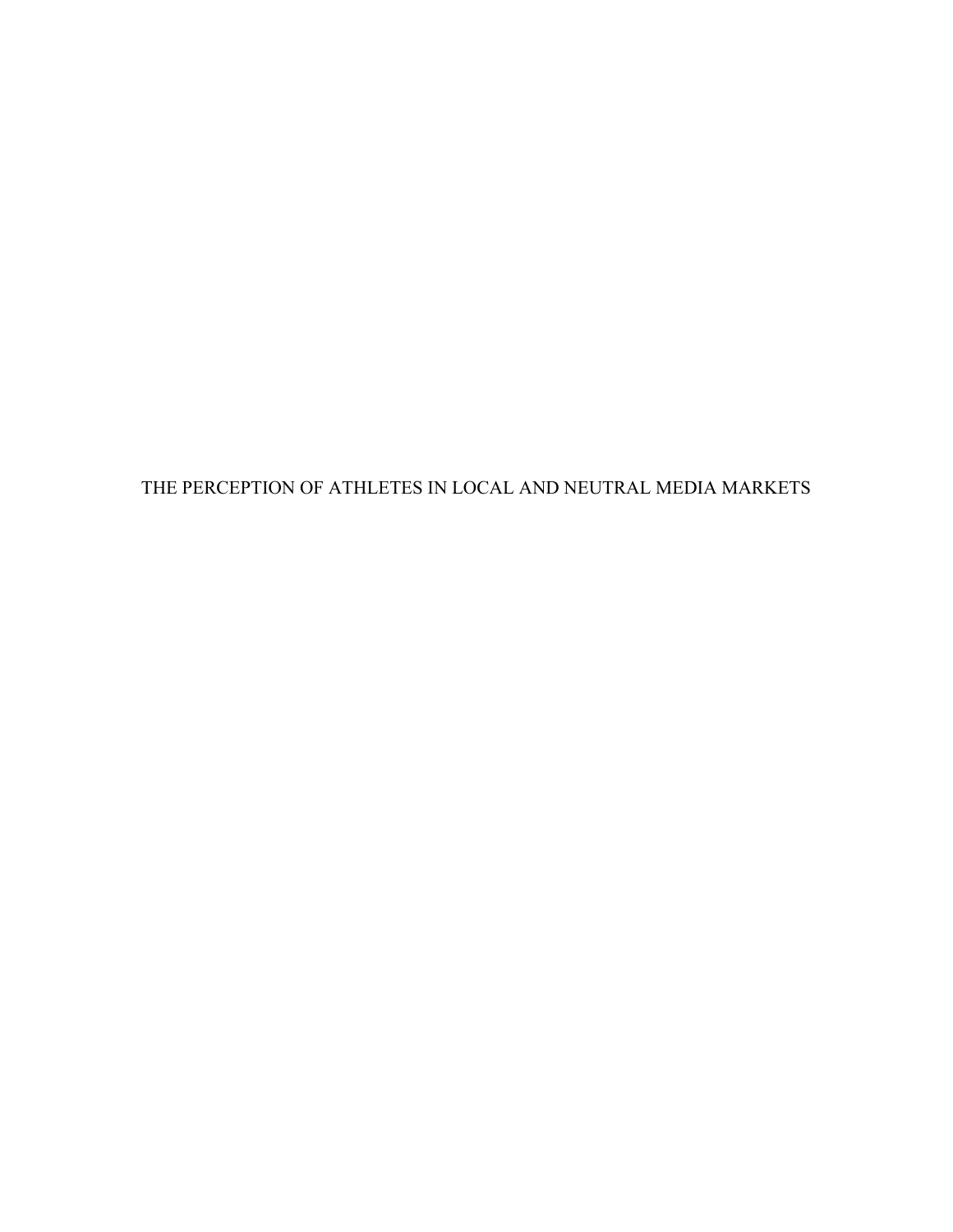THE PERCEPTION OF ATHLETES IN LOCAL AND NEUTRAL MEDIA MARKETS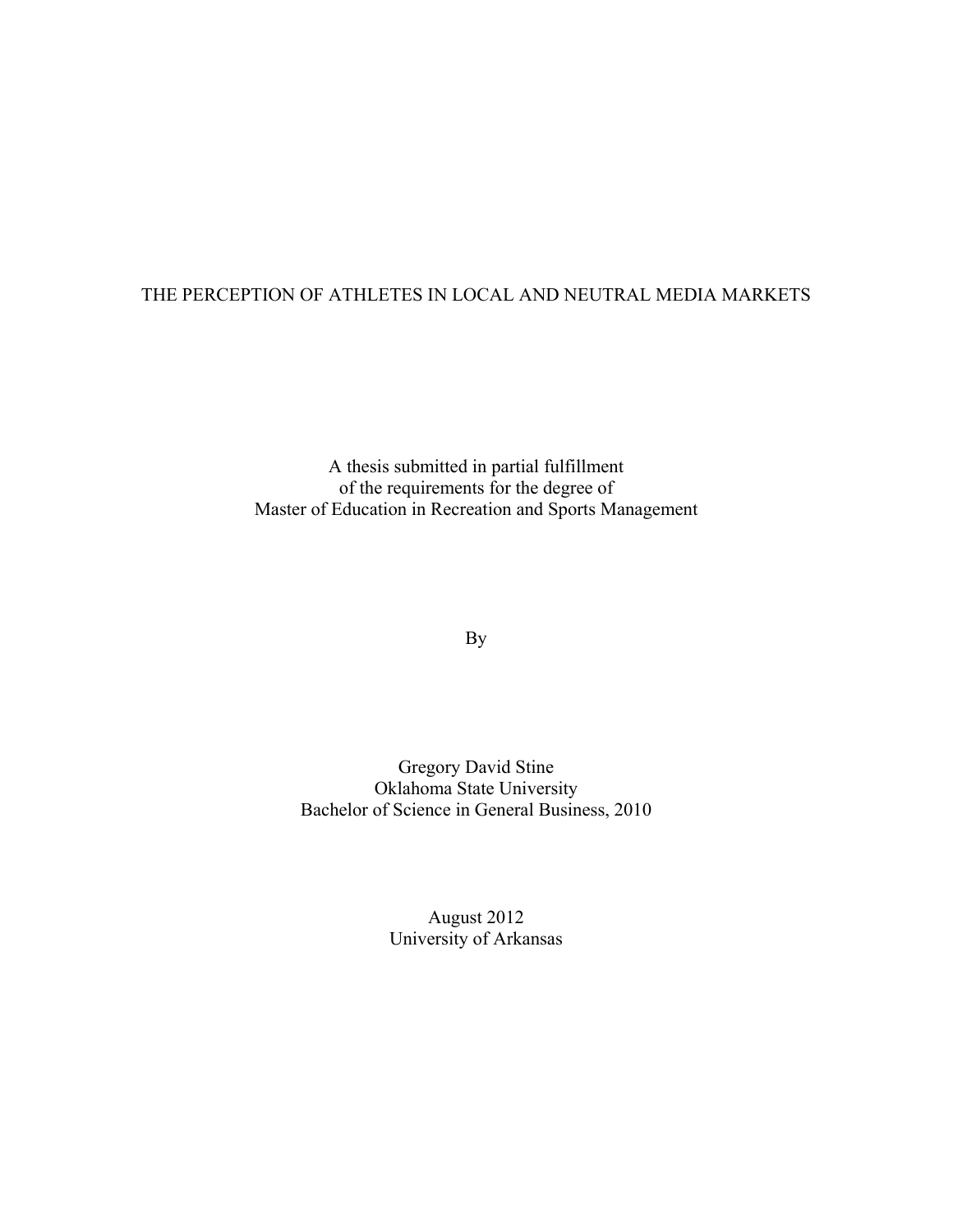## THE PERCEPTION OF ATHLETES IN LOCAL AND NEUTRAL MEDIA MARKETS

A thesis submitted in partial fulfillment of the requirements for the degree of Master of Education in Recreation and Sports Management

By

Gregory David Stine Oklahoma State University Bachelor of Science in General Business, 2010

> August 2012 University of Arkansas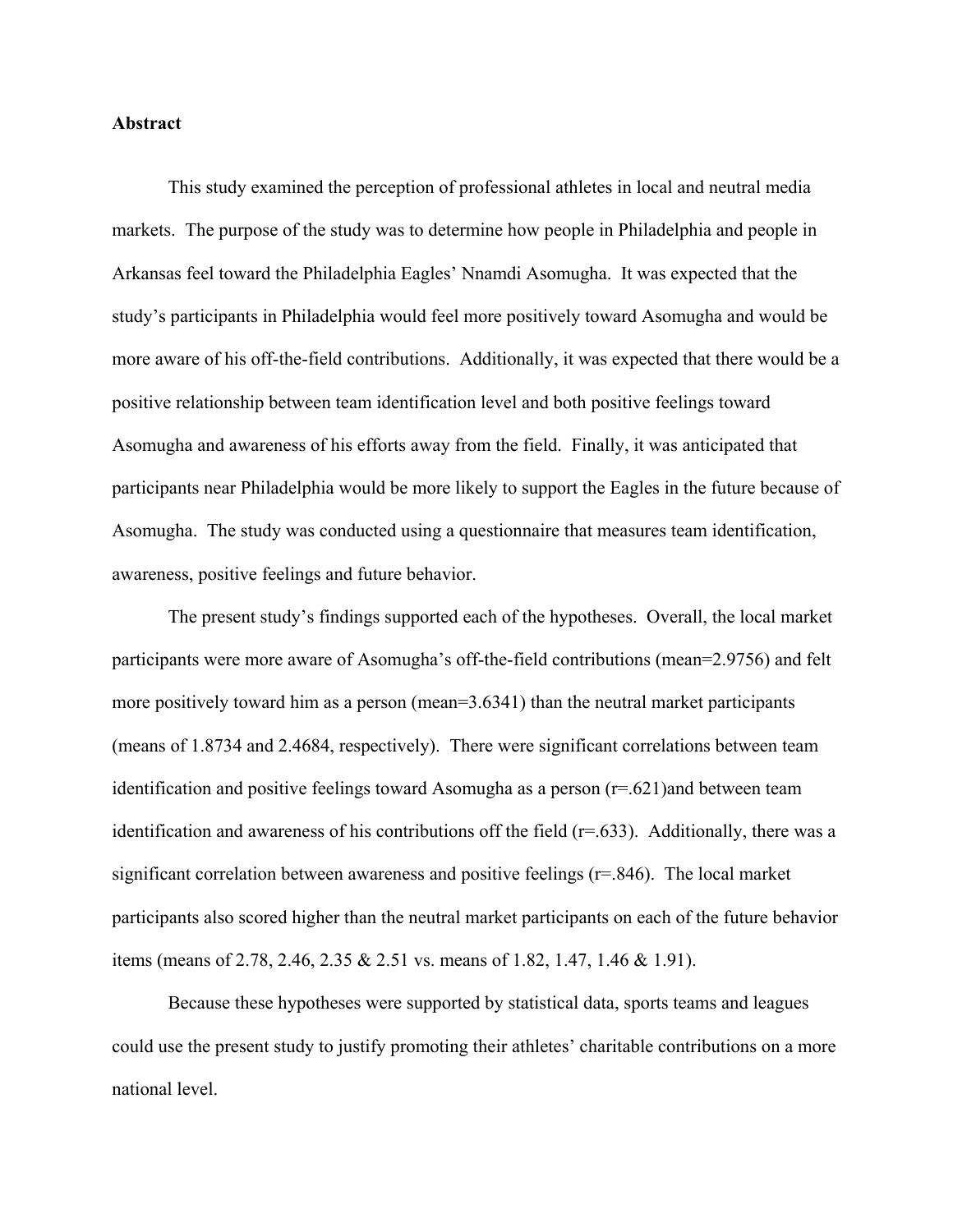### **Abstract**

 This study examined the perception of professional athletes in local and neutral media markets. The purpose of the study was to determine how people in Philadelphia and people in Arkansas feel toward the Philadelphia Eagles' Nnamdi Asomugha. It was expected that the study's participants in Philadelphia would feel more positively toward Asomugha and would be more aware of his off-the-field contributions. Additionally, it was expected that there would be a positive relationship between team identification level and both positive feelings toward Asomugha and awareness of his efforts away from the field. Finally, it was anticipated that participants near Philadelphia would be more likely to support the Eagles in the future because of Asomugha. The study was conducted using a questionnaire that measures team identification, awareness, positive feelings and future behavior.

 The present study's findings supported each of the hypotheses. Overall, the local market participants were more aware of Asomugha's off-the-field contributions (mean=2.9756) and felt more positively toward him as a person (mean=3.6341) than the neutral market participants (means of 1.8734 and 2.4684, respectively). There were significant correlations between team identification and positive feelings toward Asomugha as a person  $(r=.621)$  and between team identification and awareness of his contributions off the field  $(r=.633)$ . Additionally, there was a significant correlation between awareness and positive feelings (r=.846). The local market participants also scored higher than the neutral market participants on each of the future behavior items (means of 2.78, 2.46, 2.35 & 2.51 vs. means of 1.82, 1.47, 1.46 & 1.91).

 Because these hypotheses were supported by statistical data, sports teams and leagues could use the present study to justify promoting their athletes' charitable contributions on a more national level.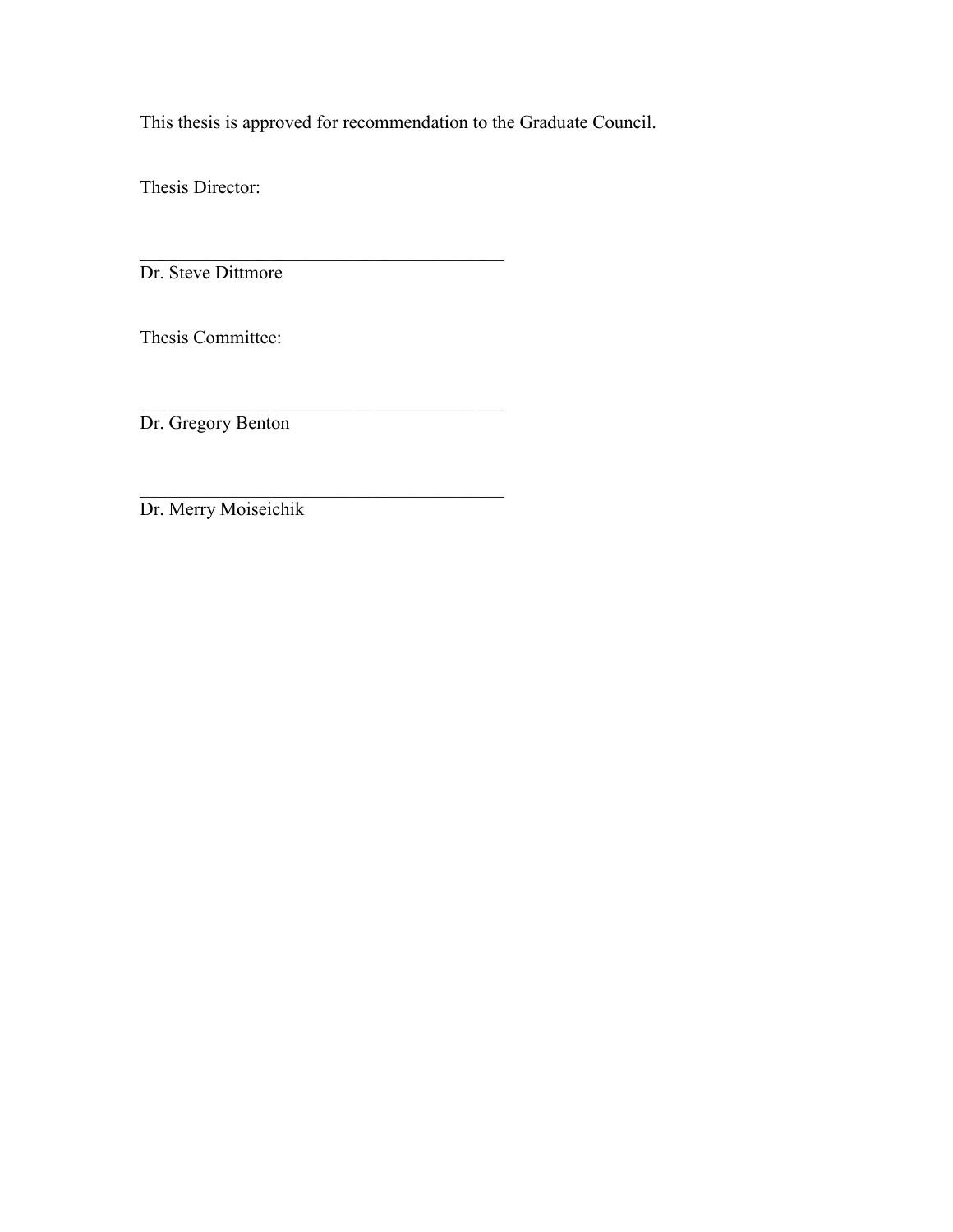This thesis is approved for recommendation to the Graduate Council.

 $\mathcal{L}_\text{max}$ 

 $\mathcal{L}_\text{max}$  , and the set of the set of the set of the set of the set of the set of the set of the set of the set of the set of the set of the set of the set of the set of the set of the set of the set of the set of the

Thesis Director:

Dr. Steve Dittmore

Thesis Committee:

 $\mathcal{L}_\text{max}$  , and the set of the set of the set of the set of the set of the set of the set of the set of the set of the set of the set of the set of the set of the set of the set of the set of the set of the set of the Dr. Gregory Benton

Dr. Merry Moiseichik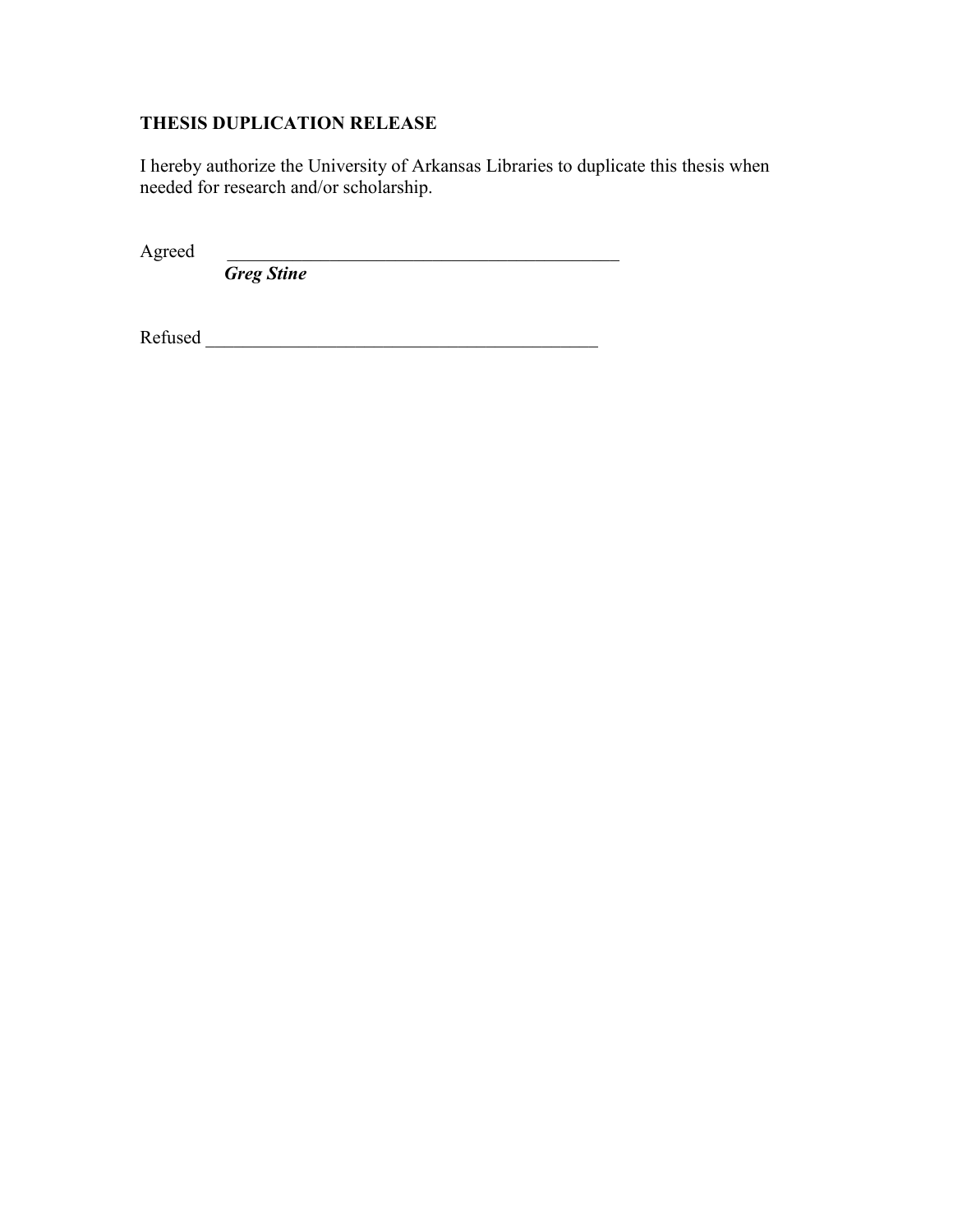## **THESIS DUPLICATION RELEASE**

I hereby authorize the University of Arkansas Libraries to duplicate this thesis when needed for research and/or scholarship.

Agreed \_\_\_\_\_\_\_\_\_\_\_\_\_\_\_\_\_\_\_\_\_\_\_\_\_\_\_\_\_\_\_\_\_\_\_\_\_\_\_\_\_\_

 *Greg Stine*

Refused \_\_\_\_\_\_\_\_\_\_\_\_\_\_\_\_\_\_\_\_\_\_\_\_\_\_\_\_\_\_\_\_\_\_\_\_\_\_\_\_\_\_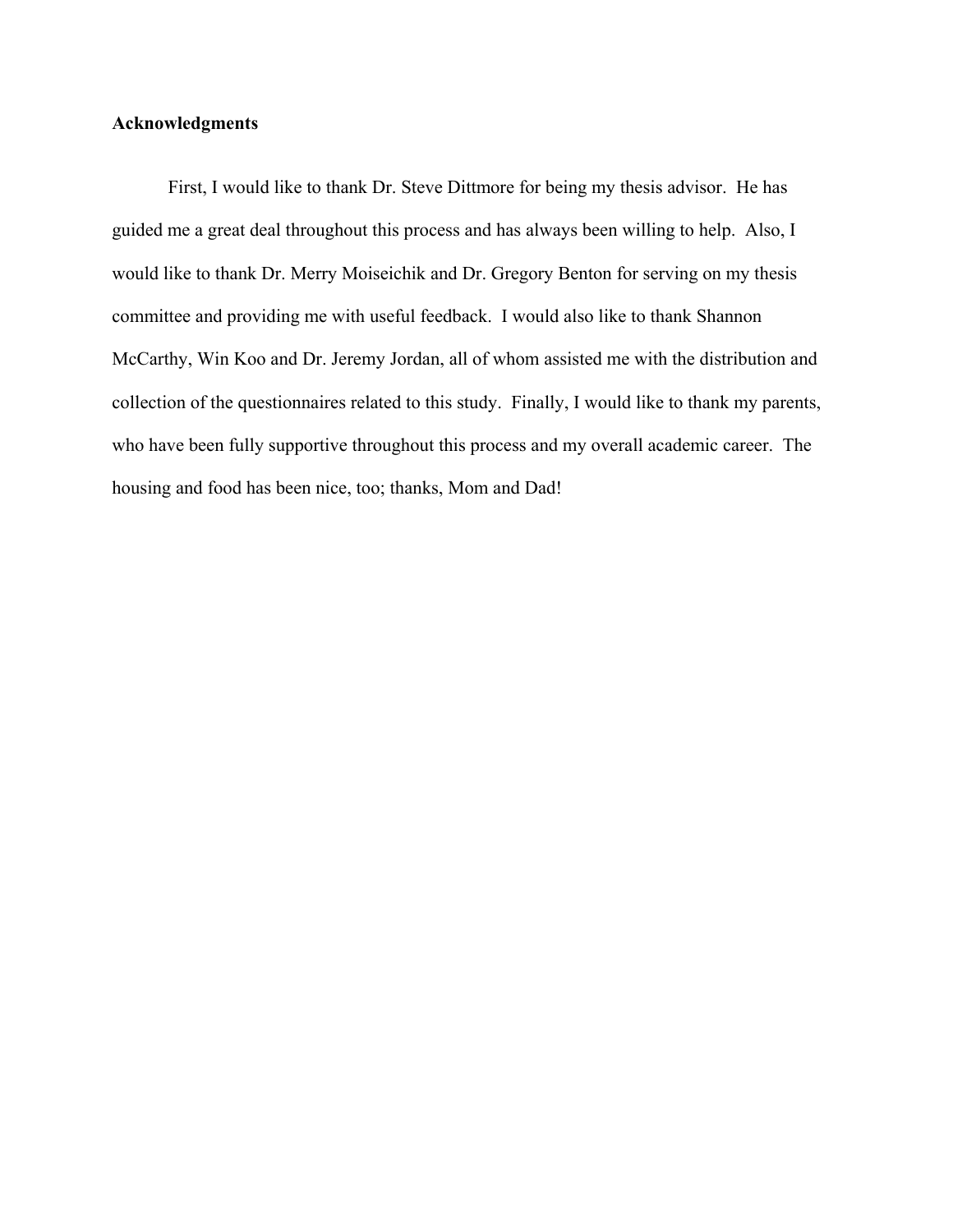### **Acknowledgments**

 First, I would like to thank Dr. Steve Dittmore for being my thesis advisor. He has guided me a great deal throughout this process and has always been willing to help. Also, I would like to thank Dr. Merry Moiseichik and Dr. Gregory Benton for serving on my thesis committee and providing me with useful feedback. I would also like to thank Shannon McCarthy, Win Koo and Dr. Jeremy Jordan, all of whom assisted me with the distribution and collection of the questionnaires related to this study. Finally, I would like to thank my parents, who have been fully supportive throughout this process and my overall academic career. The housing and food has been nice, too; thanks, Mom and Dad!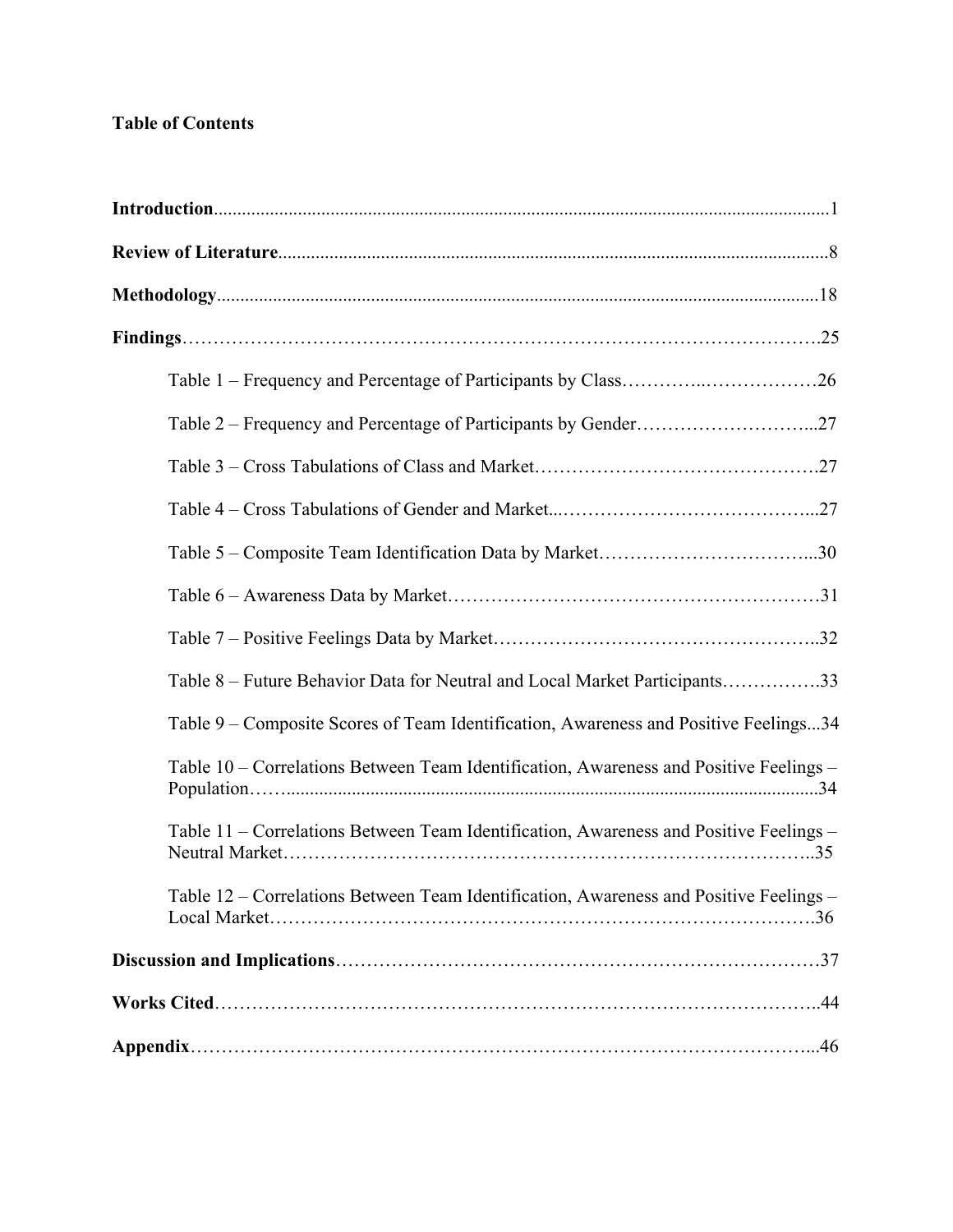## **Table of Contents**

| Table 8 – Future Behavior Data for Neutral and Local Market Participants33             |
|----------------------------------------------------------------------------------------|
| Table 9 – Composite Scores of Team Identification, Awareness and Positive Feelings34   |
| Table 10 – Correlations Between Team Identification, Awareness and Positive Feelings – |
| Table 11 – Correlations Between Team Identification, Awareness and Positive Feelings – |
| Table 12 - Correlations Between Team Identification, Awareness and Positive Feelings - |
|                                                                                        |
|                                                                                        |
|                                                                                        |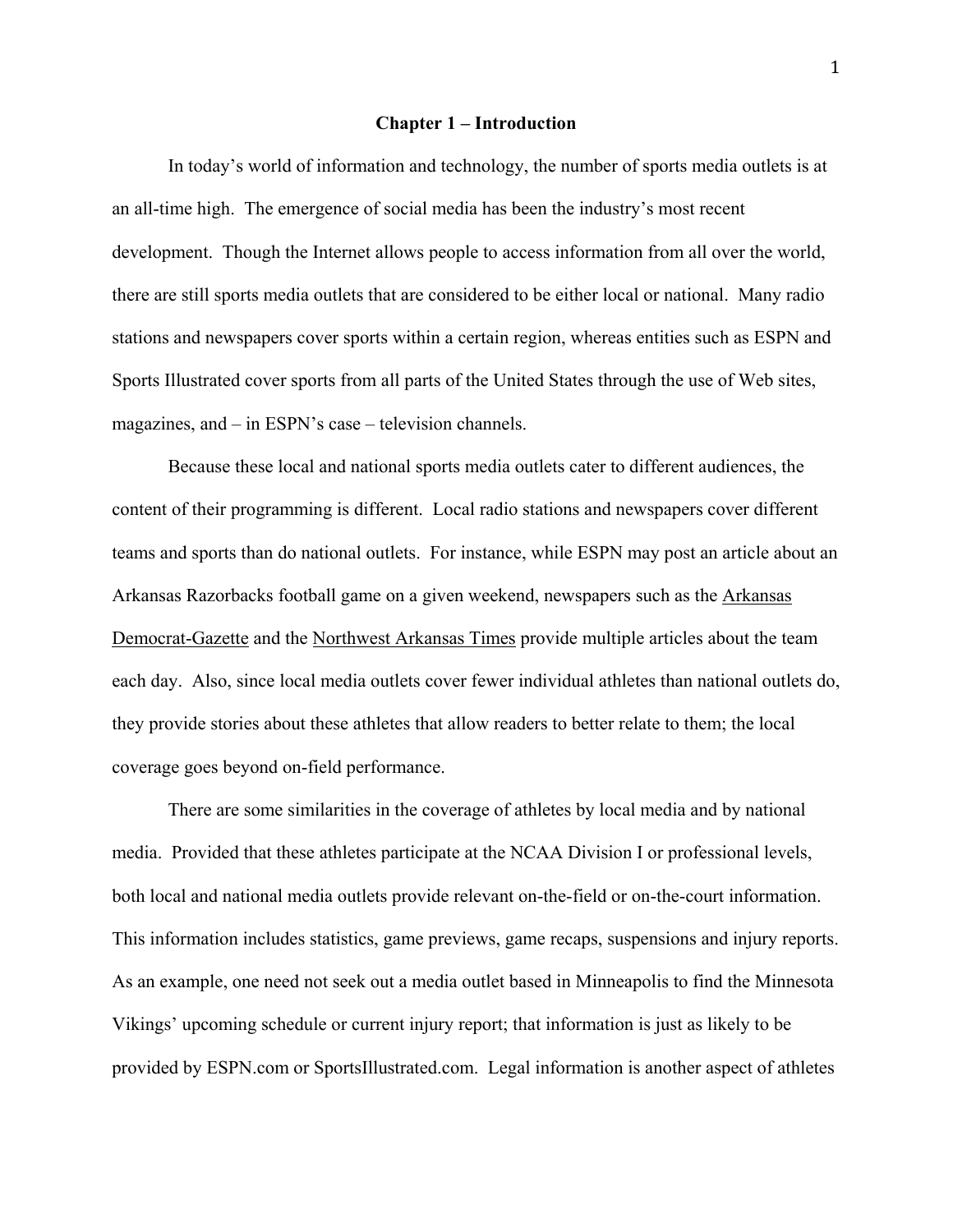#### **Chapter 1 – Introduction**

In today's world of information and technology, the number of sports media outlets is at an all-time high. The emergence of social media has been the industry's most recent development. Though the Internet allows people to access information from all over the world, there are still sports media outlets that are considered to be either local or national. Many radio stations and newspapers cover sports within a certain region, whereas entities such as ESPN and Sports Illustrated cover sports from all parts of the United States through the use of Web sites, magazines, and – in ESPN's case – television channels.

Because these local and national sports media outlets cater to different audiences, the content of their programming is different. Local radio stations and newspapers cover different teams and sports than do national outlets. For instance, while ESPN may post an article about an Arkansas Razorbacks football game on a given weekend, newspapers such as the Arkansas Democrat-Gazette and the Northwest Arkansas Times provide multiple articles about the team each day. Also, since local media outlets cover fewer individual athletes than national outlets do, they provide stories about these athletes that allow readers to better relate to them; the local coverage goes beyond on-field performance.

There are some similarities in the coverage of athletes by local media and by national media. Provided that these athletes participate at the NCAA Division I or professional levels, both local and national media outlets provide relevant on-the-field or on-the-court information. This information includes statistics, game previews, game recaps, suspensions and injury reports. As an example, one need not seek out a media outlet based in Minneapolis to find the Minnesota Vikings' upcoming schedule or current injury report; that information is just as likely to be provided by ESPN.com or SportsIllustrated.com. Legal information is another aspect of athletes

 $\overline{1}$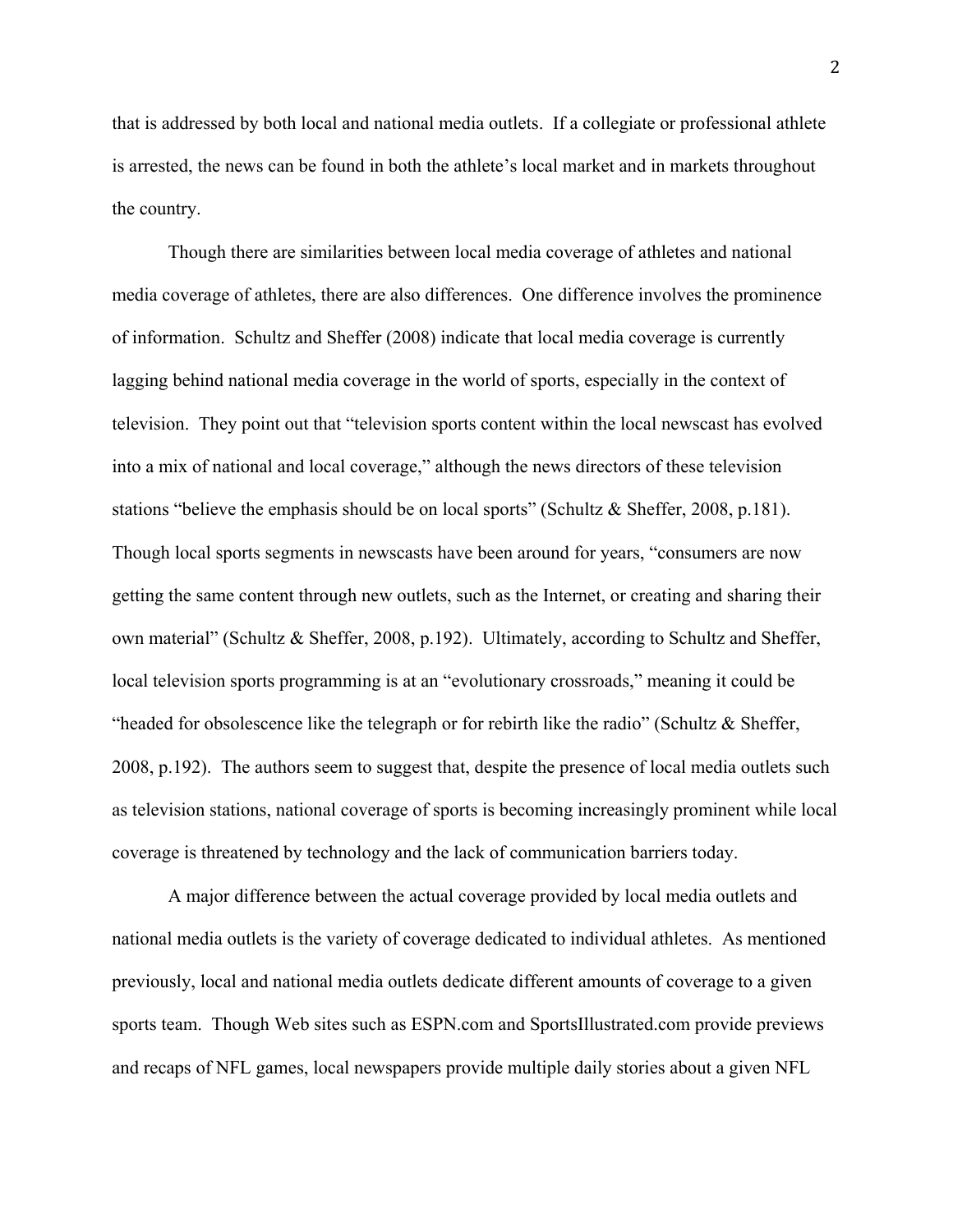that is addressed by both local and national media outlets. If a collegiate or professional athlete is arrested, the news can be found in both the athlete's local market and in markets throughout the country.

Though there are similarities between local media coverage of athletes and national media coverage of athletes, there are also differences. One difference involves the prominence of information. Schultz and Sheffer (2008) indicate that local media coverage is currently lagging behind national media coverage in the world of sports, especially in the context of television. They point out that "television sports content within the local newscast has evolved into a mix of national and local coverage," although the news directors of these television stations "believe the emphasis should be on local sports" (Schultz & Sheffer, 2008, p.181). Though local sports segments in newscasts have been around for years, "consumers are now getting the same content through new outlets, such as the Internet, or creating and sharing their own material" (Schultz & Sheffer, 2008, p.192). Ultimately, according to Schultz and Sheffer, local television sports programming is at an "evolutionary crossroads," meaning it could be "headed for obsolescence like the telegraph or for rebirth like the radio" (Schultz & Sheffer, 2008, p.192). The authors seem to suggest that, despite the presence of local media outlets such as television stations, national coverage of sports is becoming increasingly prominent while local coverage is threatened by technology and the lack of communication barriers today.

A major difference between the actual coverage provided by local media outlets and national media outlets is the variety of coverage dedicated to individual athletes. As mentioned previously, local and national media outlets dedicate different amounts of coverage to a given sports team. Though Web sites such as ESPN.com and SportsIllustrated.com provide previews and recaps of NFL games, local newspapers provide multiple daily stories about a given NFL

<sup>2</sup>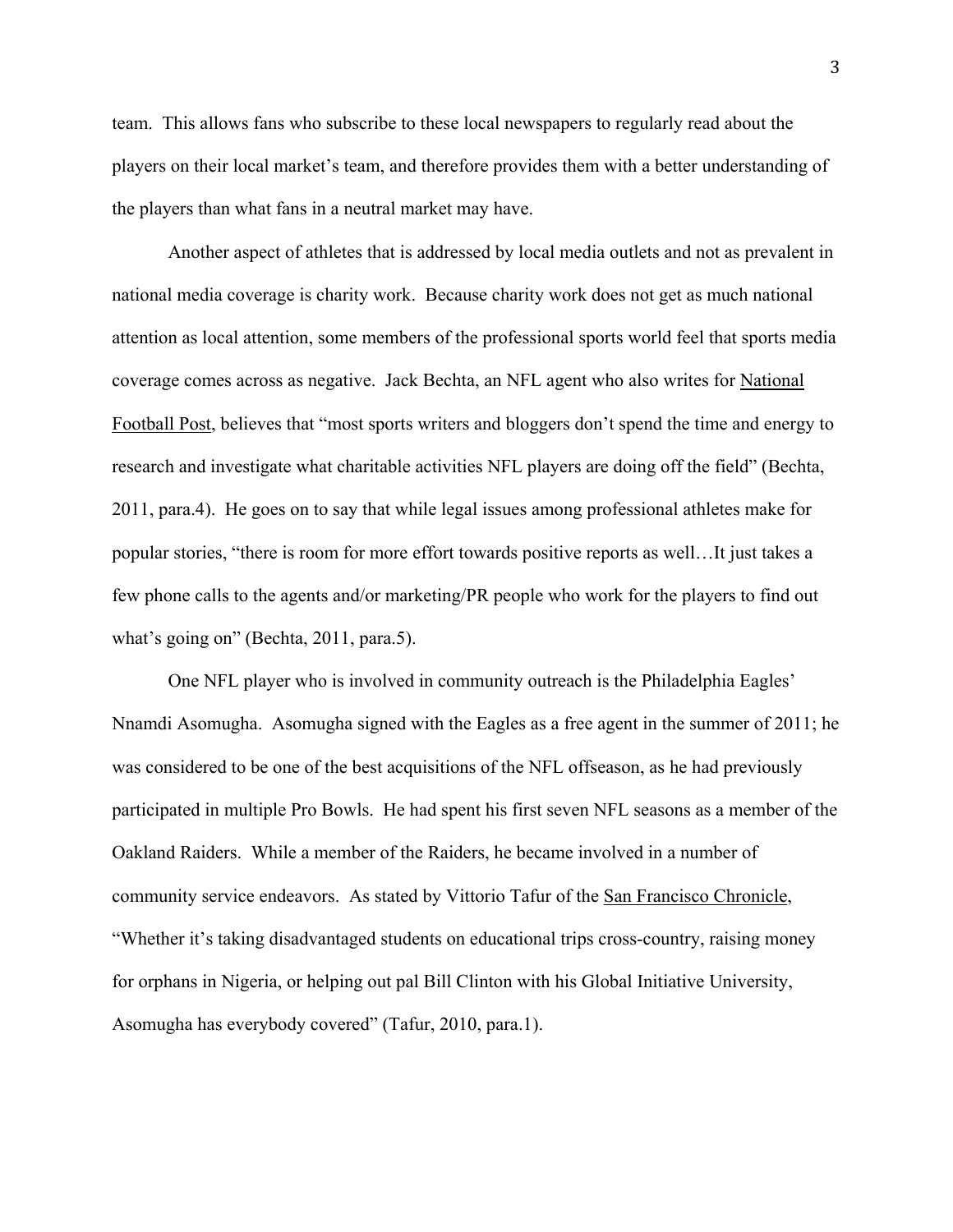team. This allows fans who subscribe to these local newspapers to regularly read about the players on their local market's team, and therefore provides them with a better understanding of the players than what fans in a neutral market may have.

Another aspect of athletes that is addressed by local media outlets and not as prevalent in national media coverage is charity work. Because charity work does not get as much national attention as local attention, some members of the professional sports world feel that sports media coverage comes across as negative. Jack Bechta, an NFL agent who also writes for National Football Post, believes that "most sports writers and bloggers don't spend the time and energy to research and investigate what charitable activities NFL players are doing off the field" (Bechta, 2011, para.4). He goes on to say that while legal issues among professional athletes make for popular stories, "there is room for more effort towards positive reports as well…It just takes a few phone calls to the agents and/or marketing/PR people who work for the players to find out what's going on" (Bechta, 2011, para.5).

One NFL player who is involved in community outreach is the Philadelphia Eagles' Nnamdi Asomugha. Asomugha signed with the Eagles as a free agent in the summer of 2011; he was considered to be one of the best acquisitions of the NFL offseason, as he had previously participated in multiple Pro Bowls. He had spent his first seven NFL seasons as a member of the Oakland Raiders. While a member of the Raiders, he became involved in a number of community service endeavors. As stated by Vittorio Tafur of the San Francisco Chronicle, "Whether it's taking disadvantaged students on educational trips cross-country, raising money for orphans in Nigeria, or helping out pal Bill Clinton with his Global Initiative University, Asomugha has everybody covered" (Tafur, 2010, para.1).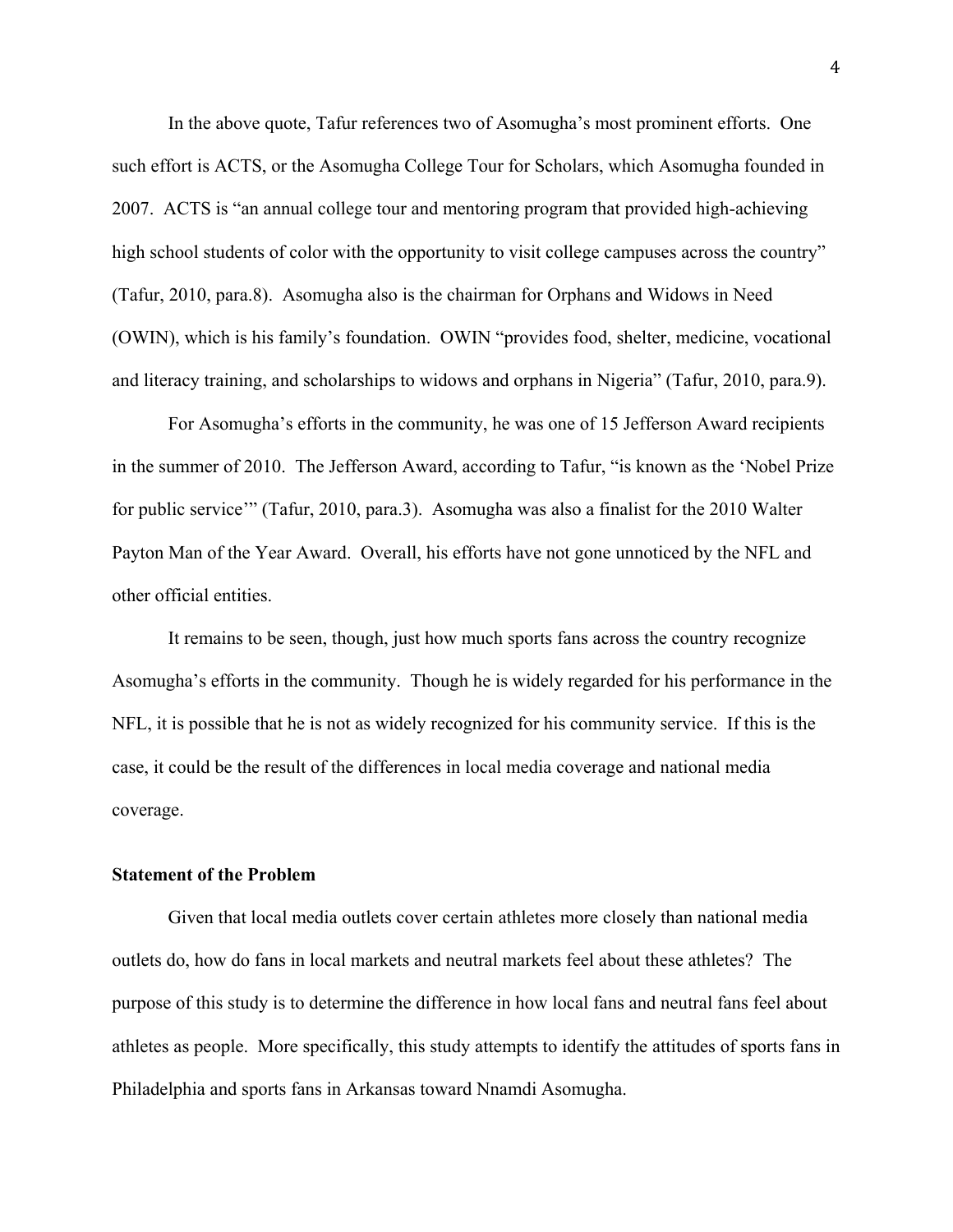In the above quote, Tafur references two of Asomugha's most prominent efforts. One such effort is ACTS, or the Asomugha College Tour for Scholars, which Asomugha founded in 2007. ACTS is "an annual college tour and mentoring program that provided high-achieving high school students of color with the opportunity to visit college campuses across the country" (Tafur, 2010, para.8). Asomugha also is the chairman for Orphans and Widows in Need (OWIN), which is his family's foundation. OWIN "provides food, shelter, medicine, vocational and literacy training, and scholarships to widows and orphans in Nigeria" (Tafur, 2010, para.9).

For Asomugha's efforts in the community, he was one of 15 Jefferson Award recipients in the summer of 2010. The Jefferson Award, according to Tafur, "is known as the 'Nobel Prize for public service'" (Tafur, 2010, para.3). Asomugha was also a finalist for the 2010 Walter Payton Man of the Year Award. Overall, his efforts have not gone unnoticed by the NFL and other official entities.

It remains to be seen, though, just how much sports fans across the country recognize Asomugha's efforts in the community. Though he is widely regarded for his performance in the NFL, it is possible that he is not as widely recognized for his community service. If this is the case, it could be the result of the differences in local media coverage and national media coverage.

### **Statement of the Problem**

 Given that local media outlets cover certain athletes more closely than national media outlets do, how do fans in local markets and neutral markets feel about these athletes? The purpose of this study is to determine the difference in how local fans and neutral fans feel about athletes as people. More specifically, this study attempts to identify the attitudes of sports fans in Philadelphia and sports fans in Arkansas toward Nnamdi Asomugha.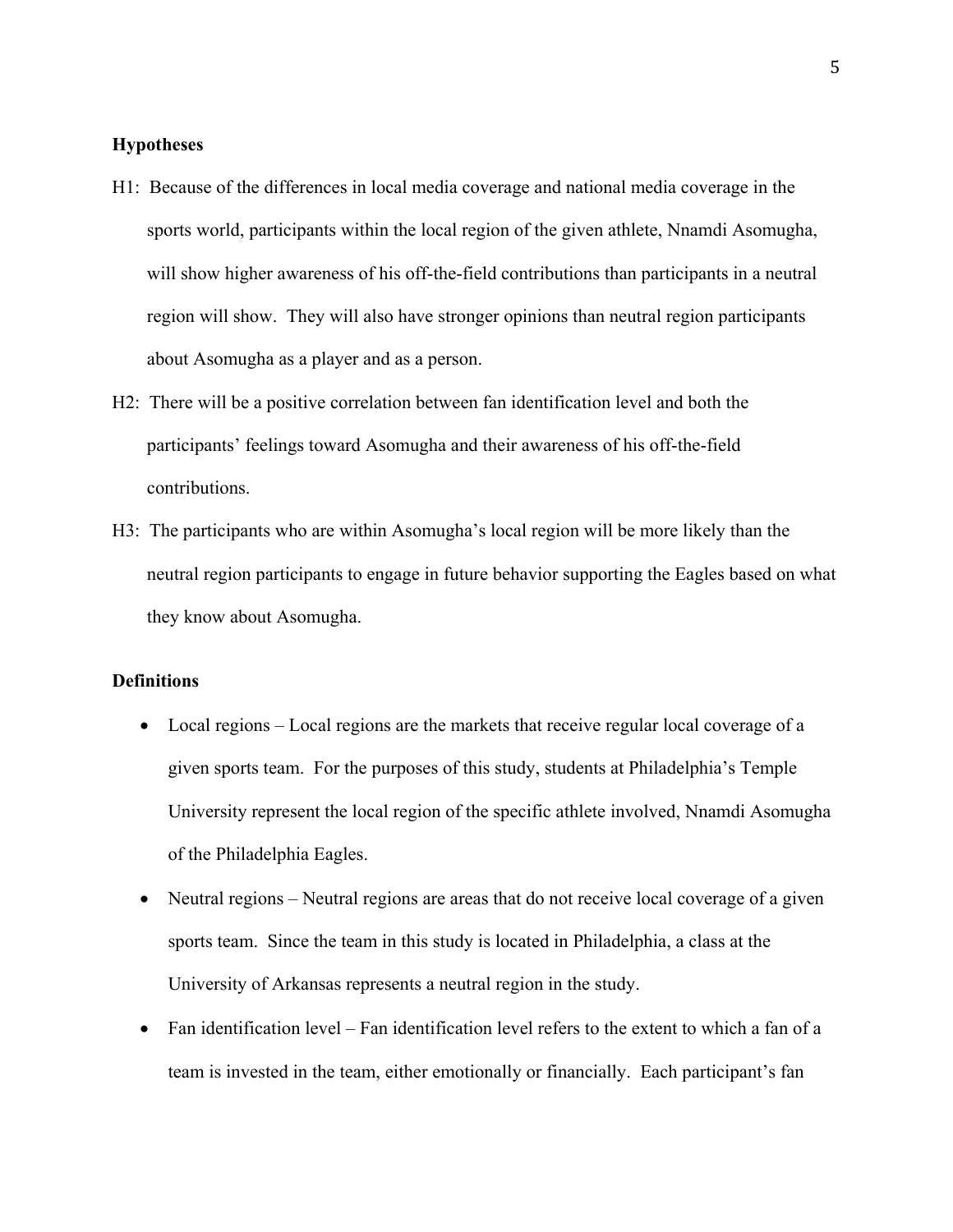### **Hypotheses**

- H1: Because of the differences in local media coverage and national media coverage in the sports world, participants within the local region of the given athlete, Nnamdi Asomugha, will show higher awareness of his off-the-field contributions than participants in a neutral region will show. They will also have stronger opinions than neutral region participants about Asomugha as a player and as a person.
- H2: There will be a positive correlation between fan identification level and both the participants' feelings toward Asomugha and their awareness of his off-the-field contributions.
- H3: The participants who are within Asomugha's local region will be more likely than the neutral region participants to engage in future behavior supporting the Eagles based on what they know about Asomugha.

### **Definitions**

- $\bullet$  Local regions Local regions are the markets that receive regular local coverage of a given sports team. For the purposes of this study, students at Philadelphia's Temple University represent the local region of the specific athlete involved, Nnamdi Asomugha of the Philadelphia Eagles.
- $\bullet$  Neutral regions Neutral regions are areas that do not receive local coverage of a given sports team. Since the team in this study is located in Philadelphia, a class at the University of Arkansas represents a neutral region in the study.
- $\bullet$  Fan identification level Fan identification level refers to the extent to which a fan of a team is invested in the team, either emotionally or financially. Each participant's fan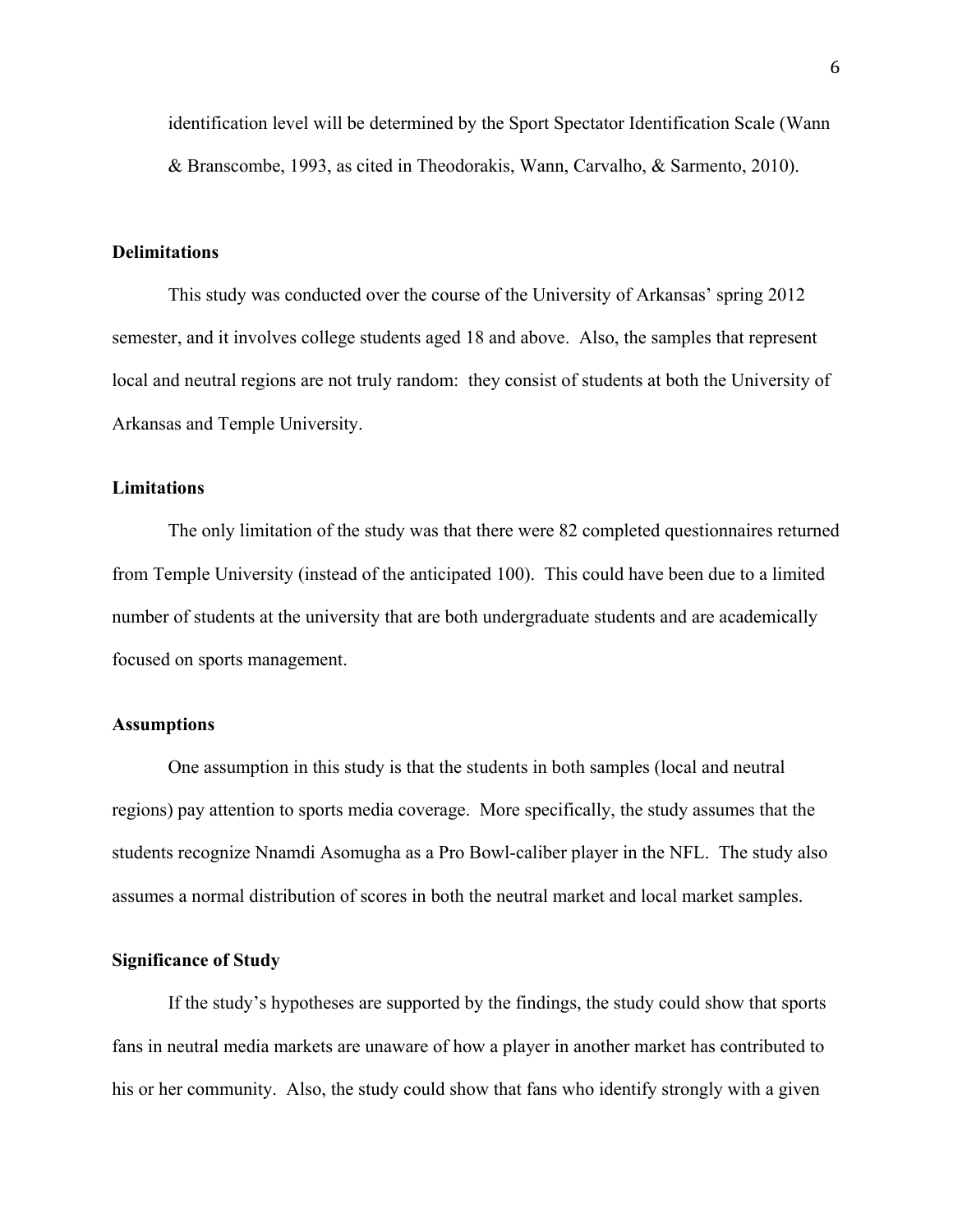identification level will be determined by the Sport Spectator Identification Scale (Wann & Branscombe, 1993, as cited in Theodorakis, Wann, Carvalho, & Sarmento, 2010).

### **Delimitations**

This study was conducted over the course of the University of Arkansas' spring 2012 semester, and it involves college students aged 18 and above. Also, the samples that represent local and neutral regions are not truly random: they consist of students at both the University of Arkansas and Temple University.

### **Limitations**

The only limitation of the study was that there were 82 completed questionnaires returned from Temple University (instead of the anticipated 100). This could have been due to a limited number of students at the university that are both undergraduate students and are academically focused on sports management.

### **Assumptions**

One assumption in this study is that the students in both samples (local and neutral regions) pay attention to sports media coverage. More specifically, the study assumes that the students recognize Nnamdi Asomugha as a Pro Bowl-caliber player in the NFL. The study also assumes a normal distribution of scores in both the neutral market and local market samples.

### **Significance of Study**

If the study's hypotheses are supported by the findings, the study could show that sports fans in neutral media markets are unaware of how a player in another market has contributed to his or her community. Also, the study could show that fans who identify strongly with a given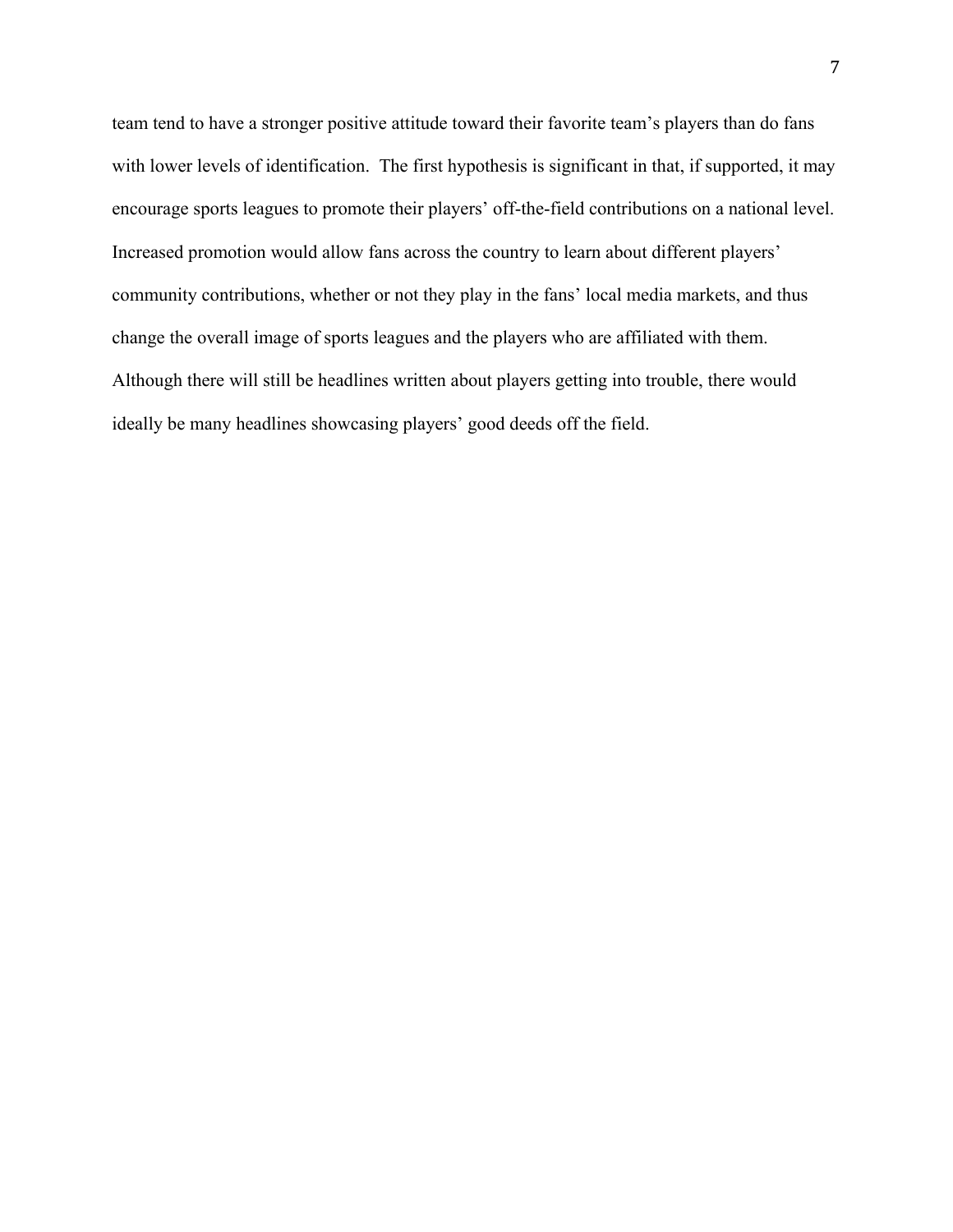team tend to have a stronger positive attitude toward their favorite team's players than do fans with lower levels of identification. The first hypothesis is significant in that, if supported, it may encourage sports leagues to promote their players' off-the-field contributions on a national level. Increased promotion would allow fans across the country to learn about different players' community contributions, whether or not they play in the fans' local media markets, and thus change the overall image of sports leagues and the players who are affiliated with them. Although there will still be headlines written about players getting into trouble, there would ideally be many headlines showcasing players' good deeds off the field.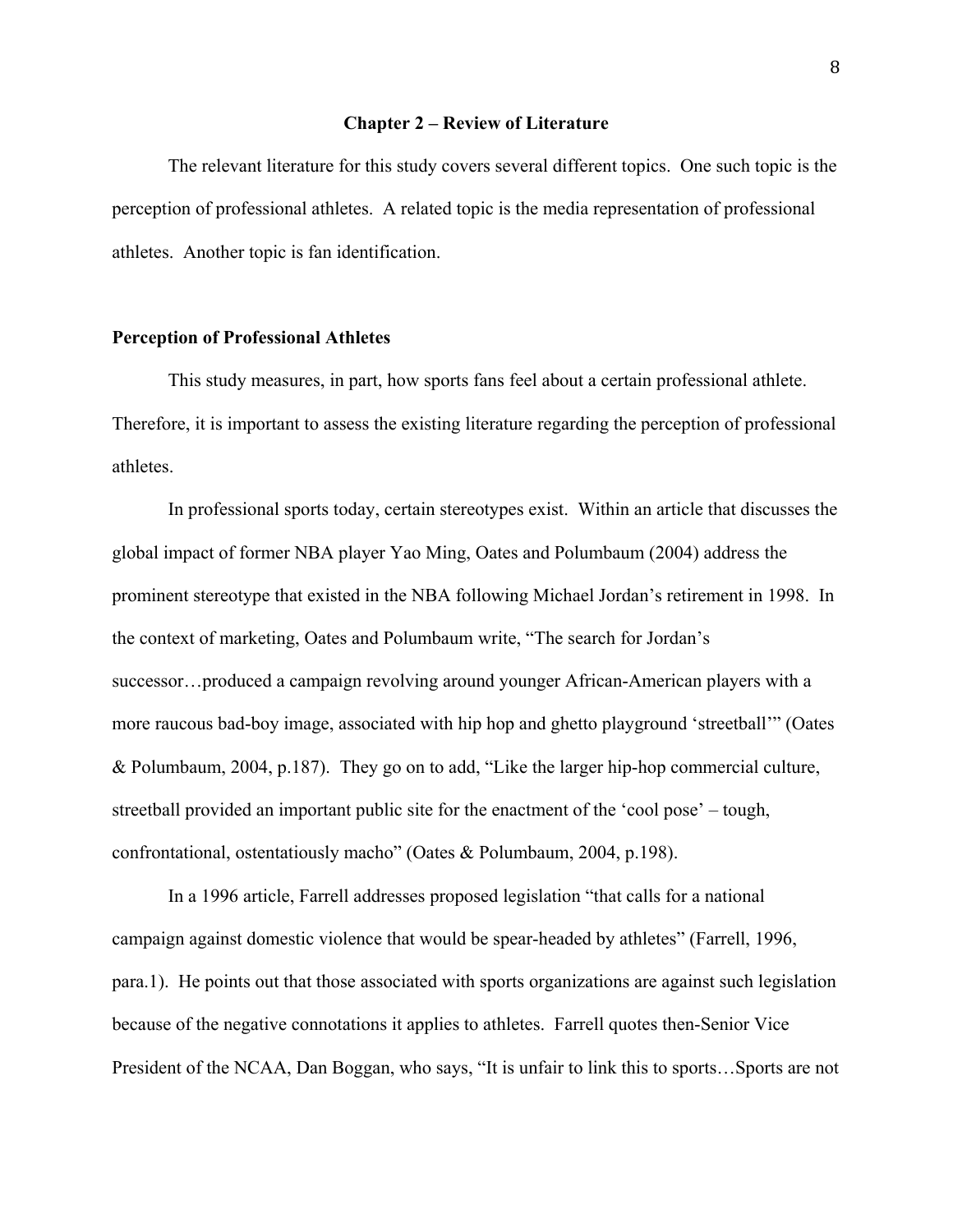### **Chapter 2 – Review of Literature**

 The relevant literature for this study covers several different topics. One such topic is the perception of professional athletes. A related topic is the media representation of professional athletes. Another topic is fan identification.

### **Perception of Professional Athletes**

 This study measures, in part, how sports fans feel about a certain professional athlete. Therefore, it is important to assess the existing literature regarding the perception of professional athletes.

In professional sports today, certain stereotypes exist. Within an article that discusses the global impact of former NBA player Yao Ming, Oates and Polumbaum (2004) address the prominent stereotype that existed in the NBA following Michael Jordan's retirement in 1998. In the context of marketing, Oates and Polumbaum write, "The search for Jordan's successor…produced a campaign revolving around younger African-American players with a more raucous bad-boy image, associated with hip hop and ghetto playground 'streetball'" (Oates & Polumbaum, 2004, p.187). They go on to add, "Like the larger hip-hop commercial culture, streetball provided an important public site for the enactment of the 'cool pose' – tough, confrontational, ostentatiously macho" (Oates & Polumbaum, 2004, p.198).

 In a 1996 article, Farrell addresses proposed legislation "that calls for a national campaign against domestic violence that would be spear-headed by athletes" (Farrell, 1996, para.1). He points out that those associated with sports organizations are against such legislation because of the negative connotations it applies to athletes. Farrell quotes then-Senior Vice President of the NCAA, Dan Boggan, who says, "It is unfair to link this to sports…Sports are not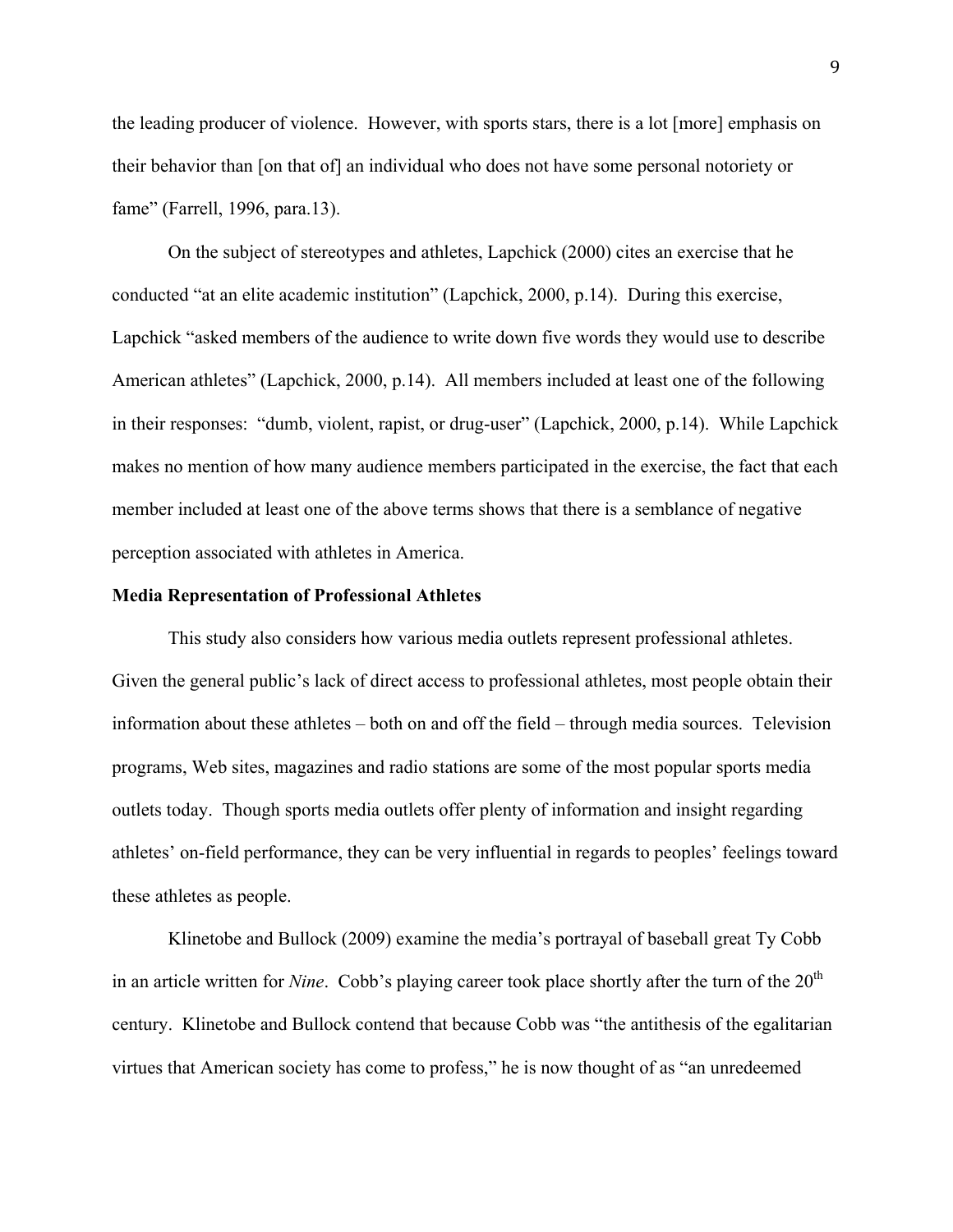the leading producer of violence. However, with sports stars, there is a lot [more] emphasis on their behavior than [on that of] an individual who does not have some personal notoriety or fame" (Farrell, 1996, para.13).

 On the subject of stereotypes and athletes, Lapchick (2000) cites an exercise that he conducted "at an elite academic institution" (Lapchick, 2000, p.14). During this exercise, Lapchick "asked members of the audience to write down five words they would use to describe American athletes" (Lapchick, 2000, p.14). All members included at least one of the following in their responses: "dumb, violent, rapist, or drug-user" (Lapchick, 2000, p.14). While Lapchick makes no mention of how many audience members participated in the exercise, the fact that each member included at least one of the above terms shows that there is a semblance of negative perception associated with athletes in America.

### **Media Representation of Professional Athletes**

 This study also considers how various media outlets represent professional athletes. Given the general public's lack of direct access to professional athletes, most people obtain their information about these athletes – both on and off the field – through media sources. Television programs, Web sites, magazines and radio stations are some of the most popular sports media outlets today. Though sports media outlets offer plenty of information and insight regarding athletes' on-field performance, they can be very influential in regards to peoples' feelings toward these athletes as people.

 Klinetobe and Bullock (2009) examine the media's portrayal of baseball great Ty Cobb in an article written for *Nine*. Cobb's playing career took place shortly after the turn of the 20<sup>th</sup> century. Klinetobe and Bullock contend that because Cobb was "the antithesis of the egalitarian virtues that American society has come to profess," he is now thought of as "an unredeemed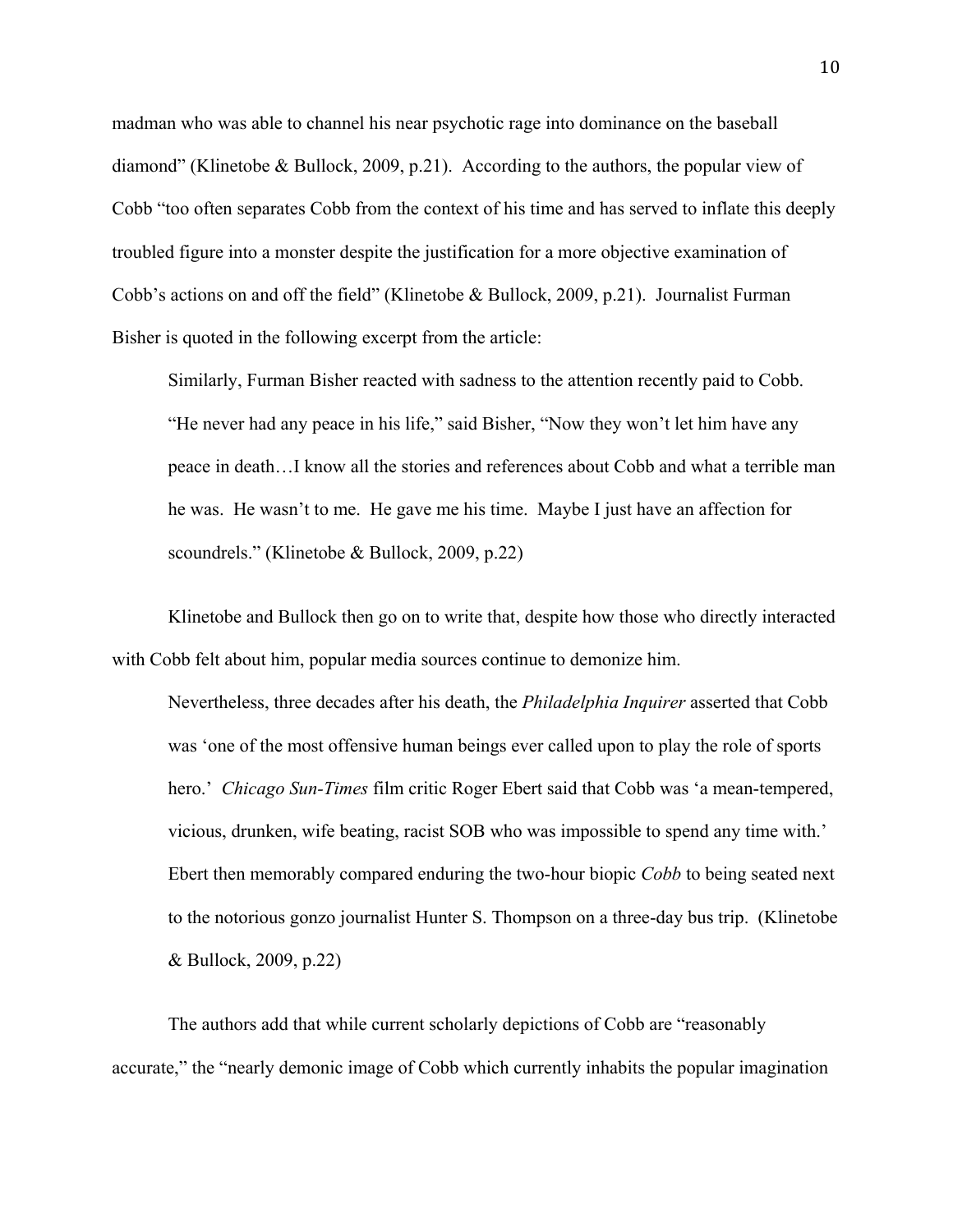madman who was able to channel his near psychotic rage into dominance on the baseball diamond" (Klinetobe & Bullock, 2009, p.21). According to the authors, the popular view of Cobb "too often separates Cobb from the context of his time and has served to inflate this deeply troubled figure into a monster despite the justification for a more objective examination of Cobb's actions on and off the field" (Klinetobe & Bullock, 2009, p.21). Journalist Furman Bisher is quoted in the following excerpt from the article:

Similarly, Furman Bisher reacted with sadness to the attention recently paid to Cobb. "He never had any peace in his life," said Bisher, "Now they won't let him have any peace in death…I know all the stories and references about Cobb and what a terrible man he was. He wasn't to me. He gave me his time. Maybe I just have an affection for scoundrels." (Klinetobe & Bullock, 2009, p.22)

 Klinetobe and Bullock then go on to write that, despite how those who directly interacted with Cobb felt about him, popular media sources continue to demonize him.

Nevertheless, three decades after his death, the *Philadelphia Inquirer* asserted that Cobb was 'one of the most offensive human beings ever called upon to play the role of sports hero.' *Chicago Sun-Times* film critic Roger Ebert said that Cobb was 'a mean-tempered, vicious, drunken, wife beating, racist SOB who was impossible to spend any time with.' Ebert then memorably compared enduring the two-hour biopic *Cobb* to being seated next to the notorious gonzo journalist Hunter S. Thompson on a three-day bus trip. (Klinetobe & Bullock, 2009, p.22)

 The authors add that while current scholarly depictions of Cobb are "reasonably accurate," the "nearly demonic image of Cobb which currently inhabits the popular imagination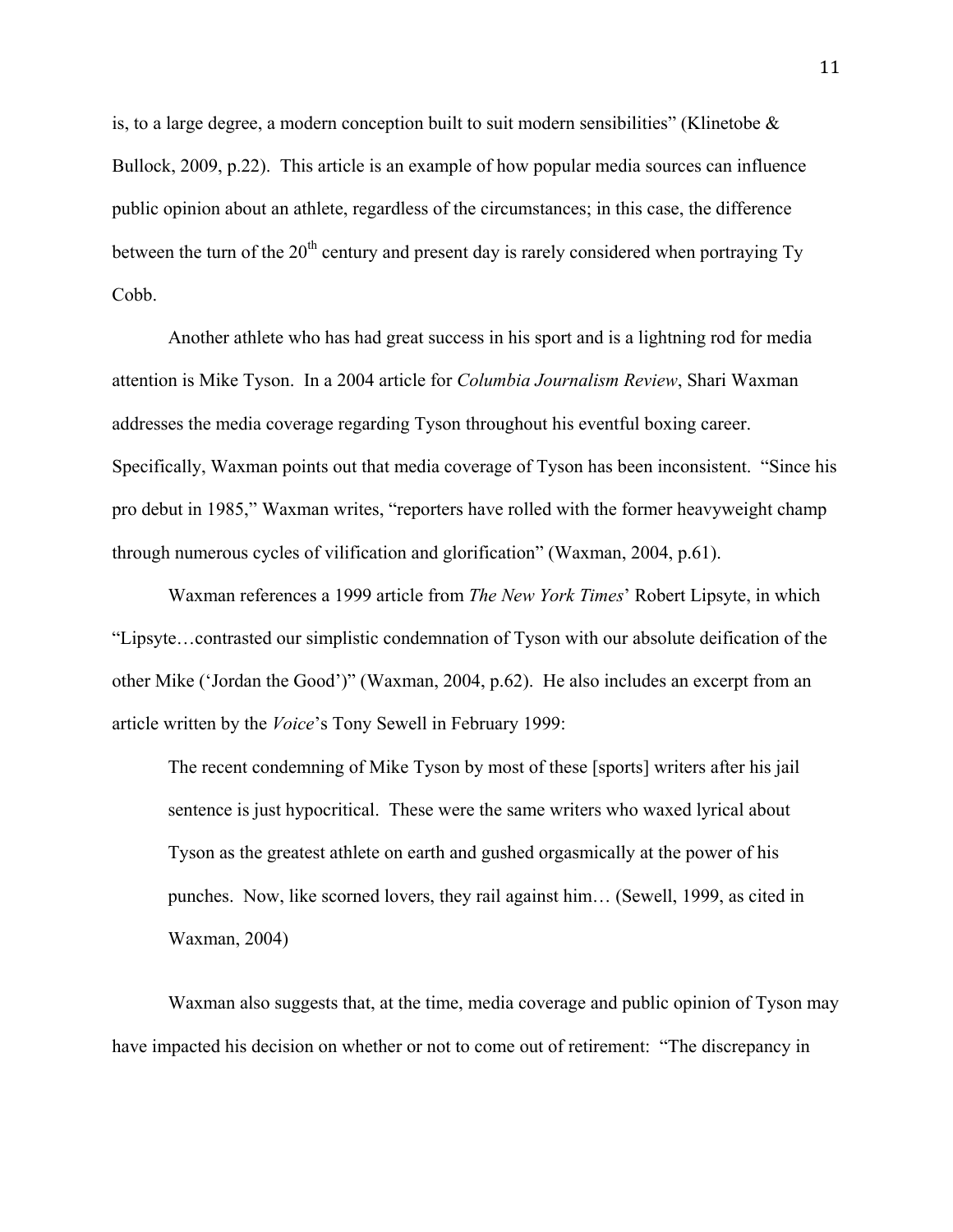is, to a large degree, a modern conception built to suit modern sensibilities" (Klinetobe  $\&$ Bullock, 2009, p.22). This article is an example of how popular media sources can influence public opinion about an athlete, regardless of the circumstances; in this case, the difference between the turn of the  $20<sup>th</sup>$  century and present day is rarely considered when portraying Ty Cobb.

 Another athlete who has had great success in his sport and is a lightning rod for media attention is Mike Tyson. In a 2004 article for *Columbia Journalism Review*, Shari Waxman addresses the media coverage regarding Tyson throughout his eventful boxing career. Specifically, Waxman points out that media coverage of Tyson has been inconsistent. "Since his pro debut in 1985," Waxman writes, "reporters have rolled with the former heavyweight champ through numerous cycles of vilification and glorification" (Waxman, 2004, p.61).

 Waxman references a 1999 article from *The New York Times*' Robert Lipsyte, in which "Lipsyte…contrasted our simplistic condemnation of Tyson with our absolute deification of the other Mike ('Jordan the Good')" (Waxman, 2004, p.62). He also includes an excerpt from an article written by the *Voice*'s Tony Sewell in February 1999:

The recent condemning of Mike Tyson by most of these [sports] writers after his jail sentence is just hypocritical. These were the same writers who waxed lyrical about Tyson as the greatest athlete on earth and gushed orgasmically at the power of his punches. Now, like scorned lovers, they rail against him… (Sewell, 1999, as cited in Waxman, 2004)

 Waxman also suggests that, at the time, media coverage and public opinion of Tyson may have impacted his decision on whether or not to come out of retirement: "The discrepancy in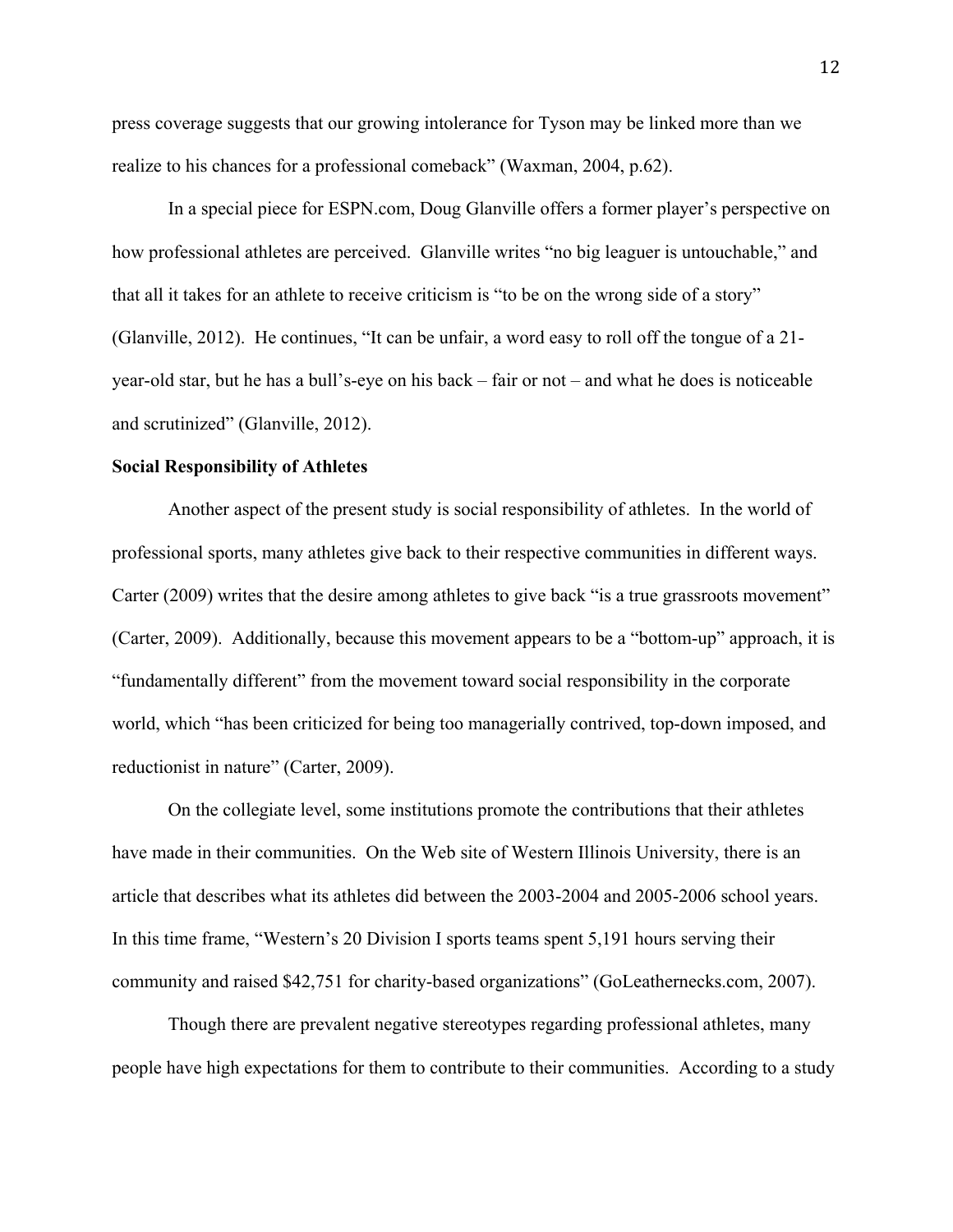press coverage suggests that our growing intolerance for Tyson may be linked more than we realize to his chances for a professional comeback" (Waxman, 2004, p.62).

 In a special piece for ESPN.com, Doug Glanville offers a former player's perspective on how professional athletes are perceived. Glanville writes "no big leaguer is untouchable," and that all it takes for an athlete to receive criticism is "to be on the wrong side of a story" (Glanville, 2012). He continues, "It can be unfair, a word easy to roll off the tongue of a 21 year-old star, but he has a bull's-eye on his back – fair or not – and what he does is noticeable and scrutinized" (Glanville, 2012).

### **Social Responsibility of Athletes**

Another aspect of the present study is social responsibility of athletes. In the world of professional sports, many athletes give back to their respective communities in different ways. Carter (2009) writes that the desire among athletes to give back "is a true grassroots movement" (Carter, 2009). Additionally, because this movement appears to be a "bottom-up" approach, it is "fundamentally different" from the movement toward social responsibility in the corporate world, which "has been criticized for being too managerially contrived, top-down imposed, and reductionist in nature" (Carter, 2009).

 On the collegiate level, some institutions promote the contributions that their athletes have made in their communities. On the Web site of Western Illinois University, there is an article that describes what its athletes did between the 2003-2004 and 2005-2006 school years. In this time frame, "Western's 20 Division I sports teams spent 5,191 hours serving their community and raised \$42,751 for charity-based organizations" (GoLeathernecks.com, 2007).

 Though there are prevalent negative stereotypes regarding professional athletes, many people have high expectations for them to contribute to their communities. According to a study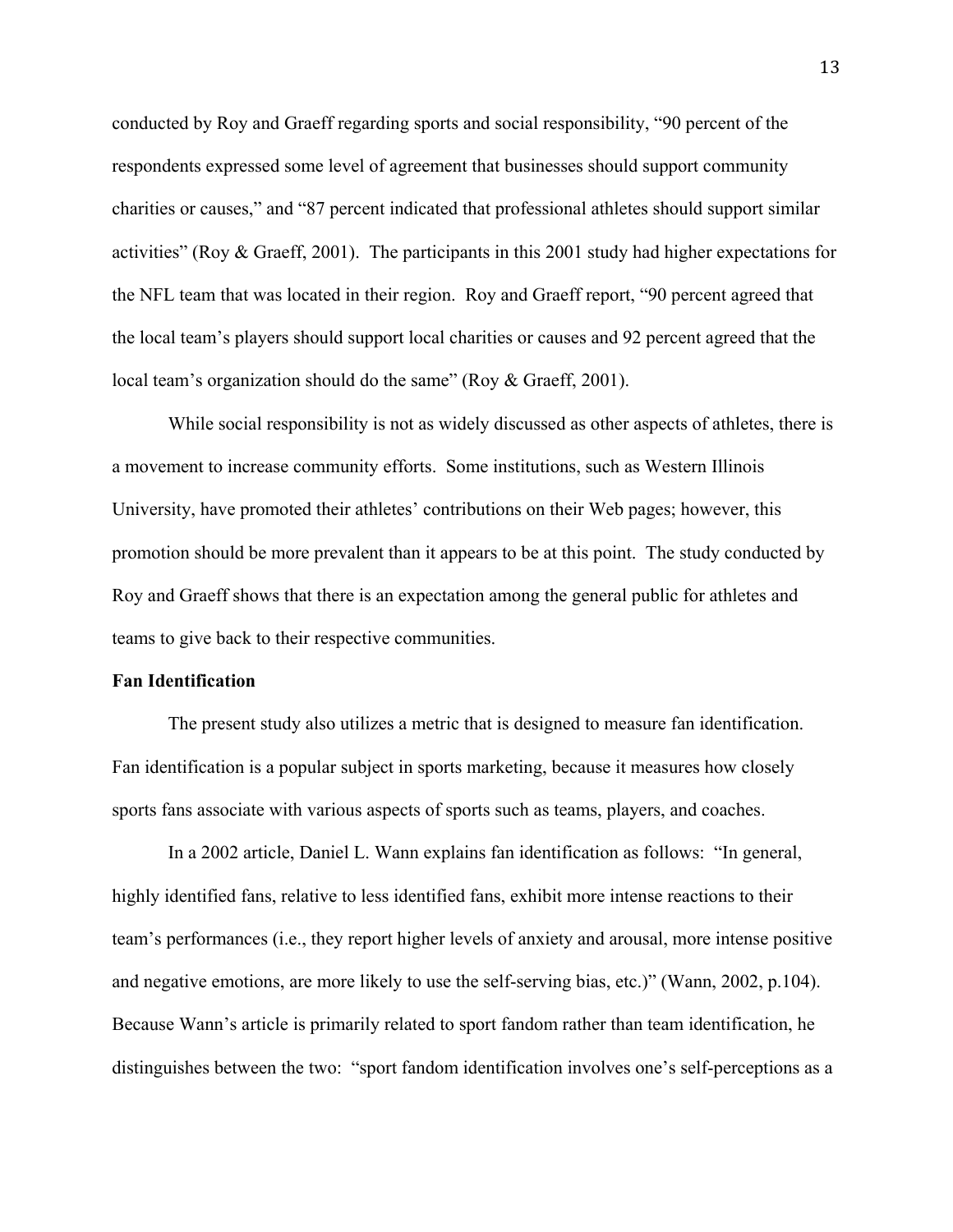conducted by Roy and Graeff regarding sports and social responsibility, "90 percent of the respondents expressed some level of agreement that businesses should support community charities or causes," and "87 percent indicated that professional athletes should support similar activities" (Roy & Graeff, 2001). The participants in this 2001 study had higher expectations for the NFL team that was located in their region. Roy and Graeff report, "90 percent agreed that the local team's players should support local charities or causes and 92 percent agreed that the local team's organization should do the same" (Roy & Graeff, 2001).

 While social responsibility is not as widely discussed as other aspects of athletes, there is a movement to increase community efforts. Some institutions, such as Western Illinois University, have promoted their athletes' contributions on their Web pages; however, this promotion should be more prevalent than it appears to be at this point. The study conducted by Roy and Graeff shows that there is an expectation among the general public for athletes and teams to give back to their respective communities.

### **Fan Identification**

The present study also utilizes a metric that is designed to measure fan identification. Fan identification is a popular subject in sports marketing, because it measures how closely sports fans associate with various aspects of sports such as teams, players, and coaches.

In a 2002 article, Daniel L. Wann explains fan identification as follows: "In general, highly identified fans, relative to less identified fans, exhibit more intense reactions to their team's performances (i.e., they report higher levels of anxiety and arousal, more intense positive and negative emotions, are more likely to use the self-serving bias, etc.)" (Wann, 2002, p.104). Because Wann's article is primarily related to sport fandom rather than team identification, he distinguishes between the two: "sport fandom identification involves one's self-perceptions as a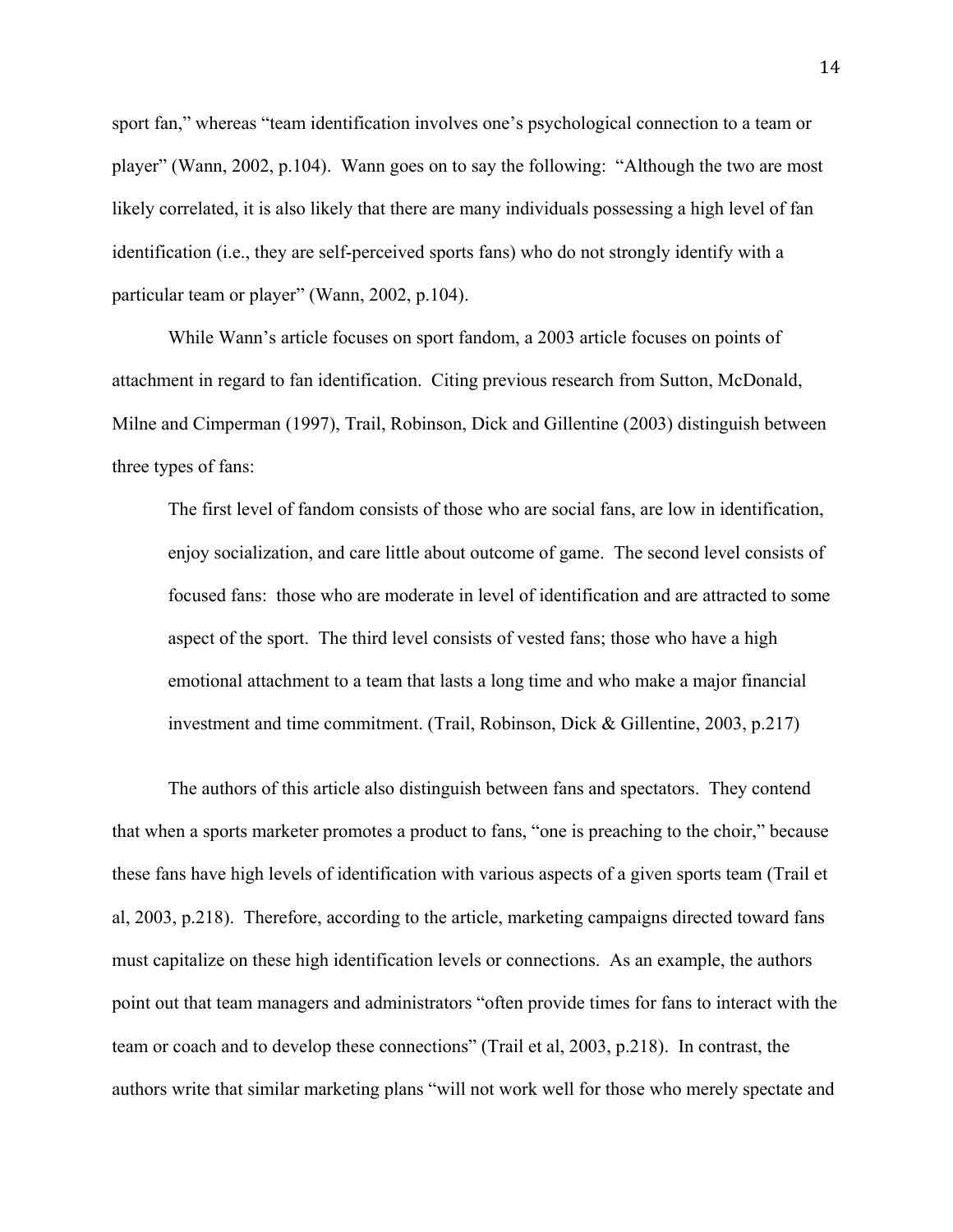sport fan," whereas "team identification involves one's psychological connection to a team or player" (Wann, 2002, p.104). Wann goes on to say the following: "Although the two are most likely correlated, it is also likely that there are many individuals possessing a high level of fan identification (i.e., they are self-perceived sports fans) who do not strongly identify with a particular team or player" (Wann, 2002, p.104).

While Wann's article focuses on sport fandom, a 2003 article focuses on points of attachment in regard to fan identification. Citing previous research from Sutton, McDonald, Milne and Cimperman (1997), Trail, Robinson, Dick and Gillentine (2003) distinguish between three types of fans:

The first level of fandom consists of those who are social fans, are low in identification, enjoy socialization, and care little about outcome of game. The second level consists of focused fans: those who are moderate in level of identification and are attracted to some aspect of the sport. The third level consists of vested fans; those who have a high emotional attachment to a team that lasts a long time and who make a major financial investment and time commitment. (Trail, Robinson, Dick & Gillentine, 2003, p.217)

 The authors of this article also distinguish between fans and spectators. They contend that when a sports marketer promotes a product to fans, "one is preaching to the choir," because these fans have high levels of identification with various aspects of a given sports team (Trail et al, 2003, p.218). Therefore, according to the article, marketing campaigns directed toward fans must capitalize on these high identification levels or connections. As an example, the authors point out that team managers and administrators "often provide times for fans to interact with the team or coach and to develop these connections" (Trail et al, 2003, p.218). In contrast, the authors write that similar marketing plans "will not work well for those who merely spectate and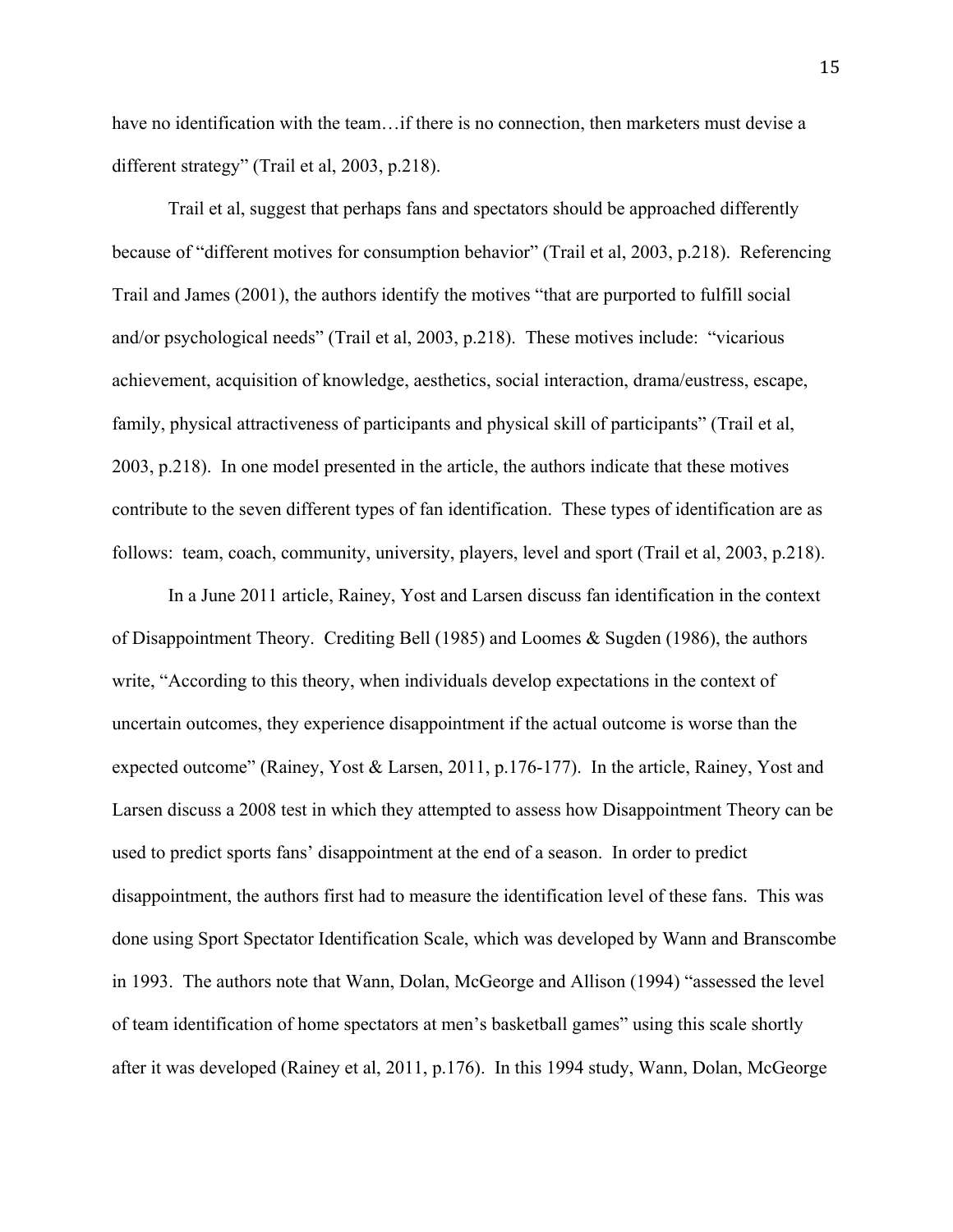have no identification with the team... if there is no connection, then marketers must devise a different strategy" (Trail et al, 2003, p.218).

Trail et al, suggest that perhaps fans and spectators should be approached differently because of "different motives for consumption behavior" (Trail et al, 2003, p.218). Referencing Trail and James (2001), the authors identify the motives "that are purported to fulfill social and/or psychological needs" (Trail et al, 2003, p.218). These motives include: "vicarious achievement, acquisition of knowledge, aesthetics, social interaction, drama/eustress, escape, family, physical attractiveness of participants and physical skill of participants" (Trail et al, 2003, p.218). In one model presented in the article, the authors indicate that these motives contribute to the seven different types of fan identification. These types of identification are as follows: team, coach, community, university, players, level and sport (Trail et al, 2003, p.218).

In a June 2011 article, Rainey, Yost and Larsen discuss fan identification in the context of Disappointment Theory. Crediting Bell (1985) and Loomes & Sugden (1986), the authors write, "According to this theory, when individuals develop expectations in the context of uncertain outcomes, they experience disappointment if the actual outcome is worse than the expected outcome" (Rainey, Yost & Larsen, 2011, p.176-177). In the article, Rainey, Yost and Larsen discuss a 2008 test in which they attempted to assess how Disappointment Theory can be used to predict sports fans' disappointment at the end of a season. In order to predict disappointment, the authors first had to measure the identification level of these fans. This was done using Sport Spectator Identification Scale, which was developed by Wann and Branscombe in 1993. The authors note that Wann, Dolan, McGeorge and Allison (1994) "assessed the level of team identification of home spectators at men's basketball games" using this scale shortly after it was developed (Rainey et al, 2011, p.176). In this 1994 study, Wann, Dolan, McGeorge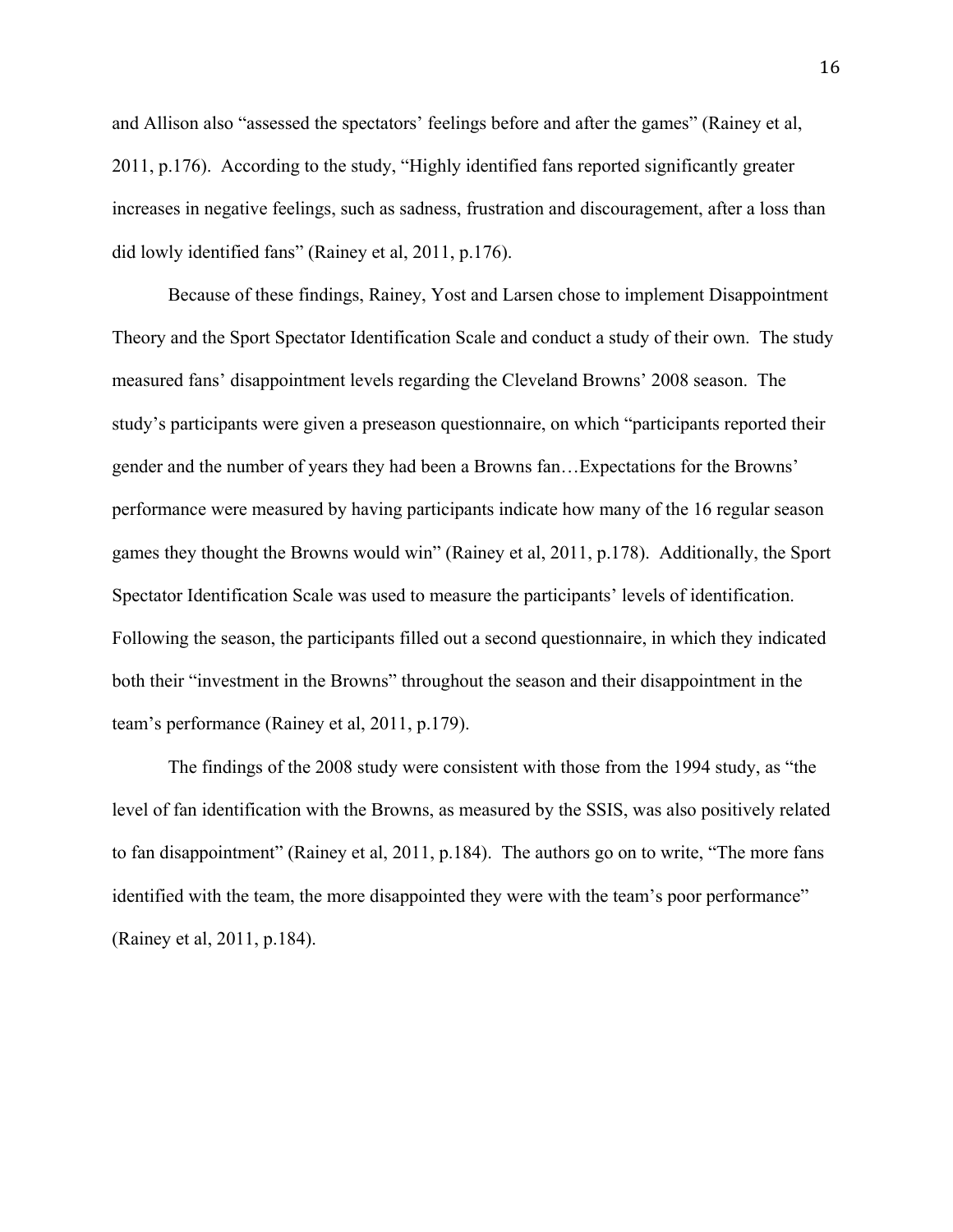and Allison also "assessed the spectators' feelings before and after the games" (Rainey et al, 2011, p.176). According to the study, "Highly identified fans reported significantly greater increases in negative feelings, such as sadness, frustration and discouragement, after a loss than did lowly identified fans" (Rainey et al, 2011, p.176).

Because of these findings, Rainey, Yost and Larsen chose to implement Disappointment Theory and the Sport Spectator Identification Scale and conduct a study of their own. The study measured fans' disappointment levels regarding the Cleveland Browns' 2008 season. The study's participants were given a preseason questionnaire, on which "participants reported their gender and the number of years they had been a Browns fan…Expectations for the Browns' performance were measured by having participants indicate how many of the 16 regular season games they thought the Browns would win" (Rainey et al, 2011, p.178). Additionally, the Sport Spectator Identification Scale was used to measure the participants' levels of identification. Following the season, the participants filled out a second questionnaire, in which they indicated both their "investment in the Browns" throughout the season and their disappointment in the team's performance (Rainey et al, 2011, p.179).

The findings of the 2008 study were consistent with those from the 1994 study, as "the level of fan identification with the Browns, as measured by the SSIS, was also positively related to fan disappointment" (Rainey et al, 2011, p.184). The authors go on to write, "The more fans identified with the team, the more disappointed they were with the team's poor performance" (Rainey et al, 2011, p.184).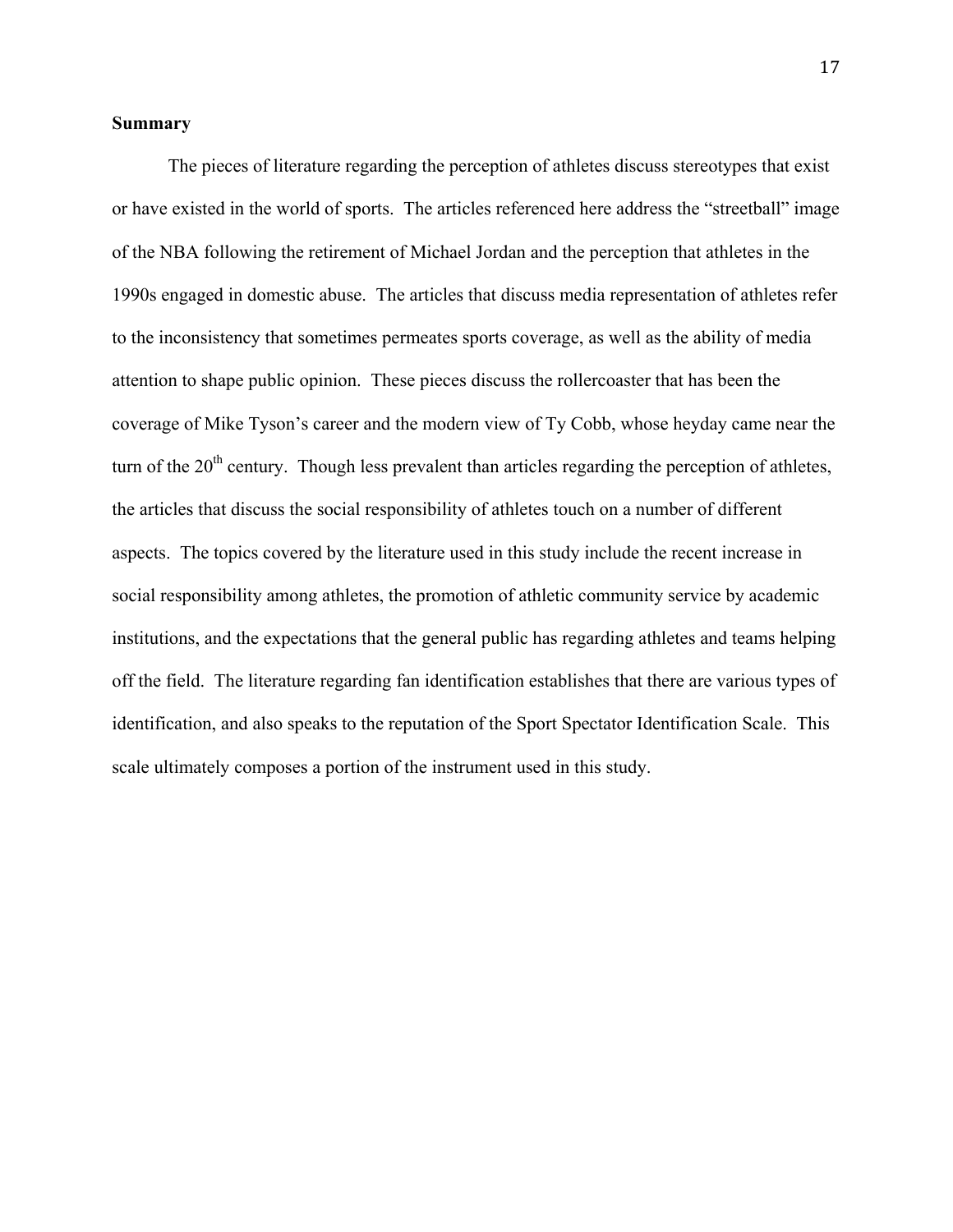### **Summary**

 The pieces of literature regarding the perception of athletes discuss stereotypes that exist or have existed in the world of sports. The articles referenced here address the "streetball" image of the NBA following the retirement of Michael Jordan and the perception that athletes in the 1990s engaged in domestic abuse. The articles that discuss media representation of athletes refer to the inconsistency that sometimes permeates sports coverage, as well as the ability of media attention to shape public opinion. These pieces discuss the rollercoaster that has been the coverage of Mike Tyson's career and the modern view of Ty Cobb, whose heyday came near the turn of the 20<sup>th</sup> century. Though less prevalent than articles regarding the perception of athletes, the articles that discuss the social responsibility of athletes touch on a number of different aspects. The topics covered by the literature used in this study include the recent increase in social responsibility among athletes, the promotion of athletic community service by academic institutions, and the expectations that the general public has regarding athletes and teams helping off the field. The literature regarding fan identification establishes that there are various types of identification, and also speaks to the reputation of the Sport Spectator Identification Scale. This scale ultimately composes a portion of the instrument used in this study.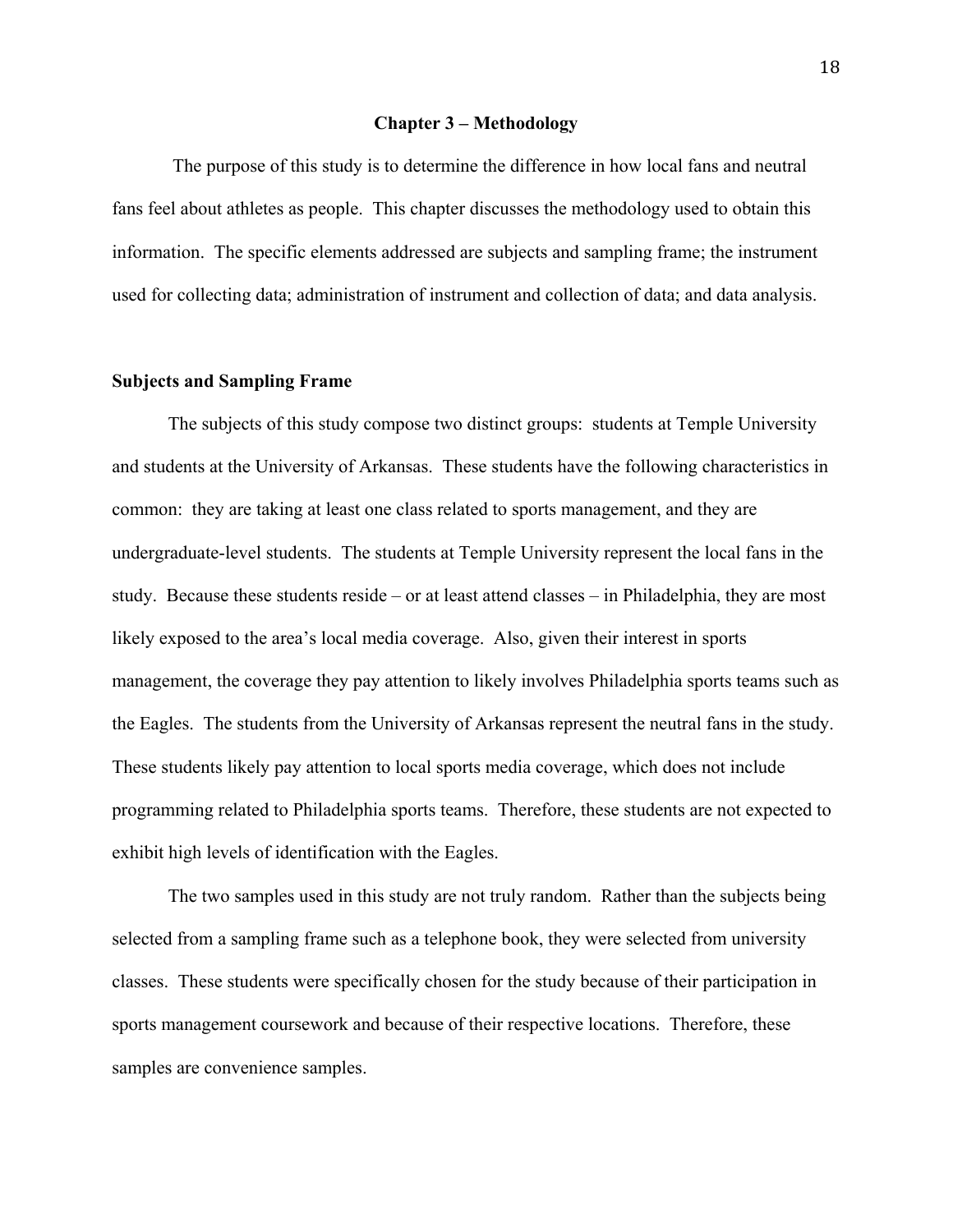#### **Chapter 3 – Methodology**

 The purpose of this study is to determine the difference in how local fans and neutral fans feel about athletes as people. This chapter discusses the methodology used to obtain this information. The specific elements addressed are subjects and sampling frame; the instrument used for collecting data; administration of instrument and collection of data; and data analysis.

### **Subjects and Sampling Frame**

The subjects of this study compose two distinct groups: students at Temple University and students at the University of Arkansas. These students have the following characteristics in common: they are taking at least one class related to sports management, and they are undergraduate-level students. The students at Temple University represent the local fans in the study. Because these students reside – or at least attend classes – in Philadelphia, they are most likely exposed to the area's local media coverage. Also, given their interest in sports management, the coverage they pay attention to likely involves Philadelphia sports teams such as the Eagles. The students from the University of Arkansas represent the neutral fans in the study. These students likely pay attention to local sports media coverage, which does not include programming related to Philadelphia sports teams. Therefore, these students are not expected to exhibit high levels of identification with the Eagles.

 The two samples used in this study are not truly random. Rather than the subjects being selected from a sampling frame such as a telephone book, they were selected from university classes. These students were specifically chosen for the study because of their participation in sports management coursework and because of their respective locations. Therefore, these samples are convenience samples.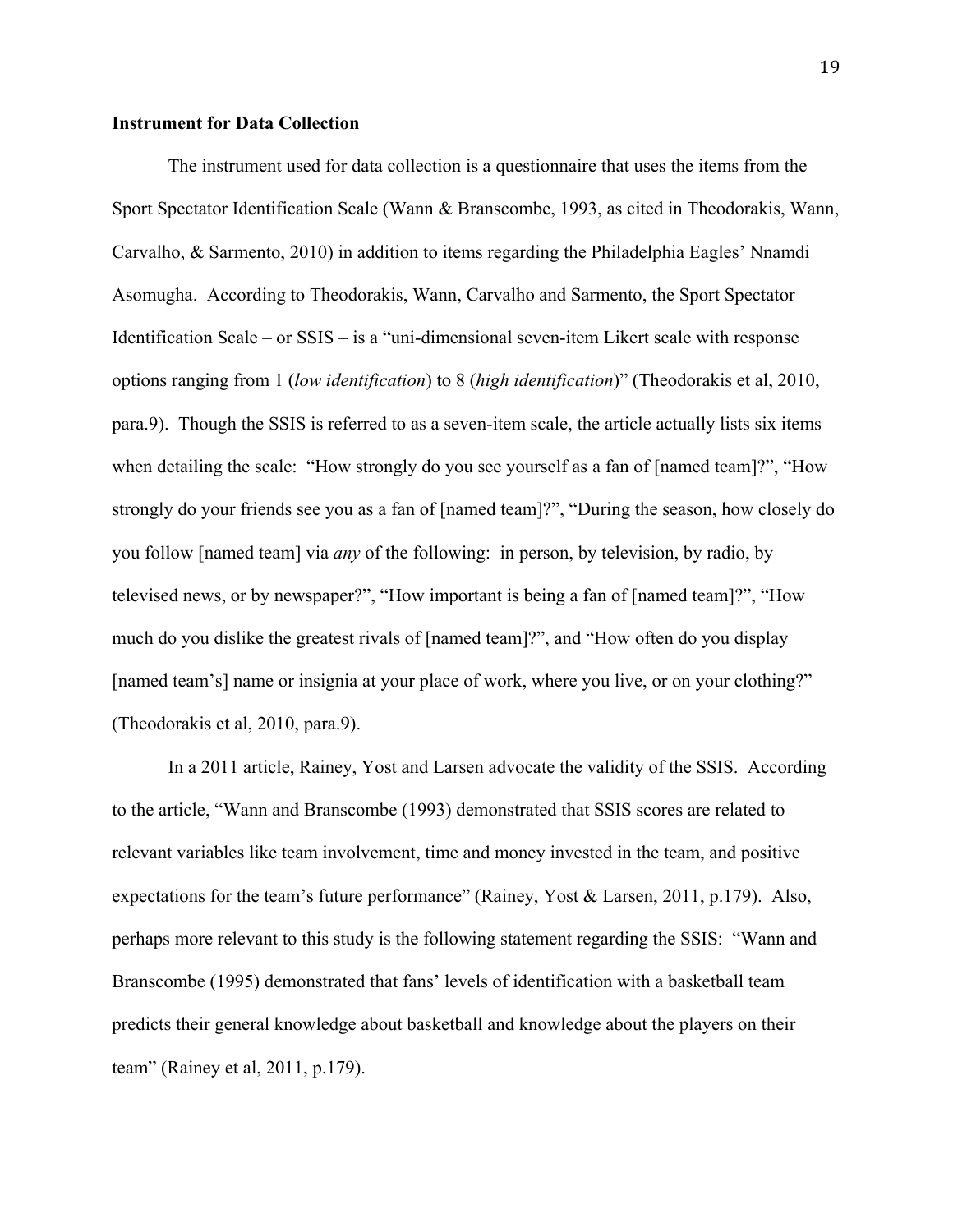### **Instrument for Data Collection**

The instrument used for data collection is a questionnaire that uses the items from the Sport Spectator Identification Scale (Wann & Branscombe, 1993, as cited in Theodorakis, Wann, Carvalho, & Sarmento, 2010) in addition to items regarding the Philadelphia Eagles' Nnamdi Asomugha. According to Theodorakis, Wann, Carvalho and Sarmento, the Sport Spectator Identification Scale – or SSIS – is a "uni-dimensional seven-item Likert scale with response options ranging from 1 (*low identification*) to 8 (*high identification*)" (Theodorakis et al, 2010, para.9). Though the SSIS is referred to as a seven-item scale, the article actually lists six items when detailing the scale: "How strongly do you see yourself as a fan of [named team]?", "How strongly do your friends see you as a fan of [named team]?", "During the season, how closely do you follow [named team] via *any* of the following: in person, by television, by radio, by televised news, or by newspaper?", "How important is being a fan of [named team]?", "How much do you dislike the greatest rivals of [named team]?", and "How often do you display [named team's] name or insignia at your place of work, where you live, or on your clothing?" (Theodorakis et al, 2010, para.9).

 In a 2011 article, Rainey, Yost and Larsen advocate the validity of the SSIS. According to the article, "Wann and Branscombe (1993) demonstrated that SSIS scores are related to relevant variables like team involvement, time and money invested in the team, and positive expectations for the team's future performance" (Rainey, Yost & Larsen, 2011, p.179). Also, perhaps more relevant to this study is the following statement regarding the SSIS: "Wann and Branscombe (1995) demonstrated that fans' levels of identification with a basketball team predicts their general knowledge about basketball and knowledge about the players on their team" (Rainey et al, 2011, p.179).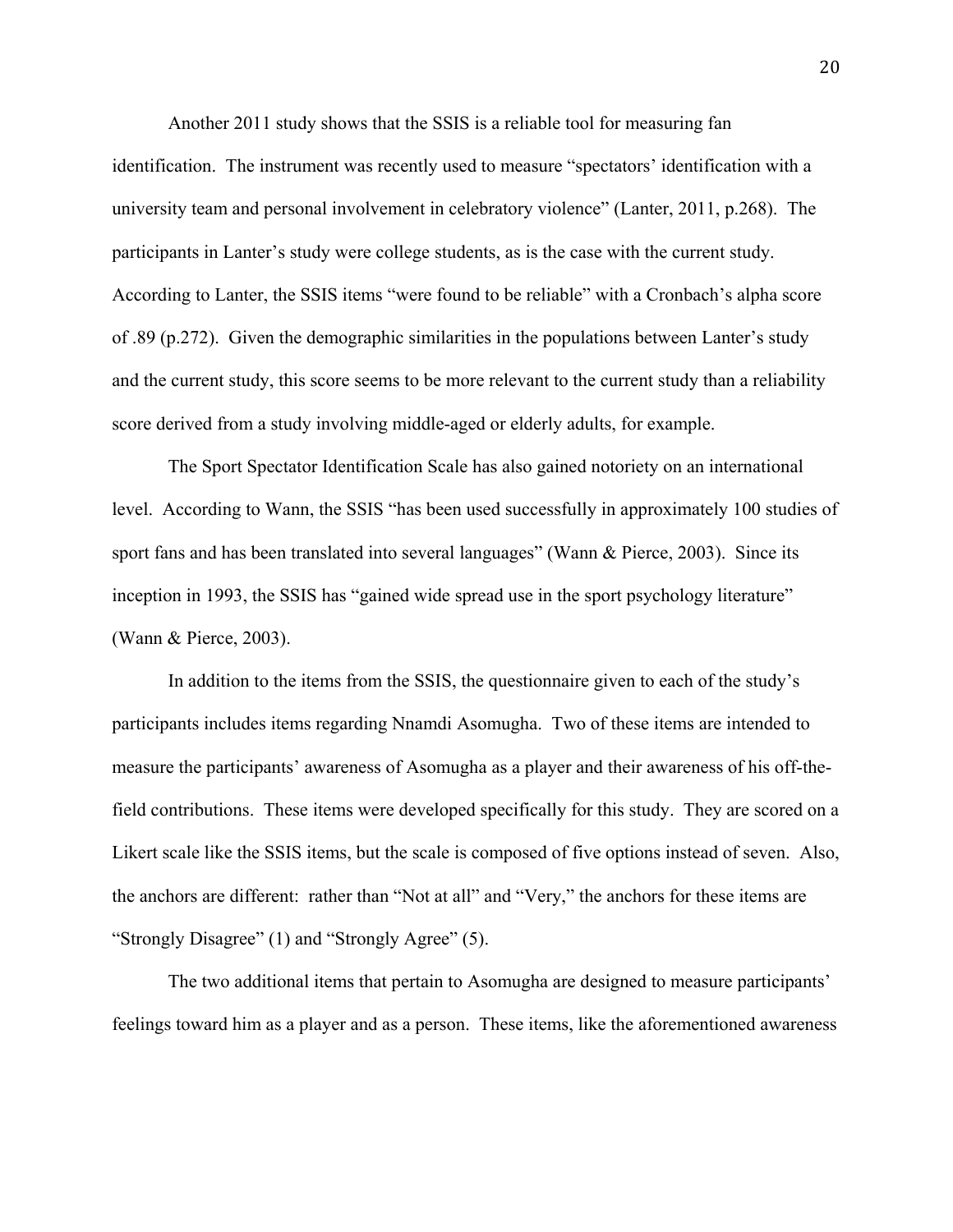Another 2011 study shows that the SSIS is a reliable tool for measuring fan identification. The instrument was recently used to measure "spectators' identification with a university team and personal involvement in celebratory violence" (Lanter, 2011, p.268). The participants in Lanter's study were college students, as is the case with the current study. According to Lanter, the SSIS items "were found to be reliable" with a Cronbach's alpha score of .89 (p.272). Given the demographic similarities in the populations between Lanter's study and the current study, this score seems to be more relevant to the current study than a reliability score derived from a study involving middle-aged or elderly adults, for example.

 The Sport Spectator Identification Scale has also gained notoriety on an international level. According to Wann, the SSIS "has been used successfully in approximately 100 studies of sport fans and has been translated into several languages" (Wann & Pierce, 2003). Since its inception in 1993, the SSIS has "gained wide spread use in the sport psychology literature" (Wann & Pierce, 2003).

 In addition to the items from the SSIS, the questionnaire given to each of the study's participants includes items regarding Nnamdi Asomugha. Two of these items are intended to measure the participants' awareness of Asomugha as a player and their awareness of his off-thefield contributions. These items were developed specifically for this study. They are scored on a Likert scale like the SSIS items, but the scale is composed of five options instead of seven. Also, the anchors are different: rather than "Not at all" and "Very," the anchors for these items are "Strongly Disagree" (1) and "Strongly Agree" (5).

The two additional items that pertain to Asomugha are designed to measure participants' feelings toward him as a player and as a person. These items, like the aforementioned awareness

**20**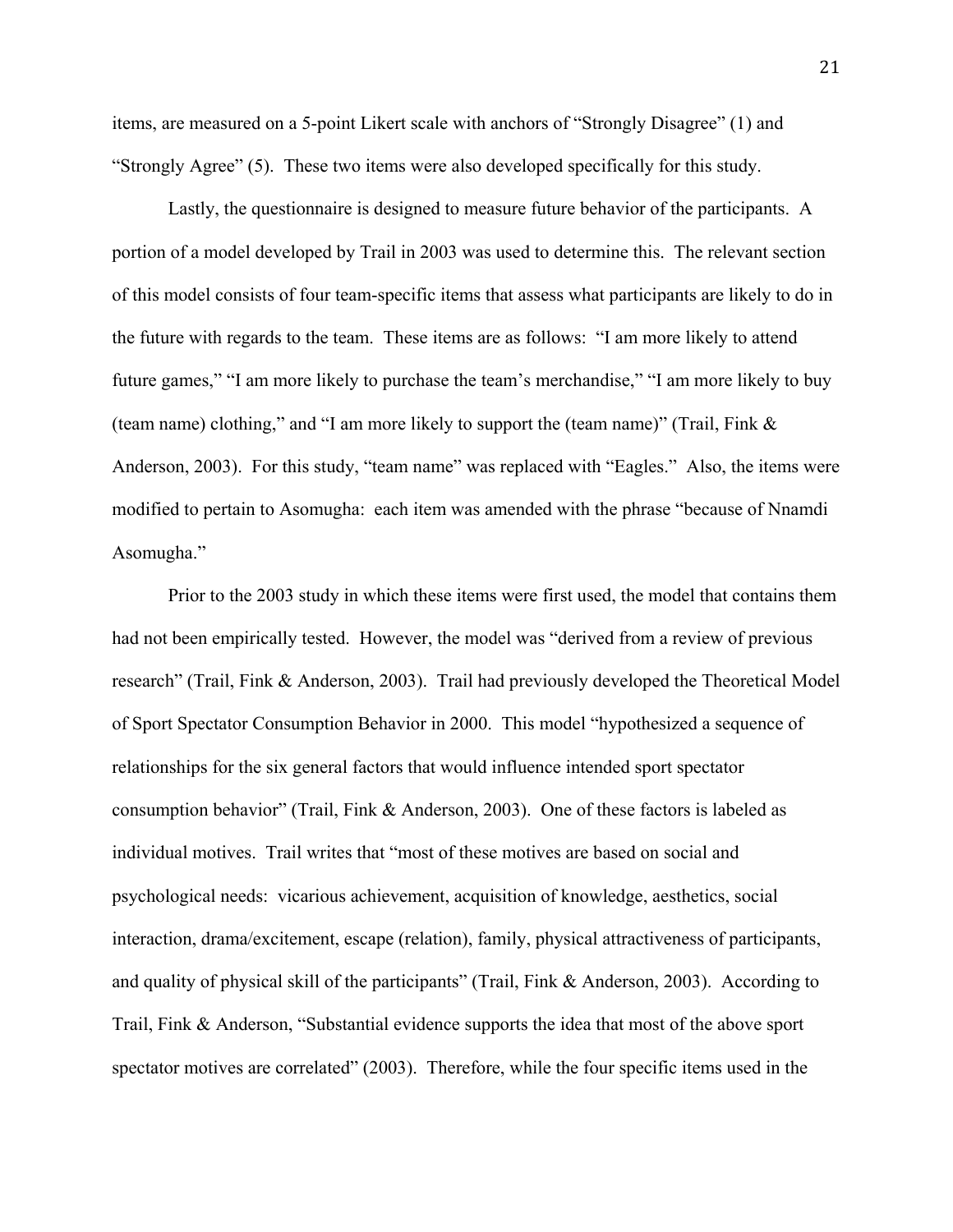items, are measured on a 5-point Likert scale with anchors of "Strongly Disagree" (1) and "Strongly Agree" (5). These two items were also developed specifically for this study.

Lastly, the questionnaire is designed to measure future behavior of the participants. A portion of a model developed by Trail in 2003 was used to determine this. The relevant section of this model consists of four team-specific items that assess what participants are likely to do in the future with regards to the team. These items are as follows: "I am more likely to attend future games," "I am more likely to purchase the team's merchandise," "I am more likely to buy (team name) clothing," and "I am more likely to support the (team name)" (Trail, Fink & Anderson, 2003). For this study, "team name" was replaced with "Eagles." Also, the items were modified to pertain to Asomugha: each item was amended with the phrase "because of Nnamdi Asomugha."

Prior to the 2003 study in which these items were first used, the model that contains them had not been empirically tested. However, the model was "derived from a review of previous research" (Trail, Fink & Anderson, 2003). Trail had previously developed the Theoretical Model of Sport Spectator Consumption Behavior in 2000. This model "hypothesized a sequence of relationships for the six general factors that would influence intended sport spectator consumption behavior" (Trail, Fink & Anderson, 2003). One of these factors is labeled as individual motives. Trail writes that "most of these motives are based on social and psychological needs: vicarious achievement, acquisition of knowledge, aesthetics, social interaction, drama/excitement, escape (relation), family, physical attractiveness of participants, and quality of physical skill of the participants" (Trail, Fink & Anderson, 2003). According to Trail, Fink & Anderson, "Substantial evidence supports the idea that most of the above sport spectator motives are correlated" (2003). Therefore, while the four specific items used in the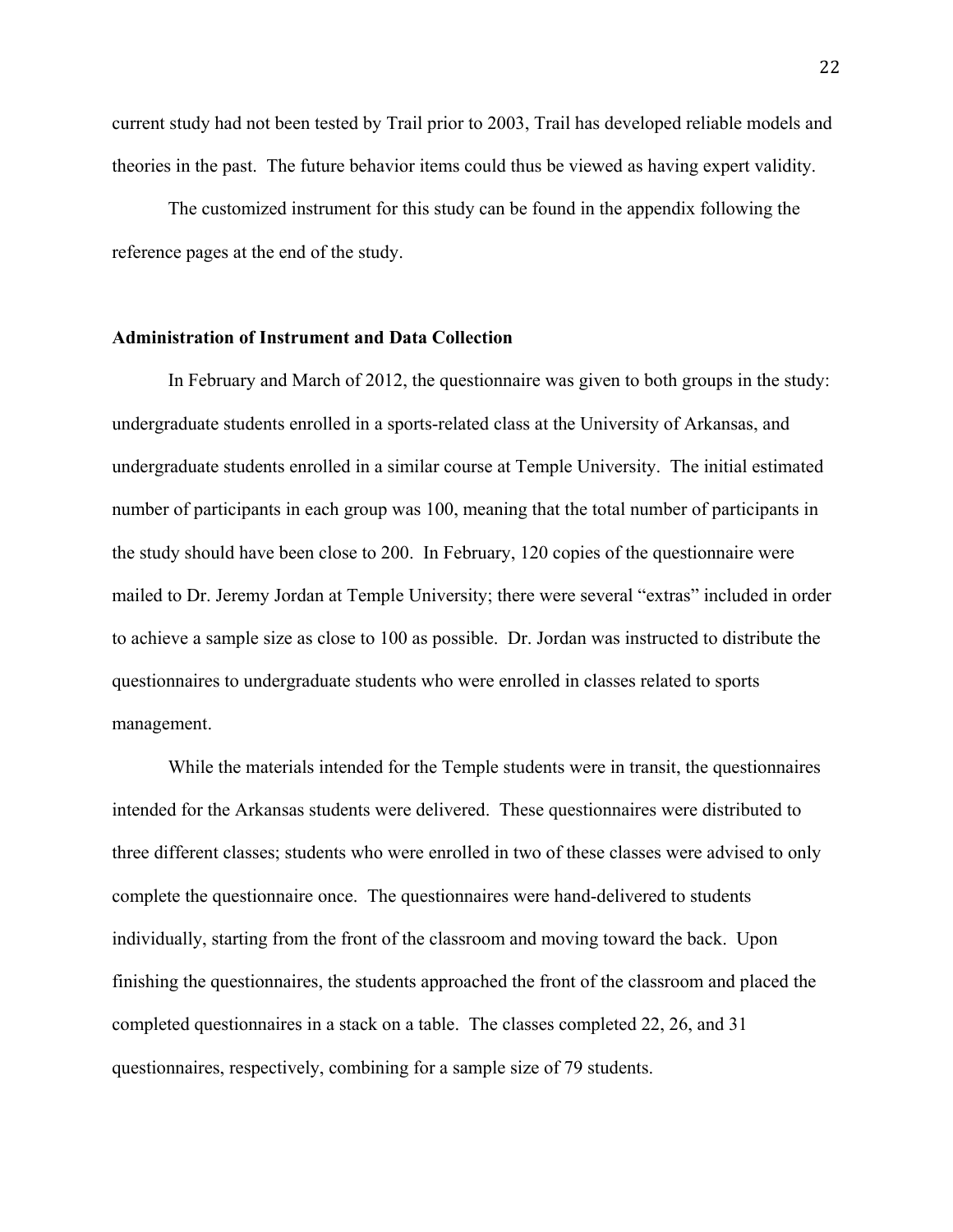current study had not been tested by Trail prior to 2003, Trail has developed reliable models and theories in the past. The future behavior items could thus be viewed as having expert validity.

The customized instrument for this study can be found in the appendix following the reference pages at the end of the study.

### **Administration of Instrument and Data Collection**

 In February and March of 2012, the questionnaire was given to both groups in the study: undergraduate students enrolled in a sports-related class at the University of Arkansas, and undergraduate students enrolled in a similar course at Temple University. The initial estimated number of participants in each group was 100, meaning that the total number of participants in the study should have been close to 200. In February, 120 copies of the questionnaire were mailed to Dr. Jeremy Jordan at Temple University; there were several "extras" included in order to achieve a sample size as close to 100 as possible. Dr. Jordan was instructed to distribute the questionnaires to undergraduate students who were enrolled in classes related to sports management.

 While the materials intended for the Temple students were in transit, the questionnaires intended for the Arkansas students were delivered. These questionnaires were distributed to three different classes; students who were enrolled in two of these classes were advised to only complete the questionnaire once. The questionnaires were hand-delivered to students individually, starting from the front of the classroom and moving toward the back. Upon finishing the questionnaires, the students approached the front of the classroom and placed the completed questionnaires in a stack on a table. The classes completed 22, 26, and 31 questionnaires, respectively, combining for a sample size of 79 students.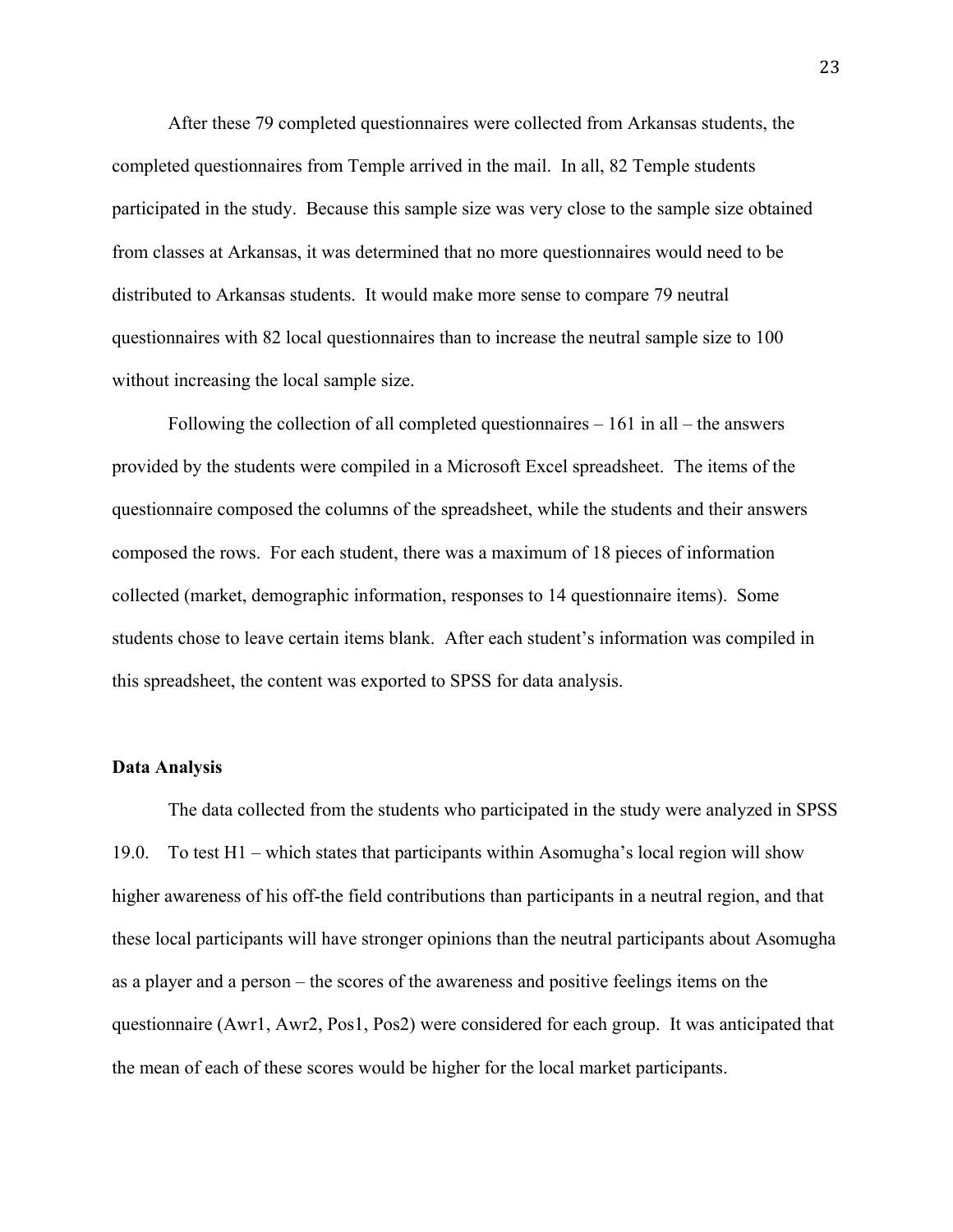After these 79 completed questionnaires were collected from Arkansas students, the completed questionnaires from Temple arrived in the mail. In all, 82 Temple students participated in the study. Because this sample size was very close to the sample size obtained from classes at Arkansas, it was determined that no more questionnaires would need to be distributed to Arkansas students. It would make more sense to compare 79 neutral questionnaires with 82 local questionnaires than to increase the neutral sample size to 100 without increasing the local sample size.

 Following the collection of all completed questionnaires – 161 in all – the answers provided by the students were compiled in a Microsoft Excel spreadsheet. The items of the questionnaire composed the columns of the spreadsheet, while the students and their answers composed the rows. For each student, there was a maximum of 18 pieces of information collected (market, demographic information, responses to 14 questionnaire items). Some students chose to leave certain items blank. After each student's information was compiled in this spreadsheet, the content was exported to SPSS for data analysis.

#### **Data Analysis**

 The data collected from the students who participated in the study were analyzed in SPSS 19.0. To test H1 – which states that participants within Asomugha's local region will show higher awareness of his off-the field contributions than participants in a neutral region, and that these local participants will have stronger opinions than the neutral participants about Asomugha as a player and a person – the scores of the awareness and positive feelings items on the questionnaire (Awr1, Awr2, Pos1, Pos2) were considered for each group. It was anticipated that the mean of each of these scores would be higher for the local market participants.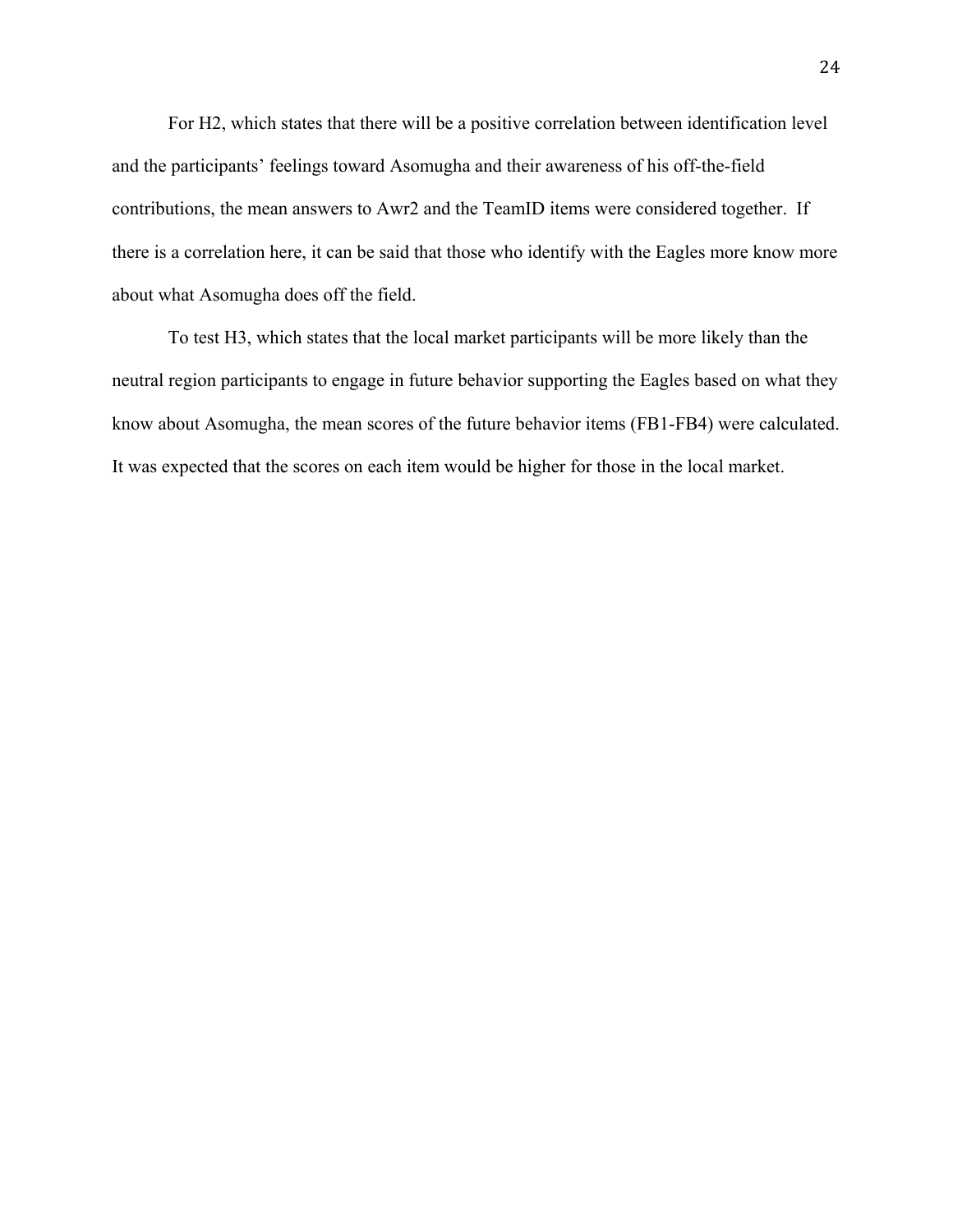For H2, which states that there will be a positive correlation between identification level and the participants' feelings toward Asomugha and their awareness of his off-the-field contributions, the mean answers to Awr2 and the TeamID items were considered together. If there is a correlation here, it can be said that those who identify with the Eagles more know more about what Asomugha does off the field.

 To test H3, which states that the local market participants will be more likely than the neutral region participants to engage in future behavior supporting the Eagles based on what they know about Asomugha, the mean scores of the future behavior items (FB1-FB4) were calculated. It was expected that the scores on each item would be higher for those in the local market.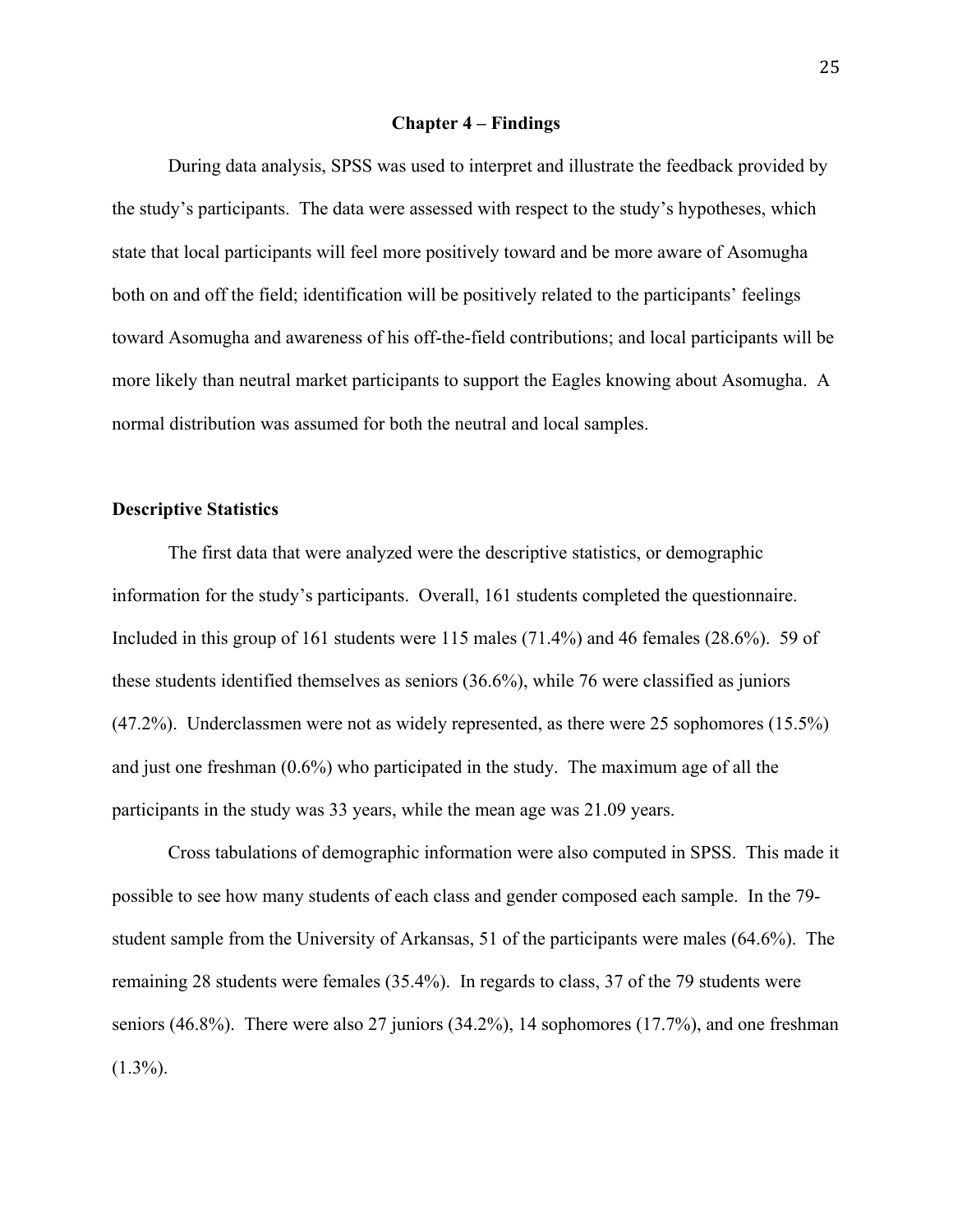### **Chapter 4 – Findings**

During data analysis, SPSS was used to interpret and illustrate the feedback provided by the study's participants. The data were assessed with respect to the study's hypotheses, which state that local participants will feel more positively toward and be more aware of Asomugha both on and off the field; identification will be positively related to the participants' feelings toward Asomugha and awareness of his off-the-field contributions; and local participants will be more likely than neutral market participants to support the Eagles knowing about Asomugha. A normal distribution was assumed for both the neutral and local samples.

### **Descriptive Statistics**

 The first data that were analyzed were the descriptive statistics, or demographic information for the study's participants. Overall, 161 students completed the questionnaire. Included in this group of 161 students were 115 males (71.4%) and 46 females (28.6%). 59 of these students identified themselves as seniors (36.6%), while 76 were classified as juniors (47.2%). Underclassmen were not as widely represented, as there were 25 sophomores (15.5%) and just one freshman (0.6%) who participated in the study. The maximum age of all the participants in the study was 33 years, while the mean age was 21.09 years.

 Cross tabulations of demographic information were also computed in SPSS. This made it possible to see how many students of each class and gender composed each sample. In the 79 student sample from the University of Arkansas, 51 of the participants were males (64.6%). The remaining 28 students were females (35.4%). In regards to class, 37 of the 79 students were seniors (46.8%). There were also 27 juniors (34.2%), 14 sophomores (17.7%), and one freshman  $(1.3\%)$ .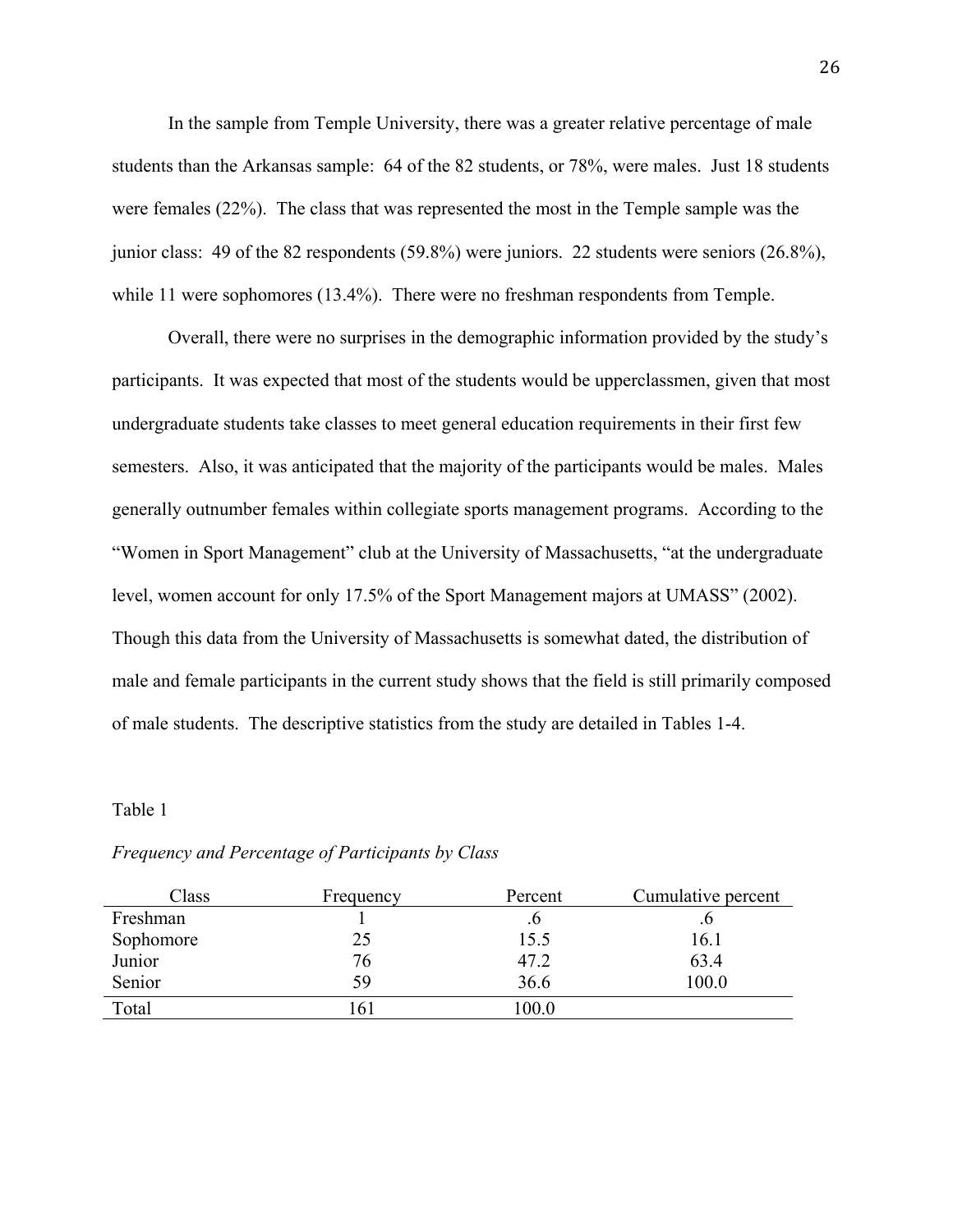In the sample from Temple University, there was a greater relative percentage of male students than the Arkansas sample: 64 of the 82 students, or 78%, were males. Just 18 students were females (22%). The class that was represented the most in the Temple sample was the junior class: 49 of the 82 respondents (59.8%) were juniors. 22 students were seniors (26.8%), while 11 were sophomores (13.4%). There were no freshman respondents from Temple.

Overall, there were no surprises in the demographic information provided by the study's participants. It was expected that most of the students would be upperclassmen, given that most undergraduate students take classes to meet general education requirements in their first few semesters. Also, it was anticipated that the majority of the participants would be males. Males generally outnumber females within collegiate sports management programs. According to the "Women in Sport Management" club at the University of Massachusetts, "at the undergraduate level, women account for only 17.5% of the Sport Management majors at UMASS" (2002). Though this data from the University of Massachusetts is somewhat dated, the distribution of male and female participants in the current study shows that the field is still primarily composed of male students. The descriptive statistics from the study are detailed in Tables 1-4.

### Table 1

| Class     | Frequency | Percent | Cumulative percent |
|-----------|-----------|---------|--------------------|
| Freshman  |           |         |                    |
| Sophomore | 25        | 15.5    | 16.1               |
| Junior    | 76        | 47.2    | 63.4               |
| Senior    | 59        | 36.6    | 100.0              |
| Total     | .61       | 100.0   |                    |

### *Frequency and Percentage of Participants by Class*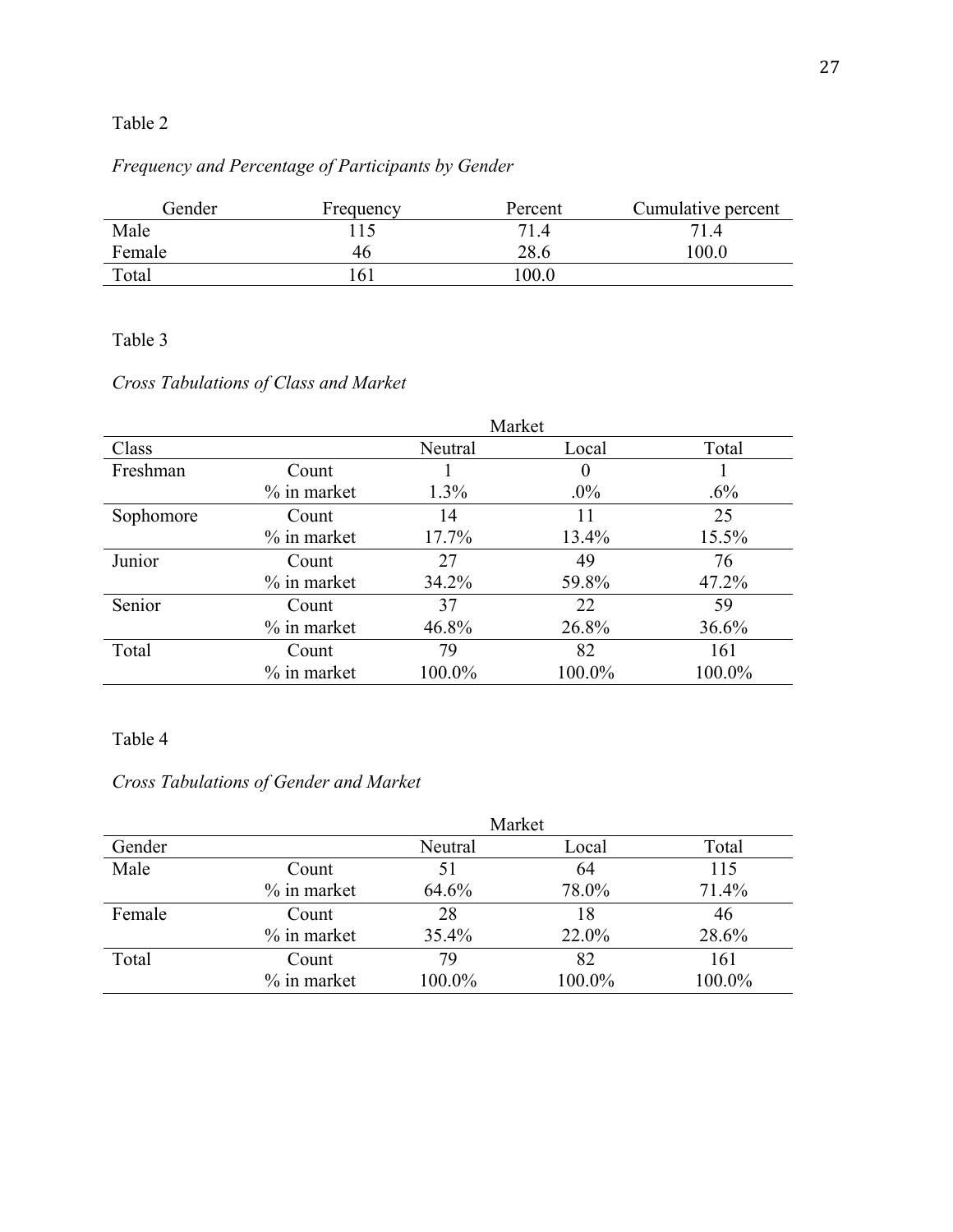## Table 2

# *Frequency and Percentage of Participants by Gender*

| Gender | Frequency | Percent | Cumulative percent |
|--------|-----------|---------|--------------------|
| Male   | 15        | 714     | 71.4               |
| Female | 46        | 28.6    | 100.0              |
| Total  | 61        | 00.0    |                    |

### Table 3

## *Cross Tabulations of Class and Market*

|           |                |         | Market   |        |
|-----------|----------------|---------|----------|--------|
| Class     |                | Neutral | Local    | Total  |
| Freshman  | Count          |         | $\theta$ |        |
|           | $\%$ in market | $1.3\%$ | $.0\%$   | $.6\%$ |
| Sophomore | Count          | 14      | 11       | 25     |
|           | $\%$ in market | 17.7%   | 13.4%    | 15.5%  |
| Junior    | Count          | 27      | 49       | 76     |
|           | $\%$ in market | 34.2%   | 59.8%    | 47.2%  |
| Senior    | Count          | 37      | 22       | 59     |
|           | $\%$ in market | 46.8%   | 26.8%    | 36.6%  |
| Total     | Count          | 79      | 82       | 161    |
|           | $\%$ in market | 100.0%  | 100.0%   | 100.0% |

## Table 4

# *Cross Tabulations of Gender and Market*

|        |                |         | Market |        |
|--------|----------------|---------|--------|--------|
| Gender |                | Neutral | Local  | Total  |
| Male   | Count          | 51      | 64     | 115    |
|        | $%$ in market  | 64.6%   | 78.0%  | 71.4%  |
| Female | Count          | 28      | 18     | 46     |
|        | $%$ in market  | 35.4%   | 22.0%  | 28.6%  |
| Total  | Count          | 79      | 82     | 161    |
|        | $\%$ in market | 100.0%  | 100.0% | 100.0% |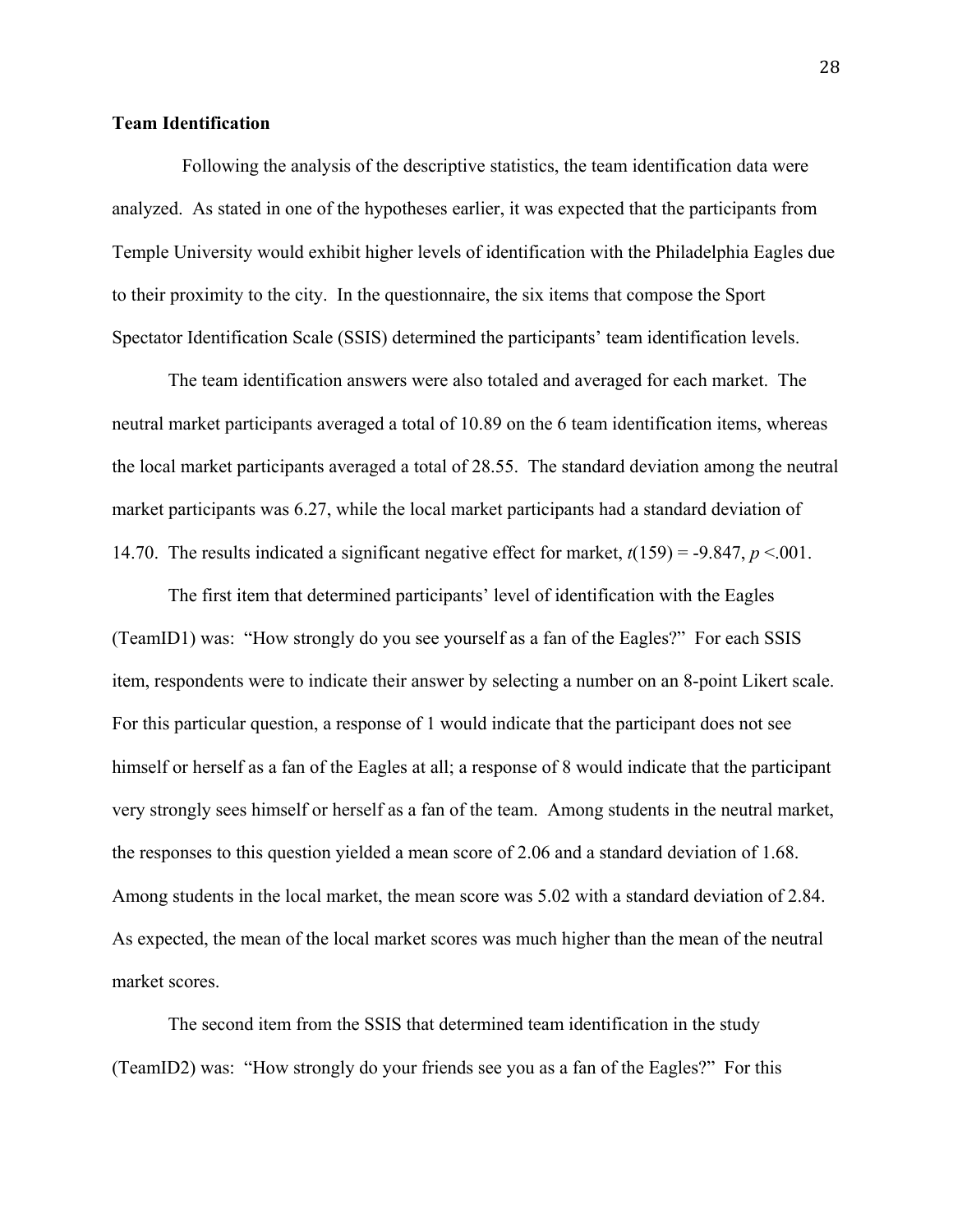### **Team Identification**

 Following the analysis of the descriptive statistics, the team identification data were analyzed. As stated in one of the hypotheses earlier, it was expected that the participants from Temple University would exhibit higher levels of identification with the Philadelphia Eagles due to their proximity to the city. In the questionnaire, the six items that compose the Sport Spectator Identification Scale (SSIS) determined the participants' team identification levels.

The team identification answers were also totaled and averaged for each market. The neutral market participants averaged a total of 10.89 on the 6 team identification items, whereas the local market participants averaged a total of 28.55. The standard deviation among the neutral market participants was 6.27, while the local market participants had a standard deviation of 14.70. The results indicated a significant negative effect for market,  $t(159) = -9.847$ ,  $p < 0.001$ .

The first item that determined participants' level of identification with the Eagles (TeamID1) was: "How strongly do you see yourself as a fan of the Eagles?" For each SSIS item, respondents were to indicate their answer by selecting a number on an 8-point Likert scale. For this particular question, a response of 1 would indicate that the participant does not see himself or herself as a fan of the Eagles at all; a response of 8 would indicate that the participant very strongly sees himself or herself as a fan of the team. Among students in the neutral market, the responses to this question yielded a mean score of 2.06 and a standard deviation of 1.68. Among students in the local market, the mean score was 5.02 with a standard deviation of 2.84. As expected, the mean of the local market scores was much higher than the mean of the neutral market scores.

 The second item from the SSIS that determined team identification in the study (TeamID2) was: "How strongly do your friends see you as a fan of the Eagles?" For this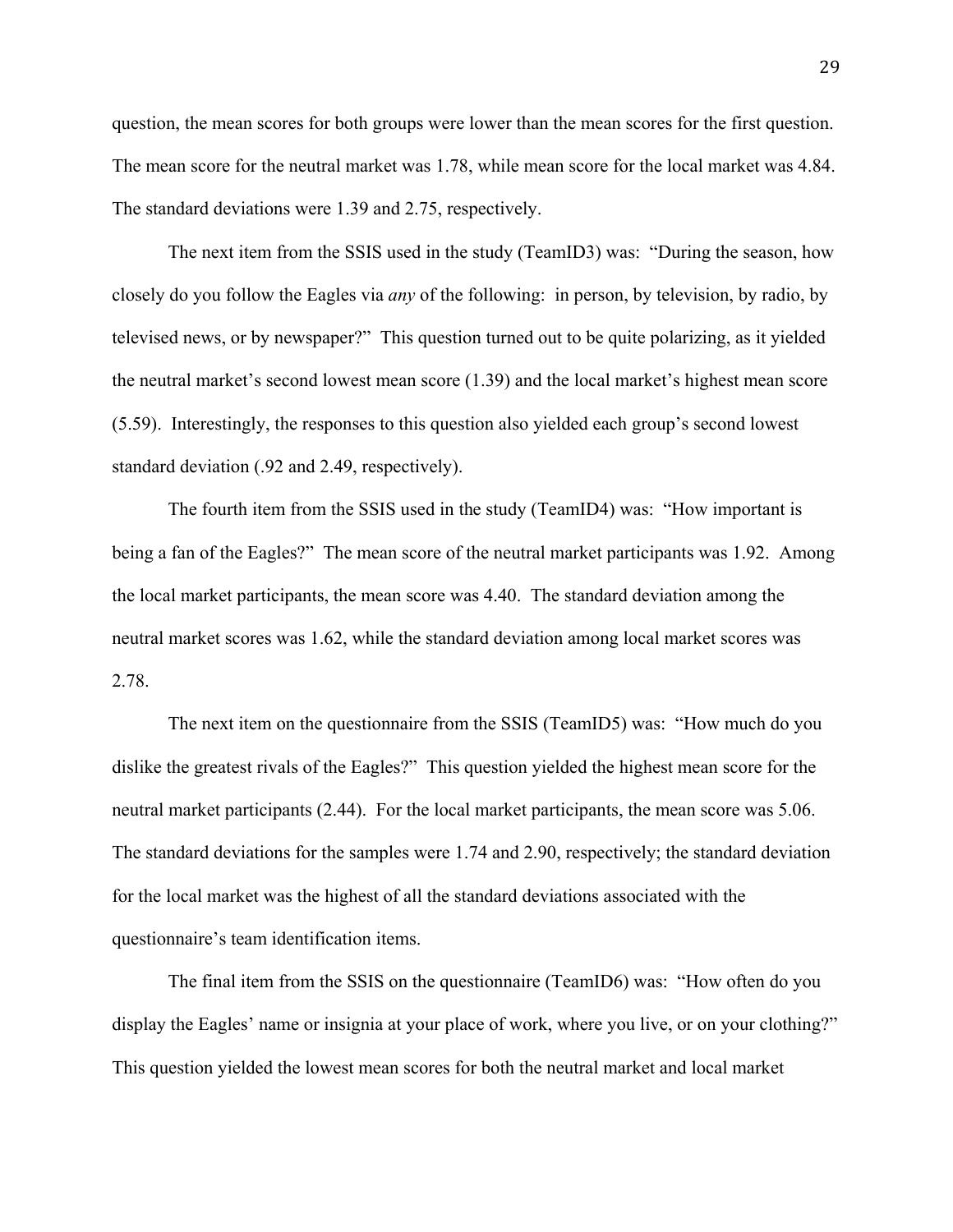question, the mean scores for both groups were lower than the mean scores for the first question. The mean score for the neutral market was 1.78, while mean score for the local market was 4.84. The standard deviations were 1.39 and 2.75, respectively.

 The next item from the SSIS used in the study (TeamID3) was: "During the season, how closely do you follow the Eagles via *any* of the following: in person, by television, by radio, by televised news, or by newspaper?" This question turned out to be quite polarizing, as it yielded the neutral market's second lowest mean score (1.39) and the local market's highest mean score (5.59). Interestingly, the responses to this question also yielded each group's second lowest standard deviation (.92 and 2.49, respectively).

 The fourth item from the SSIS used in the study (TeamID4) was: "How important is being a fan of the Eagles?" The mean score of the neutral market participants was 1.92. Among the local market participants, the mean score was 4.40. The standard deviation among the neutral market scores was 1.62, while the standard deviation among local market scores was 2.78.

 The next item on the questionnaire from the SSIS (TeamID5) was: "How much do you dislike the greatest rivals of the Eagles?" This question yielded the highest mean score for the neutral market participants (2.44). For the local market participants, the mean score was 5.06. The standard deviations for the samples were 1.74 and 2.90, respectively; the standard deviation for the local market was the highest of all the standard deviations associated with the questionnaire's team identification items.

 The final item from the SSIS on the questionnaire (TeamID6) was: "How often do you display the Eagles' name or insignia at your place of work, where you live, or on your clothing?" This question yielded the lowest mean scores for both the neutral market and local market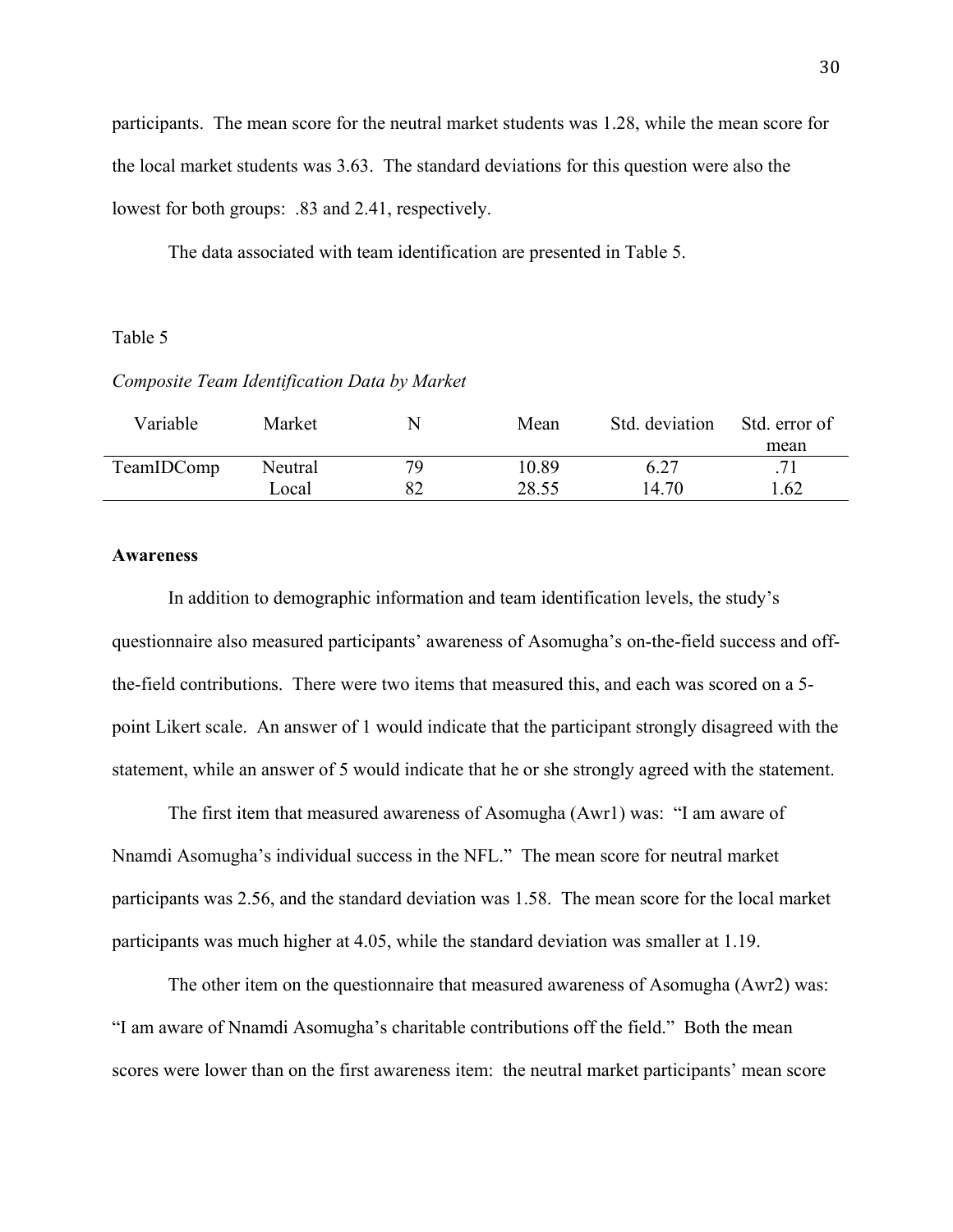participants. The mean score for the neutral market students was 1.28, while the mean score for the local market students was 3.63. The standard deviations for this question were also the lowest for both groups: .83 and 2.41, respectively.

The data associated with team identification are presented in Table 5.

### Table 5

### *Composite Team Identification Data by Market*

| Variable   | Market  |    | Mean  | Std. deviation | Std. error of |
|------------|---------|----|-------|----------------|---------------|
|            |         |    |       |                | mean          |
| TeamIDComp | Neutral | 79 | 10.89 | 6.27           | 71            |
|            | Local   |    | 28.55 | 14.70          | 1.62          |
|            |         |    |       |                |               |

### **Awareness**

In addition to demographic information and team identification levels, the study's questionnaire also measured participants' awareness of Asomugha's on-the-field success and offthe-field contributions. There were two items that measured this, and each was scored on a 5 point Likert scale. An answer of 1 would indicate that the participant strongly disagreed with the statement, while an answer of 5 would indicate that he or she strongly agreed with the statement.

 The first item that measured awareness of Asomugha (Awr1) was: "I am aware of Nnamdi Asomugha's individual success in the NFL." The mean score for neutral market participants was 2.56, and the standard deviation was 1.58. The mean score for the local market participants was much higher at 4.05, while the standard deviation was smaller at 1.19.

 The other item on the questionnaire that measured awareness of Asomugha (Awr2) was: "I am aware of Nnamdi Asomugha's charitable contributions off the field." Both the mean scores were lower than on the first awareness item: the neutral market participants' mean score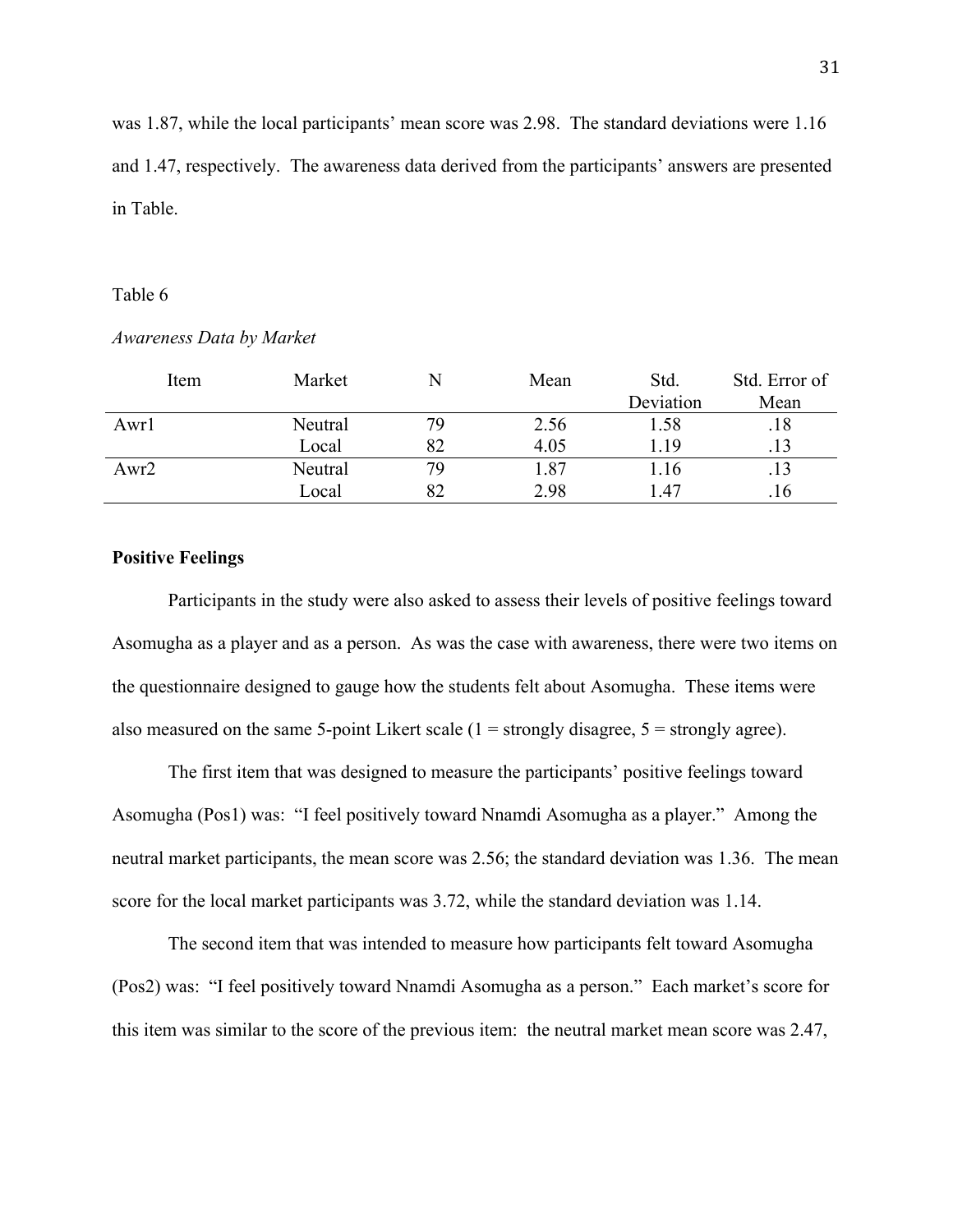was 1.87, while the local participants' mean score was 2.98. The standard deviations were 1.16 and 1.47, respectively. The awareness data derived from the participants' answers are presented in Table.

#### Table 6

| Item | Market  | N  | Mean | Std.      | Std. Error of |
|------|---------|----|------|-----------|---------------|
|      |         |    |      | Deviation | Mean          |
| Awr1 | Neutral | 79 | 2.56 | 1.58      | .18           |
|      | Local   | 82 | 4.05 | l.19      | .13           |
| Awr2 | Neutral | 79 | 1.87 | l.16      |               |
|      | Local   | 82 | 2.98 | 1.47      | .16           |

### *Awareness Data by Market*

### **Positive Feelings**

 Participants in the study were also asked to assess their levels of positive feelings toward Asomugha as a player and as a person. As was the case with awareness, there were two items on the questionnaire designed to gauge how the students felt about Asomugha. These items were also measured on the same 5-point Likert scale  $(1 =$  strongly disagree,  $5 =$  strongly agree).

 The first item that was designed to measure the participants' positive feelings toward Asomugha (Pos1) was: "I feel positively toward Nnamdi Asomugha as a player." Among the neutral market participants, the mean score was 2.56; the standard deviation was 1.36. The mean score for the local market participants was 3.72, while the standard deviation was 1.14.

 The second item that was intended to measure how participants felt toward Asomugha (Pos2) was: "I feel positively toward Nnamdi Asomugha as a person." Each market's score for this item was similar to the score of the previous item: the neutral market mean score was 2.47,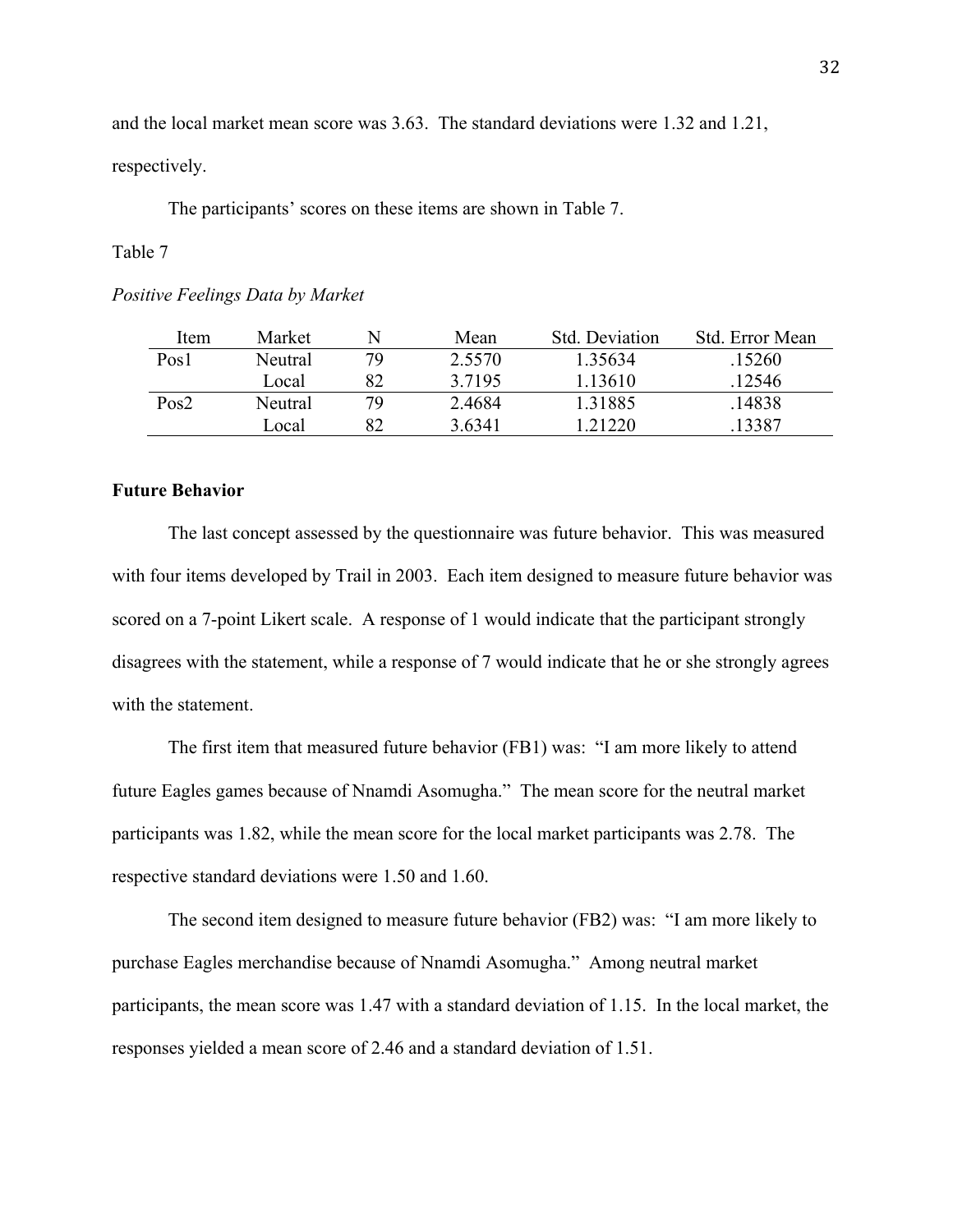and the local market mean score was 3.63. The standard deviations were 1.32 and 1.21, respectively.

The participants' scores on these items are shown in Table 7.

### Table 7

### *Positive Feelings Data by Market*

| Item             | Market  |    | Mean      | Std. Deviation | Std. Error Mean |
|------------------|---------|----|-----------|----------------|-----------------|
| Pos <sub>1</sub> | Neutral | 79 | 2.5570    | 1.35634        | .15260          |
|                  | Local   | 82 | 3 7 1 9 5 | 1 13610        | 12546           |
| Pos2             | Neutral | 79 | 24684     | 1 3 1 8 8 5    | 14838           |
|                  | Local   | RΛ | 3.6341    | 1 21220        | 13387           |

### **Future Behavior**

The last concept assessed by the questionnaire was future behavior. This was measured with four items developed by Trail in 2003. Each item designed to measure future behavior was scored on a 7-point Likert scale. A response of 1 would indicate that the participant strongly disagrees with the statement, while a response of 7 would indicate that he or she strongly agrees with the statement.

 The first item that measured future behavior (FB1) was: "I am more likely to attend future Eagles games because of Nnamdi Asomugha." The mean score for the neutral market participants was 1.82, while the mean score for the local market participants was 2.78. The respective standard deviations were 1.50 and 1.60.

The second item designed to measure future behavior (FB2) was: "I am more likely to purchase Eagles merchandise because of Nnamdi Asomugha." Among neutral market participants, the mean score was 1.47 with a standard deviation of 1.15. In the local market, the responses yielded a mean score of 2.46 and a standard deviation of 1.51.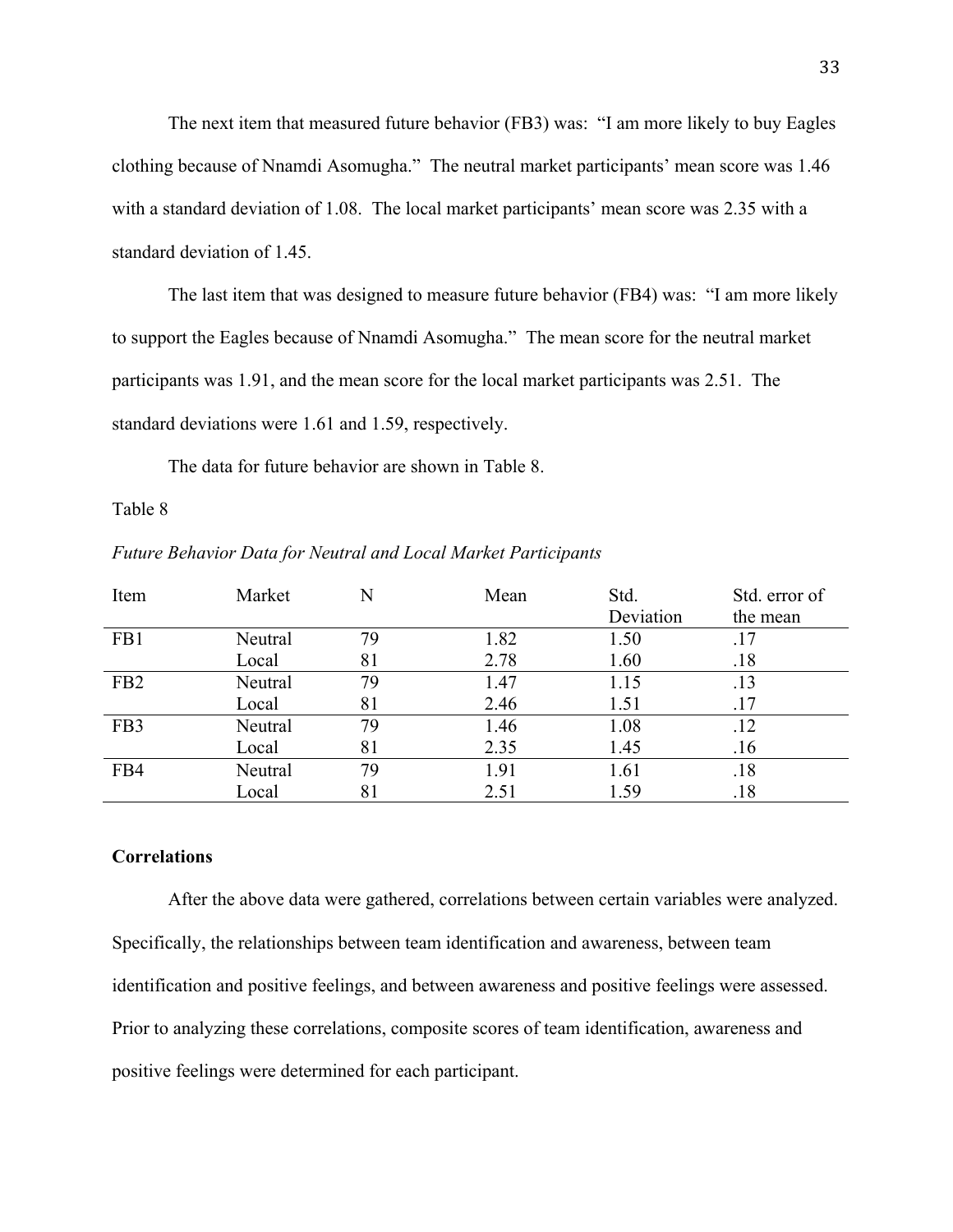The next item that measured future behavior (FB3) was: "I am more likely to buy Eagles clothing because of Nnamdi Asomugha." The neutral market participants' mean score was 1.46 with a standard deviation of 1.08. The local market participants' mean score was 2.35 with a standard deviation of 1.45.

 The last item that was designed to measure future behavior (FB4) was: "I am more likely to support the Eagles because of Nnamdi Asomugha." The mean score for the neutral market participants was 1.91, and the mean score for the local market participants was 2.51. The standard deviations were 1.61 and 1.59, respectively.

The data for future behavior are shown in Table 8.

### Table 8

| Item            | Market  | N  | Mean | Std.      | Std. error of |
|-----------------|---------|----|------|-----------|---------------|
|                 |         |    |      | Deviation | the mean      |
| FB1             | Neutral | 79 | 1.82 | 1.50      | .17           |
|                 | Local   | 81 | 2.78 | 1.60      | .18           |
| FB <sub>2</sub> | Neutral | 79 | 1.47 | 1.15      | .13           |
|                 | Local   | 81 | 2.46 | 1.51      | .17           |
| FB <sub>3</sub> | Neutral | 79 | 1.46 | 1.08      | .12           |
|                 | Local   | 81 | 2.35 | 1.45      | .16           |
| FB4             | Neutral | 79 | 1.91 | 1.61      | .18           |
|                 | Local   | 81 | 2.51 | 1.59      | .18           |

*Future Behavior Data for Neutral and Local Market Participants*

### **Correlations**

After the above data were gathered, correlations between certain variables were analyzed. Specifically, the relationships between team identification and awareness, between team identification and positive feelings, and between awareness and positive feelings were assessed. Prior to analyzing these correlations, composite scores of team identification, awareness and positive feelings were determined for each participant.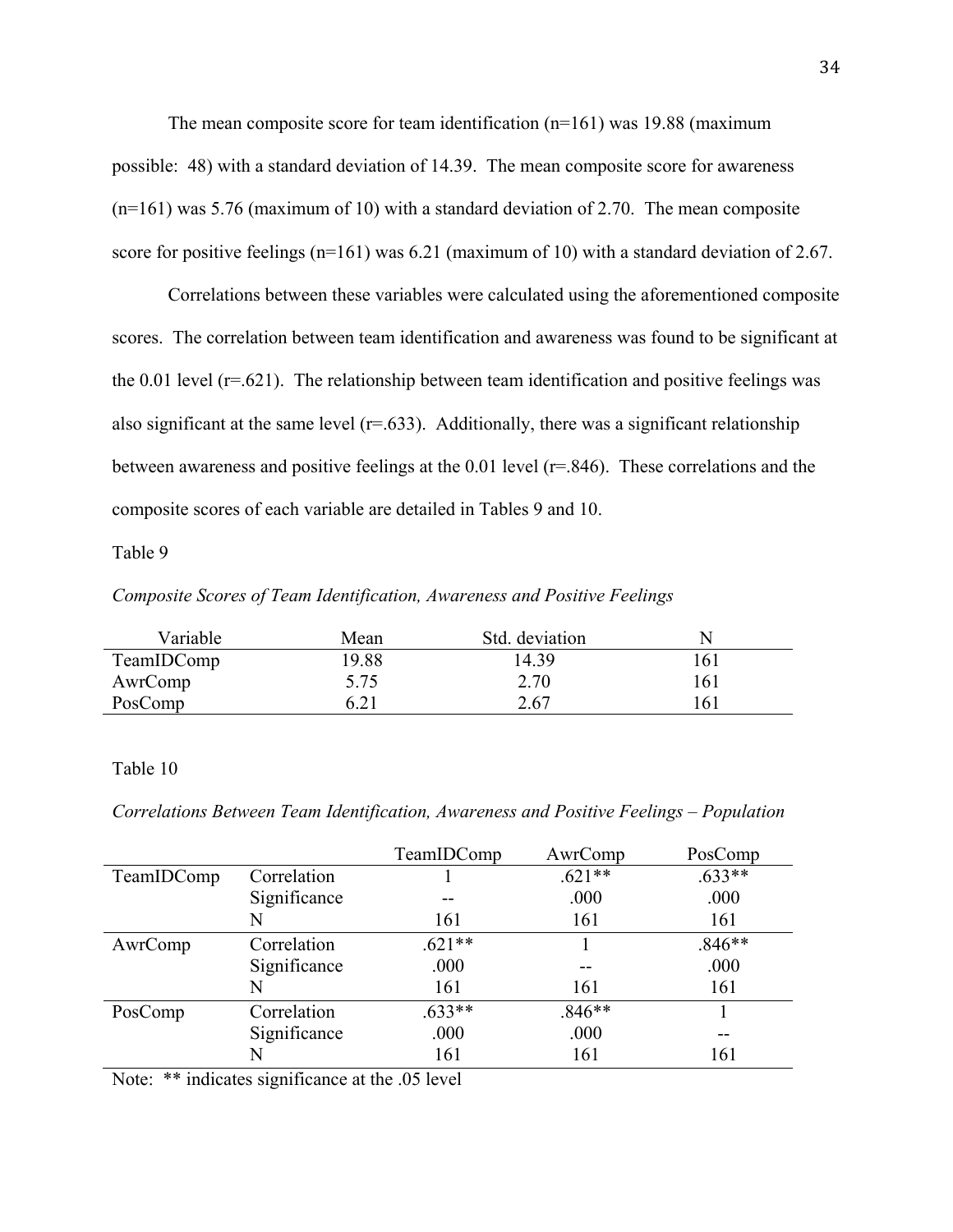The mean composite score for team identification (n=161) was 19.88 (maximum possible: 48) with a standard deviation of 14.39. The mean composite score for awareness (n=161) was 5.76 (maximum of 10) with a standard deviation of 2.70. The mean composite score for positive feelings (n=161) was 6.21 (maximum of 10) with a standard deviation of 2.67.

 Correlations between these variables were calculated using the aforementioned composite scores. The correlation between team identification and awareness was found to be significant at the  $0.01$  level ( $r = .621$ ). The relationship between team identification and positive feelings was also significant at the same level  $(r=.633)$ . Additionally, there was a significant relationship between awareness and positive feelings at the 0.01 level (r=.846). These correlations and the composite scores of each variable are detailed in Tables 9 and 10.

Table 9

*Composite Scores of Team Identification, Awareness and Positive Feelings* 

| Variable   | Mean  | Std. deviation | N   |
|------------|-------|----------------|-----|
| TeamIDComp | 19.88 | 14.39          | 161 |
| AwrComp    | 5.75  | 2.70           | 161 |
| PosComp    | 6.21  | 2.67           | 161 |

### Table 10

*Correlations Between Team Identification, Awareness and Positive Feelings – Population* 

|            |              | TeamIDComp | AwrComp  | PosComp  |
|------------|--------------|------------|----------|----------|
| TeamIDComp | Correlation  |            | $.621**$ | $.633**$ |
|            | Significance |            | .000     | .000     |
|            | N            | 161        | 161      | 161      |
| AwrComp    | Correlation  | $621**$    |          | $.846**$ |
|            | Significance | .000       | --       | .000     |
|            | N            | 161        | 161      | 161      |
| PosComp    | Correlation  | $.633**$   | $.846**$ |          |
|            | Significance | .000       | .000     | --       |
|            | N            | 161        | 161      | 161      |

Note: \*\* indicates significance at the .05 level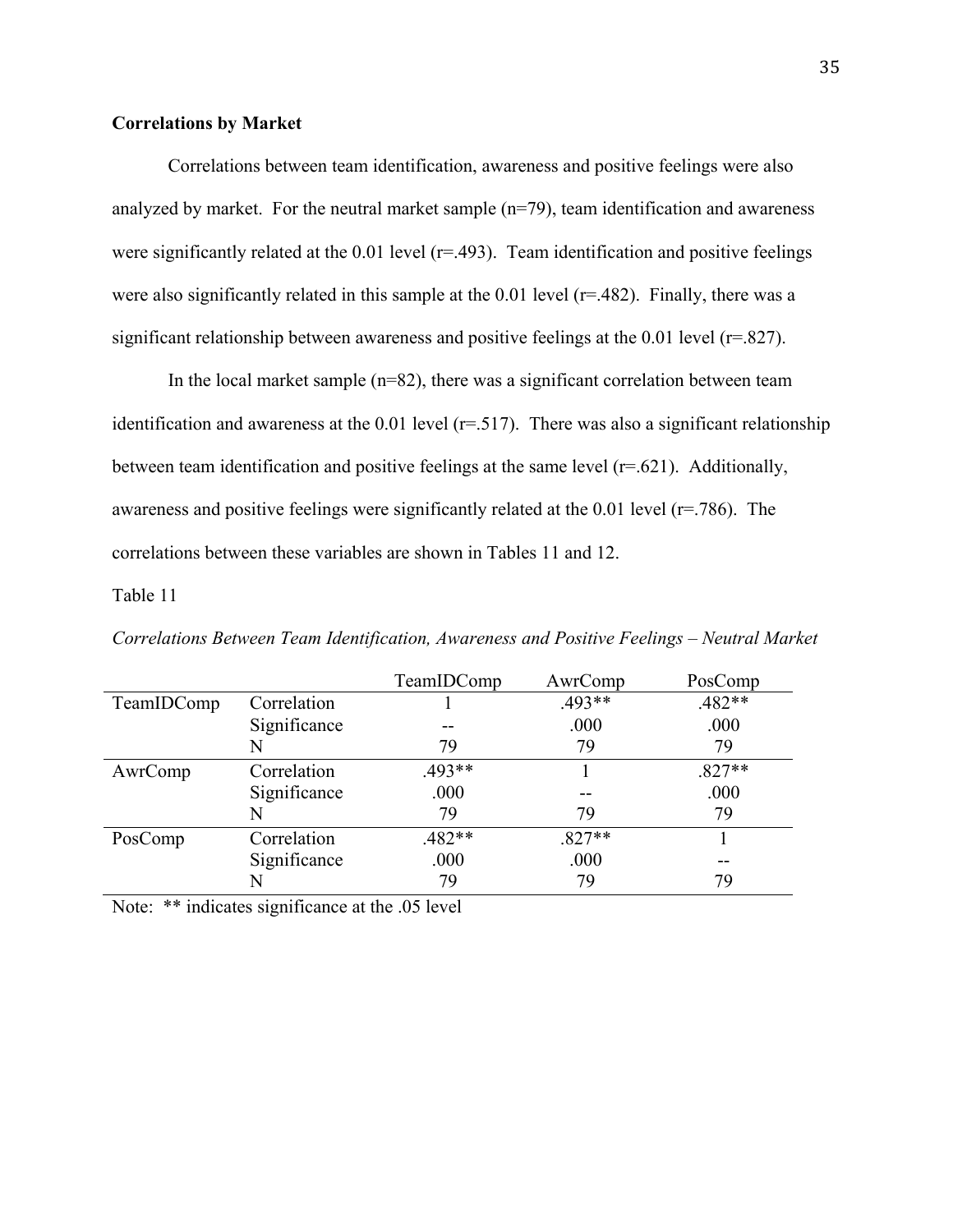### **Correlations by Market**

Correlations between team identification, awareness and positive feelings were also analyzed by market. For the neutral market sample (n=79), team identification and awareness were significantly related at the  $0.01$  level ( $r = .493$ ). Team identification and positive feelings were also significantly related in this sample at the 0.01 level ( $r=482$ ). Finally, there was a significant relationship between awareness and positive feelings at the 0.01 level (r=.827).

In the local market sample  $(n=82)$ , there was a significant correlation between team identification and awareness at the  $0.01$  level ( $r=0.517$ ). There was also a significant relationship between team identification and positive feelings at the same level  $(r=.621)$ . Additionally, awareness and positive feelings were significantly related at the 0.01 level (r=.786). The correlations between these variables are shown in Tables 11 and 12.

### Table 11

|            |              | TeamIDComp | AwrComp  | PosComp  |
|------------|--------------|------------|----------|----------|
| TeamIDComp | Correlation  |            | $.493**$ | .482**   |
|            | Significance |            | .000     | .000     |
|            | N            | 79         | 79       | 79       |
| AwrComp    | Correlation  | .493**     |          | $.827**$ |
|            | Significance | .000       |          | .000     |
|            | N            | 79         | 79       | 79       |
| PosComp    | Correlation  | $.482**$   | $.827**$ |          |
|            | Significance | .000       | .000     | --       |
|            | N            | 79         | 79       | 79       |

*Correlations Between Team Identification, Awareness and Positive Feelings – Neutral Market*

Note: \*\* indicates significance at the .05 level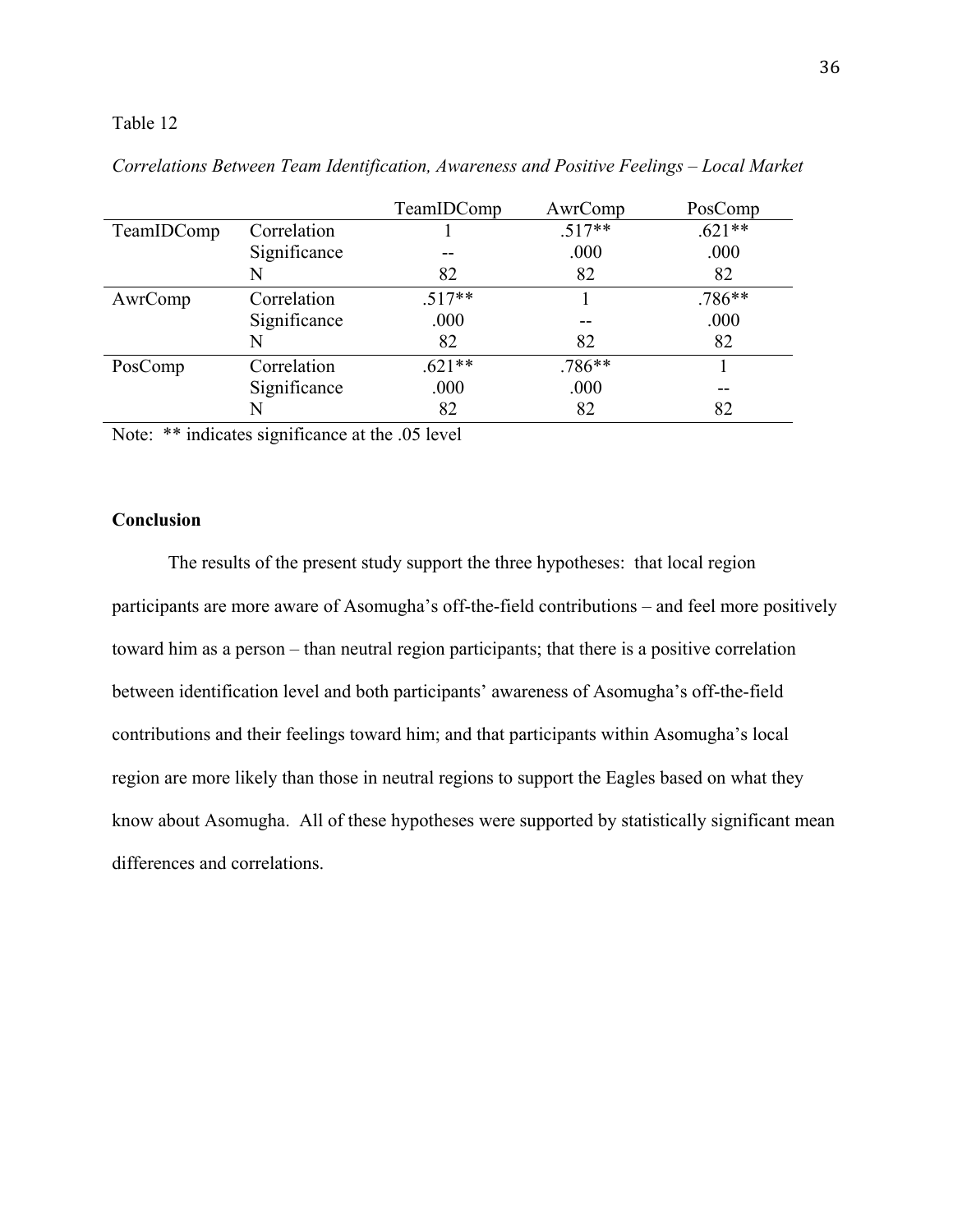### Table 12

|            |              | TeamIDComp | AwrComp  | PosComp  |
|------------|--------------|------------|----------|----------|
| TeamIDComp | Correlation  |            | $.517**$ | $.621**$ |
|            | Significance |            | .000     | .000     |
|            | N            | 82         | 82       | 82       |
| AwrComp    | Correlation  | $.517**$   |          | $.786**$ |
|            | Significance | .000       |          | .000     |
|            | N            | 82         | 82       | 82       |
| PosComp    | Correlation  | $621**$    | $.786**$ |          |
|            | Significance | .000       | .000     |          |
|            | N            | 82         | 82       | 82       |

*Correlations Between Team Identification, Awareness and Positive Feelings – Local Market* 

Note: \*\* indicates significance at the .05 level

### **Conclusion**

 The results of the present study support the three hypotheses: that local region participants are more aware of Asomugha's off-the-field contributions – and feel more positively toward him as a person – than neutral region participants; that there is a positive correlation between identification level and both participants' awareness of Asomugha's off-the-field contributions and their feelings toward him; and that participants within Asomugha's local region are more likely than those in neutral regions to support the Eagles based on what they know about Asomugha. All of these hypotheses were supported by statistically significant mean differences and correlations.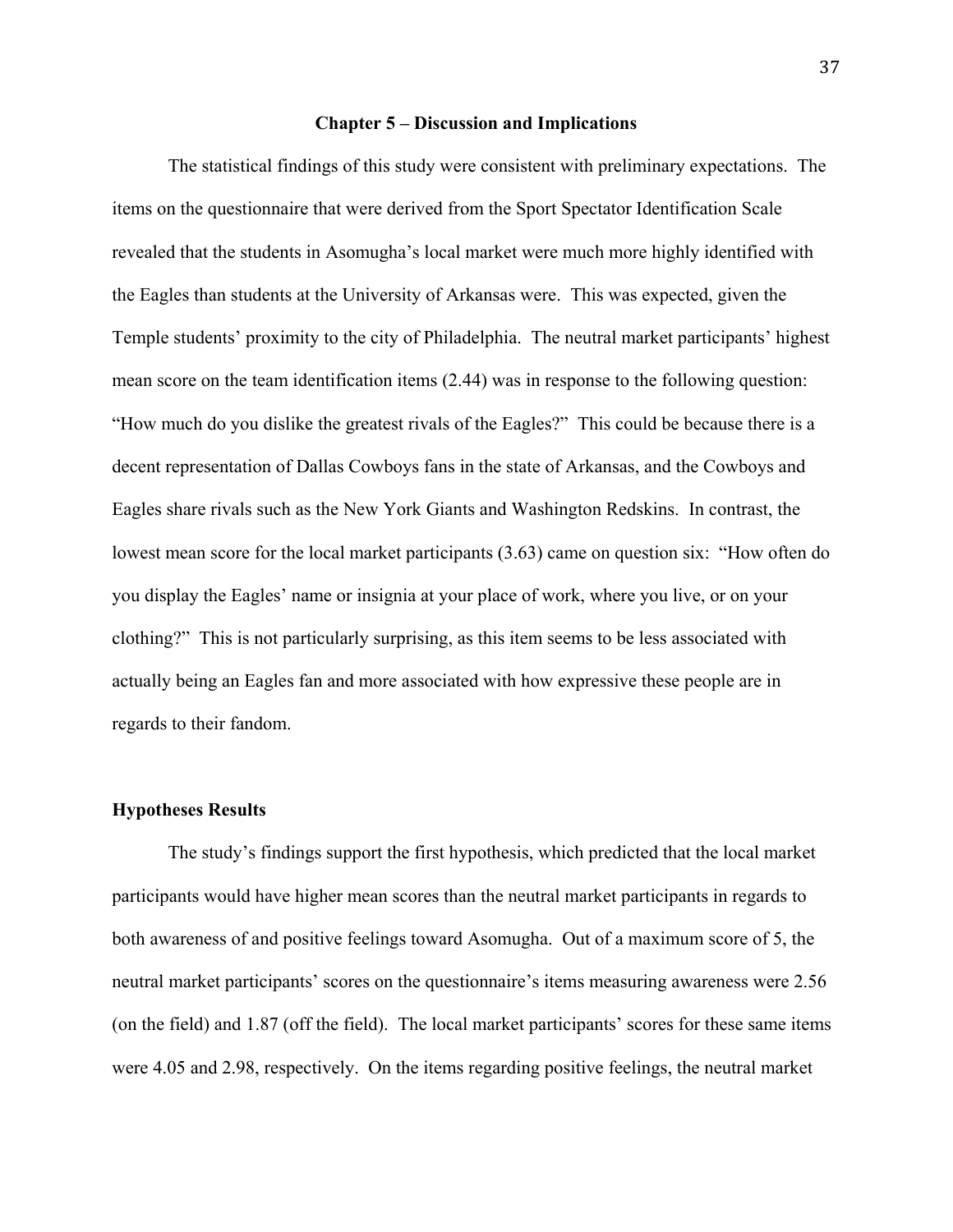#### **Chapter 5 – Discussion and Implications**

The statistical findings of this study were consistent with preliminary expectations. The items on the questionnaire that were derived from the Sport Spectator Identification Scale revealed that the students in Asomugha's local market were much more highly identified with the Eagles than students at the University of Arkansas were. This was expected, given the Temple students' proximity to the city of Philadelphia. The neutral market participants' highest mean score on the team identification items (2.44) was in response to the following question: "How much do you dislike the greatest rivals of the Eagles?" This could be because there is a decent representation of Dallas Cowboys fans in the state of Arkansas, and the Cowboys and Eagles share rivals such as the New York Giants and Washington Redskins. In contrast, the lowest mean score for the local market participants (3.63) came on question six: "How often do you display the Eagles' name or insignia at your place of work, where you live, or on your clothing?" This is not particularly surprising, as this item seems to be less associated with actually being an Eagles fan and more associated with how expressive these people are in regards to their fandom.

### **Hypotheses Results**

The study's findings support the first hypothesis, which predicted that the local market participants would have higher mean scores than the neutral market participants in regards to both awareness of and positive feelings toward Asomugha. Out of a maximum score of 5, the neutral market participants' scores on the questionnaire's items measuring awareness were 2.56 (on the field) and 1.87 (off the field). The local market participants' scores for these same items were 4.05 and 2.98, respectively. On the items regarding positive feelings, the neutral market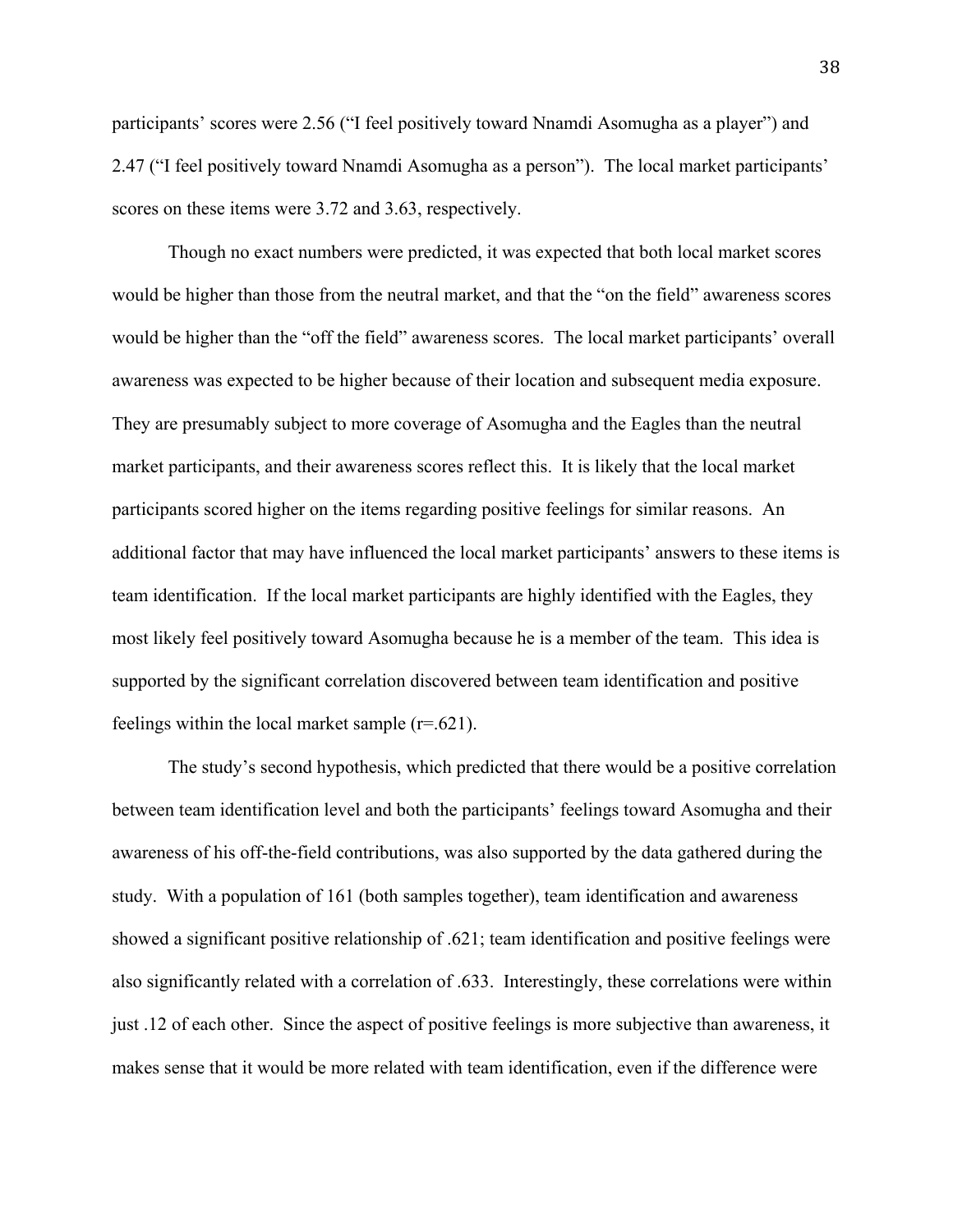participants' scores were 2.56 ("I feel positively toward Nnamdi Asomugha as a player") and 2.47 ("I feel positively toward Nnamdi Asomugha as a person"). The local market participants' scores on these items were 3.72 and 3.63, respectively.

Though no exact numbers were predicted, it was expected that both local market scores would be higher than those from the neutral market, and that the "on the field" awareness scores would be higher than the "off the field" awareness scores. The local market participants' overall awareness was expected to be higher because of their location and subsequent media exposure. They are presumably subject to more coverage of Asomugha and the Eagles than the neutral market participants, and their awareness scores reflect this. It is likely that the local market participants scored higher on the items regarding positive feelings for similar reasons. An additional factor that may have influenced the local market participants' answers to these items is team identification. If the local market participants are highly identified with the Eagles, they most likely feel positively toward Asomugha because he is a member of the team. This idea is supported by the significant correlation discovered between team identification and positive feelings within the local market sample  $(r=.621)$ .

The study's second hypothesis, which predicted that there would be a positive correlation between team identification level and both the participants' feelings toward Asomugha and their awareness of his off-the-field contributions, was also supported by the data gathered during the study. With a population of 161 (both samples together), team identification and awareness showed a significant positive relationship of .621; team identification and positive feelings were also significantly related with a correlation of .633. Interestingly, these correlations were within just .12 of each other. Since the aspect of positive feelings is more subjective than awareness, it makes sense that it would be more related with team identification, even if the difference were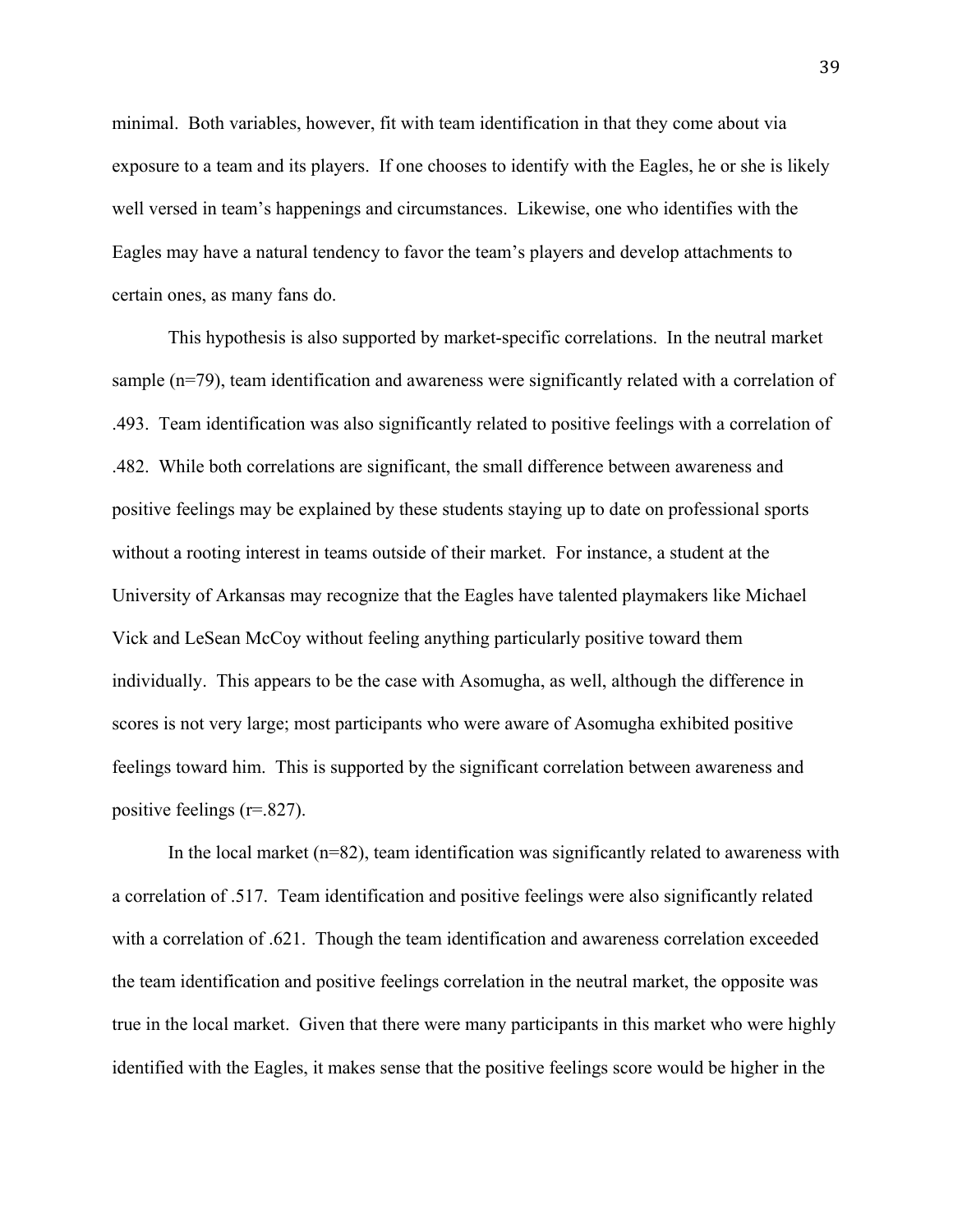minimal. Both variables, however, fit with team identification in that they come about via exposure to a team and its players. If one chooses to identify with the Eagles, he or she is likely well versed in team's happenings and circumstances. Likewise, one who identifies with the Eagles may have a natural tendency to favor the team's players and develop attachments to certain ones, as many fans do.

This hypothesis is also supported by market-specific correlations. In the neutral market sample (n=79), team identification and awareness were significantly related with a correlation of .493. Team identification was also significantly related to positive feelings with a correlation of .482. While both correlations are significant, the small difference between awareness and positive feelings may be explained by these students staying up to date on professional sports without a rooting interest in teams outside of their market. For instance, a student at the University of Arkansas may recognize that the Eagles have talented playmakers like Michael Vick and LeSean McCoy without feeling anything particularly positive toward them individually. This appears to be the case with Asomugha, as well, although the difference in scores is not very large; most participants who were aware of Asomugha exhibited positive feelings toward him. This is supported by the significant correlation between awareness and positive feelings (r=.827).

In the local market (n=82), team identification was significantly related to awareness with a correlation of .517. Team identification and positive feelings were also significantly related with a correlation of .621. Though the team identification and awareness correlation exceeded the team identification and positive feelings correlation in the neutral market, the opposite was true in the local market. Given that there were many participants in this market who were highly identified with the Eagles, it makes sense that the positive feelings score would be higher in the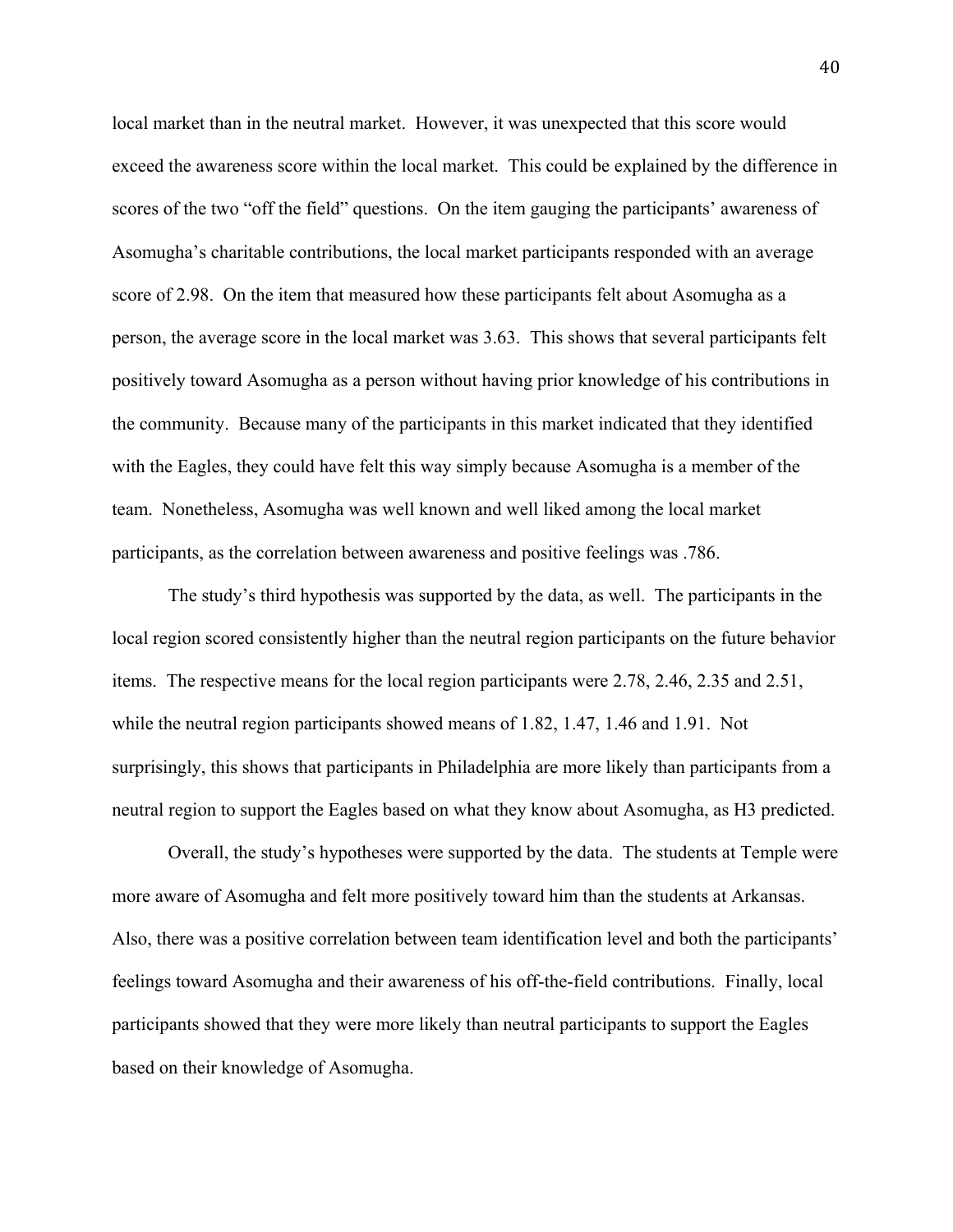local market than in the neutral market. However, it was unexpected that this score would exceed the awareness score within the local market. This could be explained by the difference in scores of the two "off the field" questions. On the item gauging the participants' awareness of Asomugha's charitable contributions, the local market participants responded with an average score of 2.98. On the item that measured how these participants felt about Asomugha as a person, the average score in the local market was 3.63. This shows that several participants felt positively toward Asomugha as a person without having prior knowledge of his contributions in the community. Because many of the participants in this market indicated that they identified with the Eagles, they could have felt this way simply because Asomugha is a member of the team. Nonetheless, Asomugha was well known and well liked among the local market participants, as the correlation between awareness and positive feelings was .786.

The study's third hypothesis was supported by the data, as well. The participants in the local region scored consistently higher than the neutral region participants on the future behavior items. The respective means for the local region participants were 2.78, 2.46, 2.35 and 2.51, while the neutral region participants showed means of 1.82, 1.47, 1.46 and 1.91. Not surprisingly, this shows that participants in Philadelphia are more likely than participants from a neutral region to support the Eagles based on what they know about Asomugha, as H3 predicted.

Overall, the study's hypotheses were supported by the data. The students at Temple were more aware of Asomugha and felt more positively toward him than the students at Arkansas. Also, there was a positive correlation between team identification level and both the participants' feelings toward Asomugha and their awareness of his off-the-field contributions. Finally, local participants showed that they were more likely than neutral participants to support the Eagles based on their knowledge of Asomugha.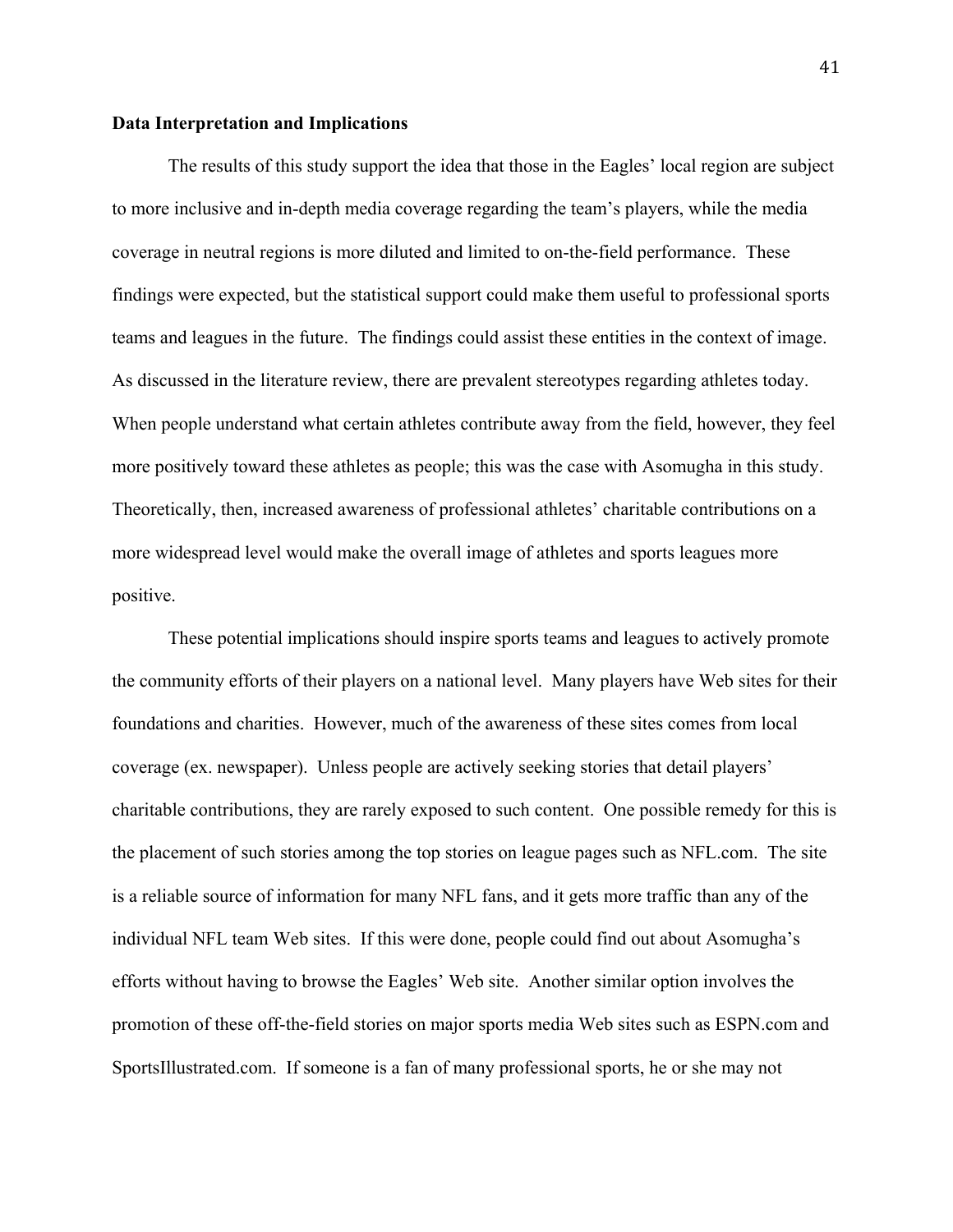### **Data Interpretation and Implications**

The results of this study support the idea that those in the Eagles' local region are subject to more inclusive and in-depth media coverage regarding the team's players, while the media coverage in neutral regions is more diluted and limited to on-the-field performance. These findings were expected, but the statistical support could make them useful to professional sports teams and leagues in the future. The findings could assist these entities in the context of image. As discussed in the literature review, there are prevalent stereotypes regarding athletes today. When people understand what certain athletes contribute away from the field, however, they feel more positively toward these athletes as people; this was the case with Asomugha in this study. Theoretically, then, increased awareness of professional athletes' charitable contributions on a more widespread level would make the overall image of athletes and sports leagues more positive.

These potential implications should inspire sports teams and leagues to actively promote the community efforts of their players on a national level. Many players have Web sites for their foundations and charities. However, much of the awareness of these sites comes from local coverage (ex. newspaper). Unless people are actively seeking stories that detail players' charitable contributions, they are rarely exposed to such content. One possible remedy for this is the placement of such stories among the top stories on league pages such as NFL.com. The site is a reliable source of information for many NFL fans, and it gets more traffic than any of the individual NFL team Web sites. If this were done, people could find out about Asomugha's efforts without having to browse the Eagles' Web site. Another similar option involves the promotion of these off-the-field stories on major sports media Web sites such as ESPN.com and SportsIllustrated.com. If someone is a fan of many professional sports, he or she may not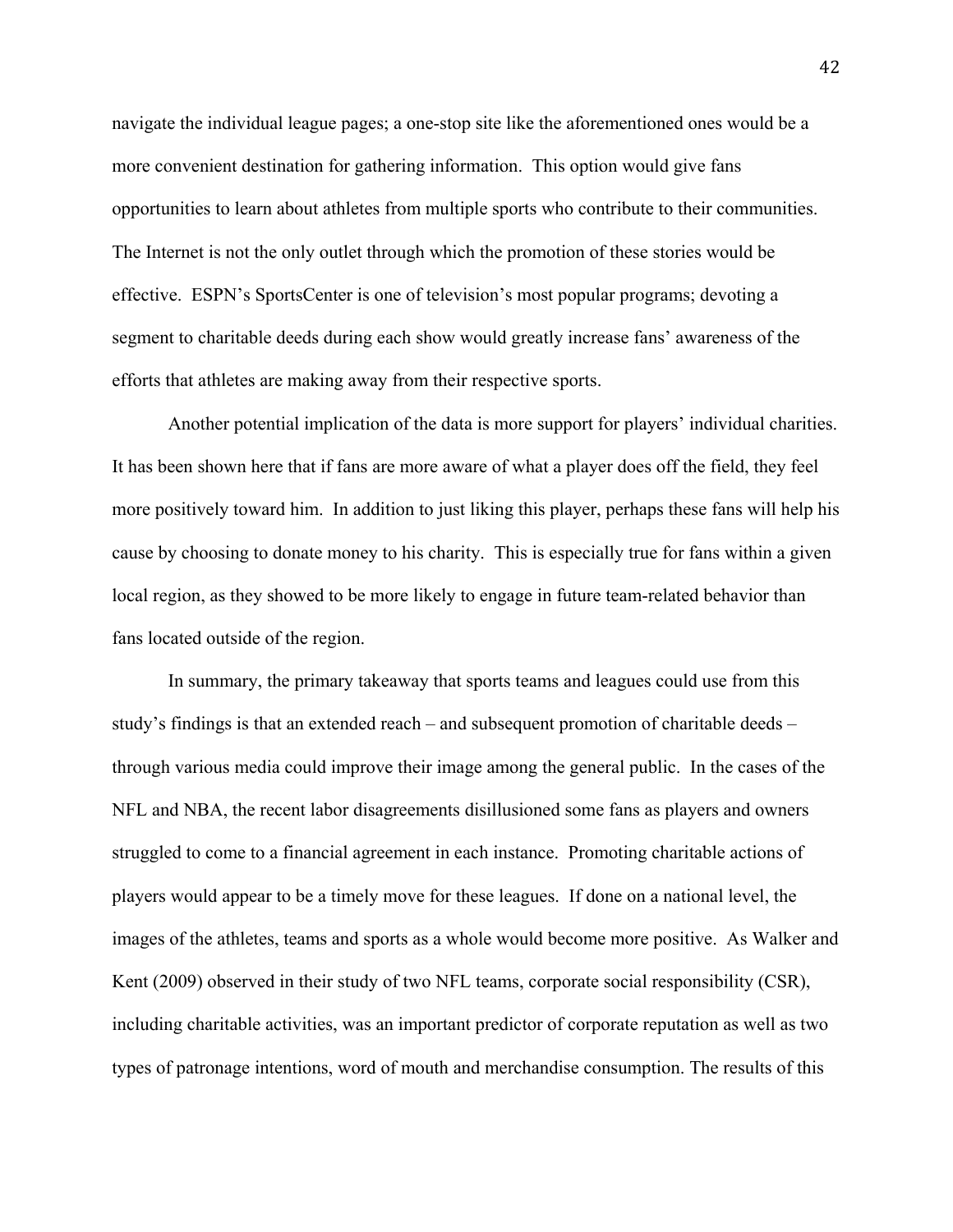navigate the individual league pages; a one-stop site like the aforementioned ones would be a more convenient destination for gathering information. This option would give fans opportunities to learn about athletes from multiple sports who contribute to their communities. The Internet is not the only outlet through which the promotion of these stories would be effective. ESPN's SportsCenter is one of television's most popular programs; devoting a segment to charitable deeds during each show would greatly increase fans' awareness of the efforts that athletes are making away from their respective sports.

Another potential implication of the data is more support for players' individual charities. It has been shown here that if fans are more aware of what a player does off the field, they feel more positively toward him. In addition to just liking this player, perhaps these fans will help his cause by choosing to donate money to his charity. This is especially true for fans within a given local region, as they showed to be more likely to engage in future team-related behavior than fans located outside of the region.

In summary, the primary takeaway that sports teams and leagues could use from this study's findings is that an extended reach – and subsequent promotion of charitable deeds – through various media could improve their image among the general public. In the cases of the NFL and NBA, the recent labor disagreements disillusioned some fans as players and owners struggled to come to a financial agreement in each instance. Promoting charitable actions of players would appear to be a timely move for these leagues. If done on a national level, the images of the athletes, teams and sports as a whole would become more positive. As Walker and Kent (2009) observed in their study of two NFL teams, corporate social responsibility (CSR), including charitable activities, was an important predictor of corporate reputation as well as two types of patronage intentions, word of mouth and merchandise consumption. The results of this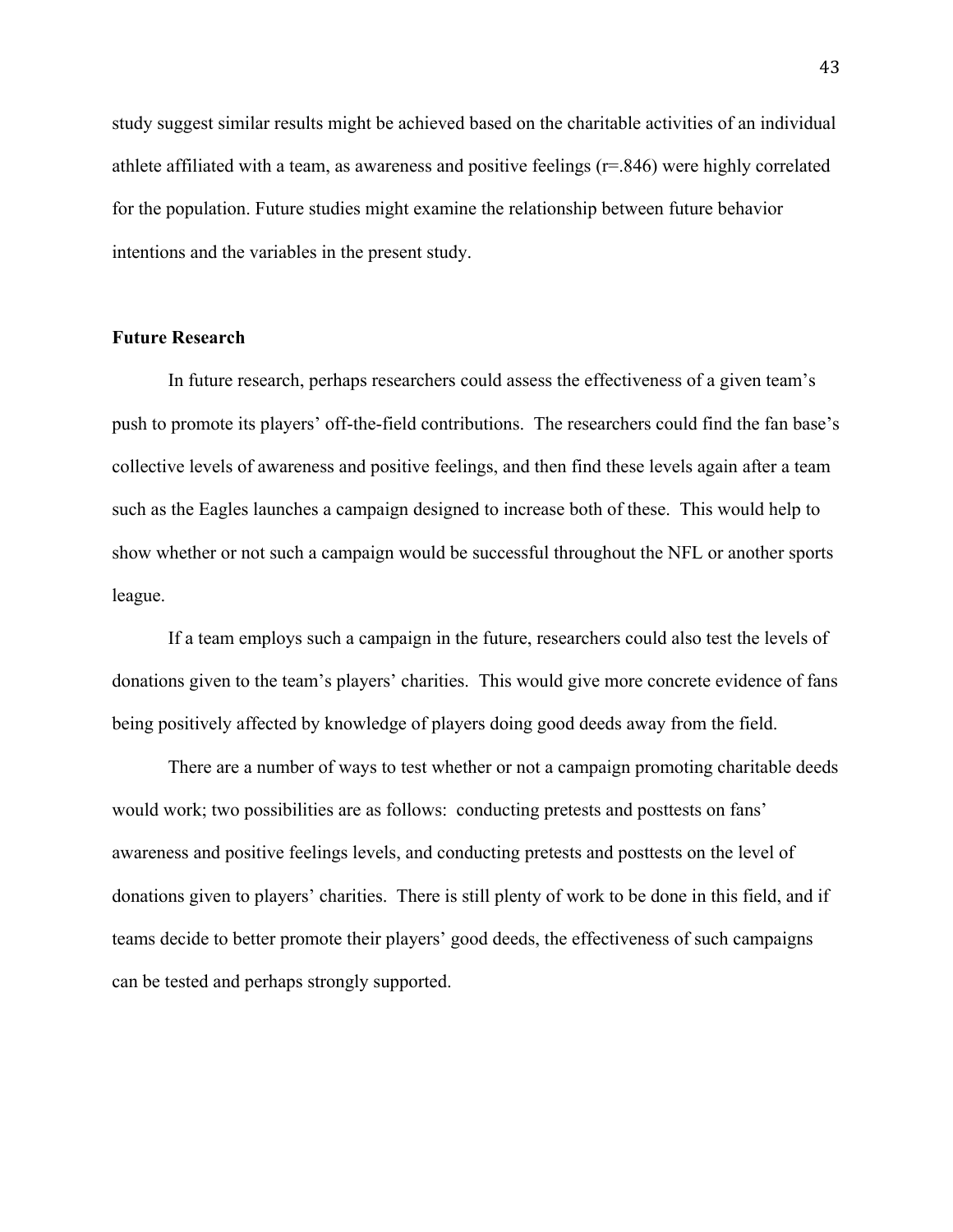study suggest similar results might be achieved based on the charitable activities of an individual athlete affiliated with a team, as awareness and positive feelings (r=.846) were highly correlated for the population. Future studies might examine the relationship between future behavior intentions and the variables in the present study.

### **Future Research**

 In future research, perhaps researchers could assess the effectiveness of a given team's push to promote its players' off-the-field contributions. The researchers could find the fan base's collective levels of awareness and positive feelings, and then find these levels again after a team such as the Eagles launches a campaign designed to increase both of these. This would help to show whether or not such a campaign would be successful throughout the NFL or another sports league.

 If a team employs such a campaign in the future, researchers could also test the levels of donations given to the team's players' charities. This would give more concrete evidence of fans being positively affected by knowledge of players doing good deeds away from the field.

There are a number of ways to test whether or not a campaign promoting charitable deeds would work; two possibilities are as follows: conducting pretests and posttests on fans' awareness and positive feelings levels, and conducting pretests and posttests on the level of donations given to players' charities. There is still plenty of work to be done in this field, and if teams decide to better promote their players' good deeds, the effectiveness of such campaigns can be tested and perhaps strongly supported.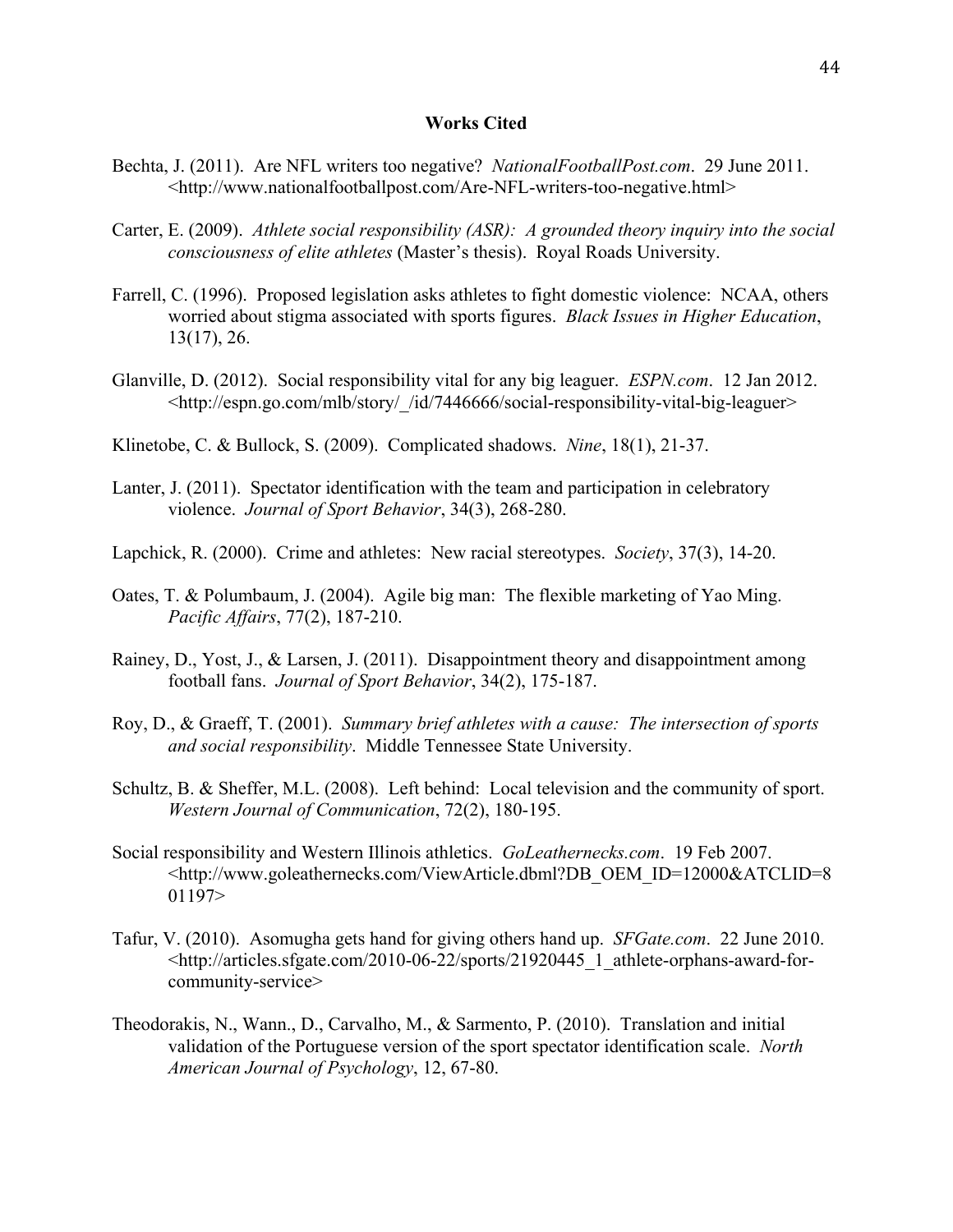### **Works Cited**

- Bechta, J. (2011). Are NFL writers too negative? *NationalFootballPost.com*. 29 June 2011. <http://www.nationalfootballpost.com/Are-NFL-writers-too-negative.html>
- Carter, E. (2009). *Athlete social responsibility (ASR): A grounded theory inquiry into the social consciousness of elite athletes* (Master's thesis). Royal Roads University.
- Farrell, C. (1996). Proposed legislation asks athletes to fight domestic violence: NCAA, others worried about stigma associated with sports figures. *Black Issues in Higher Education*, 13(17), 26.
- Glanville, D. (2012). Social responsibility vital for any big leaguer. *ESPN.com*. 12 Jan 2012. <http://espn.go.com/mlb/story/\_/id/7446666/social-responsibility-vital-big-leaguer>
- Klinetobe, C. & Bullock, S. (2009). Complicated shadows. *Nine*, 18(1), 21-37.
- Lanter, J. (2011). Spectator identification with the team and participation in celebratory violence. *Journal of Sport Behavior*, 34(3), 268-280.
- Lapchick, R. (2000). Crime and athletes: New racial stereotypes. *Society*, 37(3), 14-20.
- Oates, T. & Polumbaum, J. (2004). Agile big man: The flexible marketing of Yao Ming. *Pacific Affairs*, 77(2), 187-210.
- Rainey, D., Yost, J., & Larsen, J. (2011). Disappointment theory and disappointment among football fans. *Journal of Sport Behavior*, 34(2), 175-187.
- Roy, D., & Graeff, T. (2001). *Summary brief athletes with a cause: The intersection of sports and social responsibility*. Middle Tennessee State University.
- Schultz, B. & Sheffer, M.L. (2008). Left behind: Local television and the community of sport. *Western Journal of Communication*, 72(2), 180-195.
- Social responsibility and Western Illinois athletics. *GoLeathernecks.com*. 19 Feb 2007. <http://www.goleathernecks.com/ViewArticle.dbml?DB\_OEM\_ID=12000&ATCLID=8 01197>
- Tafur, V. (2010). Asomugha gets hand for giving others hand up. *SFGate.com*. 22 June 2010. <http://articles.sfgate.com/2010-06-22/sports/21920445\_1\_athlete-orphans-award-forcommunity-service>
- Theodorakis, N., Wann., D., Carvalho, M., & Sarmento, P. (2010). Translation and initial validation of the Portuguese version of the sport spectator identification scale. *North American Journal of Psychology*, 12, 67-80.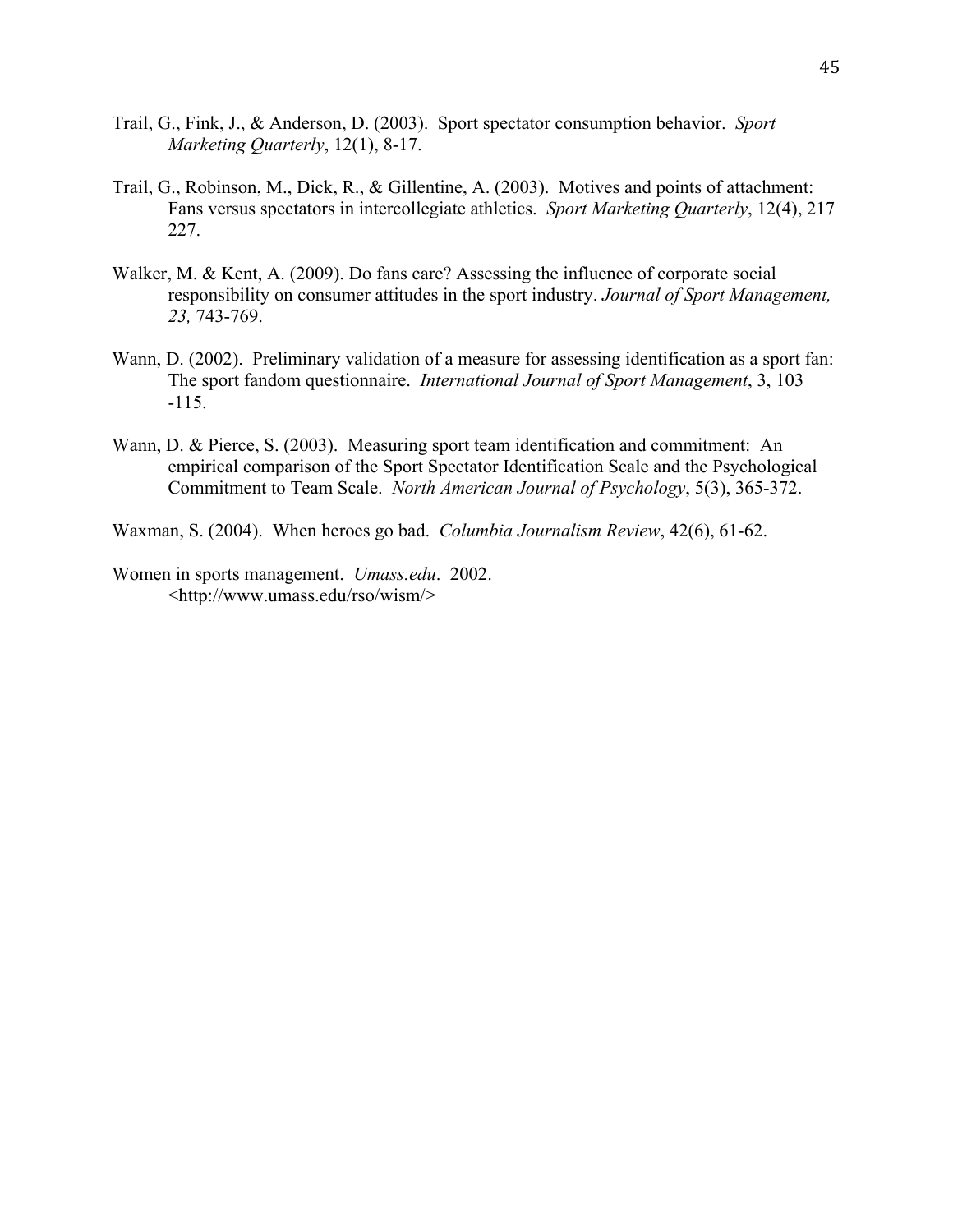- Trail, G., Fink, J., & Anderson, D. (2003). Sport spectator consumption behavior. *Sport Marketing Quarterly*, 12(1), 8-17.
- Trail, G., Robinson, M., Dick, R., & Gillentine, A. (2003). Motives and points of attachment: Fans versus spectators in intercollegiate athletics. *Sport Marketing Quarterly*, 12(4), 217 227.
- Walker, M. & Kent, A. (2009). Do fans care? Assessing the influence of corporate social responsibility on consumer attitudes in the sport industry. *Journal of Sport Management, 23,* 743-769.
- Wann, D. (2002). Preliminary validation of a measure for assessing identification as a sport fan: The sport fandom questionnaire. *International Journal of Sport Management*, 3, 103 -115.
- Wann, D. & Pierce, S. (2003). Measuring sport team identification and commitment: An empirical comparison of the Sport Spectator Identification Scale and the Psychological Commitment to Team Scale. *North American Journal of Psychology*, 5(3), 365-372.
- Waxman, S. (2004). When heroes go bad. *Columbia Journalism Review*, 42(6), 61-62.
- Women in sports management. *Umass.edu*. 2002. <http://www.umass.edu/rso/wism/>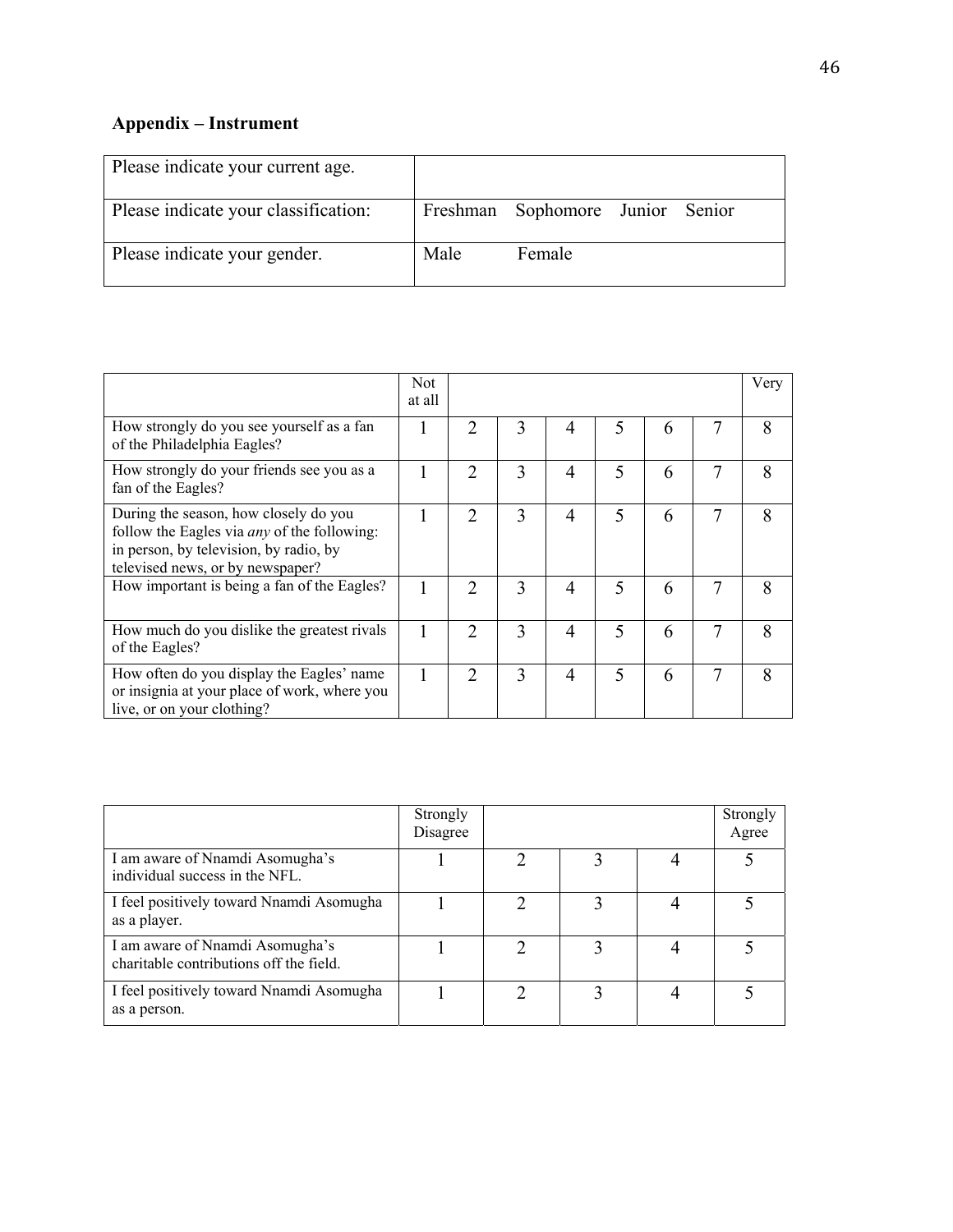# **Appendix – Instrument**

| Please indicate your current age.    |      |                                  |  |
|--------------------------------------|------|----------------------------------|--|
| Please indicate your classification: |      | Freshman Sophomore Junior Senior |  |
| Please indicate your gender.         | Male | Female                           |  |

|                                                                                                                                                                           | Not<br>at all |                |   |                |   |   |   | Very |
|---------------------------------------------------------------------------------------------------------------------------------------------------------------------------|---------------|----------------|---|----------------|---|---|---|------|
| How strongly do you see yourself as a fan<br>of the Philadelphia Eagles?                                                                                                  |               | $\mathfrak{D}$ | 3 | 4              |   | 6 | 7 | 8    |
| How strongly do your friends see you as a<br>fan of the Eagles?                                                                                                           |               | $\overline{2}$ | 3 | 4              | 5 | 6 | 7 | 8    |
| During the season, how closely do you<br>follow the Eagles via <i>any</i> of the following:<br>in person, by television, by radio, by<br>televised news, or by newspaper? |               | $\overline{2}$ | 3 | $\overline{4}$ | 5 | 6 | 7 | 8    |
| How important is being a fan of the Eagles?                                                                                                                               |               | $\mathfrak{D}$ | 3 | $\overline{4}$ | 5 | 6 | 7 | 8    |
| How much do you dislike the greatest rivals<br>of the Eagles?                                                                                                             | 1             | $\overline{2}$ | 3 | $\overline{4}$ | 5 | 6 | 7 | 8    |
| How often do you display the Eagles' name<br>or insignia at your place of work, where you<br>live, or on your clothing?                                                   |               | $\overline{2}$ | 3 | $\overline{4}$ | 5 | 6 | 7 | 8    |

|                                                                            | Strongly<br>Disagree |  | Strongly<br>Agree |
|----------------------------------------------------------------------------|----------------------|--|-------------------|
| I am aware of Nnamdi Asomugha's<br>individual success in the NFL.          |                      |  |                   |
| I feel positively toward Nnamdi Asomugha<br>as a player.                   |                      |  |                   |
| I am aware of Nnamdi Asomugha's<br>charitable contributions off the field. |                      |  |                   |
| I feel positively toward Nnamdi Asomugha<br>as a person.                   |                      |  |                   |